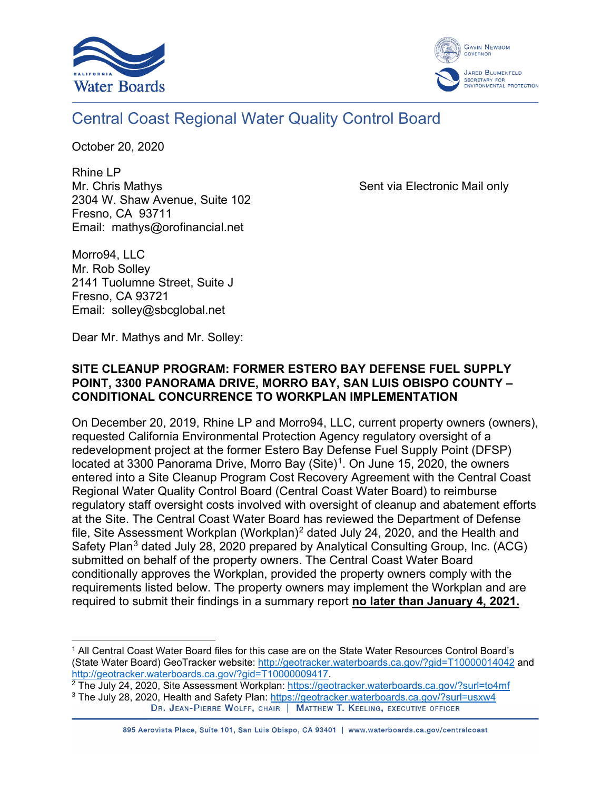



### Central Coast Regional Water Quality Control Board

October 20, 2020

Rhine LP Mr. Chris Mathys **Sent via Electronic Mail only** Sent via Electronic Mail only 2304 W. Shaw Avenue, Suite 102 Fresno, CA 93711 Email: [mathys@orofinancial.net](mailto:mathys@orofinancial.net)

Morro94, LLC Mr. Rob Solley 2141 Tuolumne Street, Suite J Fresno, CA 93721 Email: [solley@sbcglobal.net](mailto:solley@sbcglobal.net)

Dear Mr. Mathys and Mr. Solley:

#### **SITE CLEANUP PROGRAM: FORMER ESTERO BAY DEFENSE FUEL SUPPLY POINT, 3300 PANORAMA DRIVE, MORRO BAY, SAN LUIS OBISPO COUNTY – CONDITIONAL CONCURRENCE TO WORKPLAN IMPLEMENTATION**

On December 20, 2019, Rhine LP and Morro94, LLC, current property owners (owners), requested California Environmental Protection Agency regulatory oversight of a redevelopment project at the former Estero Bay Defense Fuel Supply Point (DFSP) located at 3300 Panorama Drive, Morro Bay  $(Site)^1$  $(Site)^1$ . On June 15, 2020, the owners entered into a Site Cleanup Program Cost Recovery Agreement with the Central Coast Regional Water Quality Control Board (Central Coast Water Board) to reimburse regulatory staff oversight costs involved with oversight of cleanup and abatement efforts at the Site. The Central Coast Water Board has reviewed the Department of Defense file, Site Assessment Workplan (Workplan)<sup>[2](#page-0-1)</sup> dated July 24, 2020, and the Health and Safety Plan<sup>[3](#page-0-2)</sup> dated July 28, 2020 prepared by Analytical Consulting Group, Inc. (ACG) submitted on behalf of the property owners. The Central Coast Water Board conditionally approves the Workplan, provided the property owners comply with the requirements listed below. The property owners may implement the Workplan and are required to submit their findings in a summary report **no later than January 4, 2021.**

<span id="page-0-0"></span><sup>1</sup> All Central Coast Water Board files for this case are on the State Water Resources Control Board's (State Water Board) GeoTracker website:<http://geotracker.waterboards.ca.gov/?gid=T10000014042> and [http://geotracker.waterboards.ca.gov/?gid=T10000009417.](http://geotracker.waterboards.ca.gov/?gid=T10000009417)

<span id="page-0-2"></span><span id="page-0-1"></span><sup>&</sup>lt;sup>2</sup> The July 24, 2020, Site Assessment Workplan:<https://geotracker.waterboards.ca.gov/?surl=to4mf> <sup>3</sup> The July 28, 2020, Health and Safety Plan:<https://geotracker.waterboards.ca.gov/?surl=usxw4><br>DR. JEAN-PIERRE WOLFF, CHAIR | MATTHEW T. KEELING, EXECUTIVE OFFICER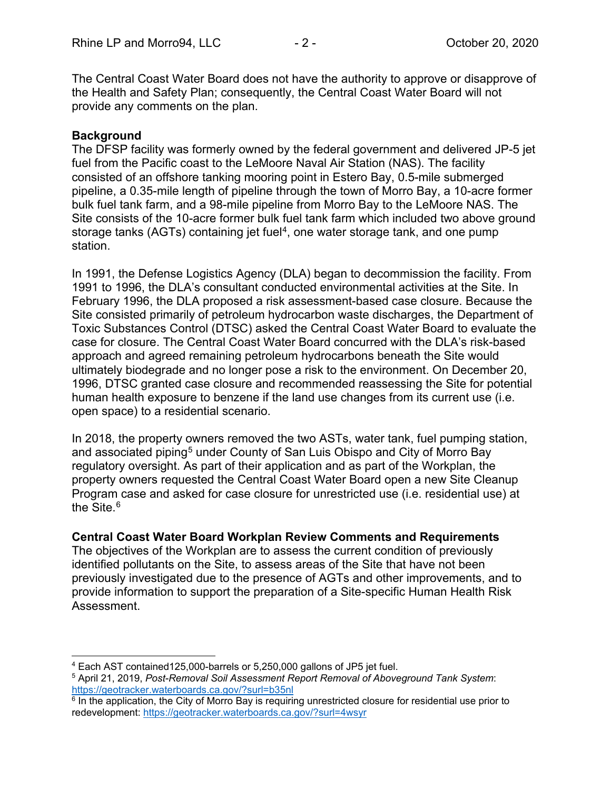The Central Coast Water Board does not have the authority to approve or disapprove of the Health and Safety Plan; consequently, the Central Coast Water Board will not provide any comments on the plan.

#### **Background**

The DFSP facility was formerly owned by the federal government and delivered JP-5 jet fuel from the Pacific coast to the LeMoore Naval Air Station (NAS). The facility consisted of an offshore tanking mooring point in Estero Bay, 0.5-mile submerged pipeline, a 0.35-mile length of pipeline through the town of Morro Bay, a 10-acre former bulk fuel tank farm, and a 98-mile pipeline from Morro Bay to the LeMoore NAS. The Site consists of the 10-acre former bulk fuel tank farm which included two above ground storage tanks (AGTs) containing jet fuel<sup>4</sup>, one water storage tank, and one pump station.

In 1991, the Defense Logistics Agency (DLA) began to decommission the facility. From 1991 to 1996, the DLA's consultant conducted environmental activities at the Site. In February 1996, the DLA proposed a risk assessment-based case closure. Because the Site consisted primarily of petroleum hydrocarbon waste discharges, the Department of Toxic Substances Control (DTSC) asked the Central Coast Water Board to evaluate the case for closure. The Central Coast Water Board concurred with the DLA's risk-based approach and agreed remaining petroleum hydrocarbons beneath the Site would ultimately biodegrade and no longer pose a risk to the environment. On December 20, 1996, DTSC granted case closure and recommended reassessing the Site for potential human health exposure to benzene if the land use changes from its current use (i.e. open space) to a residential scenario.

In 2018, the property owners removed the two ASTs, water tank, fuel pumping station, and associated piping<sup>[5](#page-1-1)</sup> under County of San Luis Obispo and City of Morro Bay regulatory oversight. As part of their application and as part of the Workplan, the property owners requested the Central Coast Water Board open a new Site Cleanup Program case and asked for case closure for unrestricted use (i.e. residential use) at the Site. [6](#page-1-2)

#### **Central Coast Water Board Workplan Review Comments and Requirements**

The objectives of the Workplan are to assess the current condition of previously identified pollutants on the Site, to assess areas of the Site that have not been previously investigated due to the presence of AGTs and other improvements, and to provide information to support the preparation of a Site-specific Human Health Risk Assessment.

<span id="page-1-0"></span><sup>4</sup> Each AST contained125,000-barrels or 5,250,000 gallons of JP5 jet fuel.

<span id="page-1-1"></span><sup>5</sup> April 21, 2019, *Post-Removal Soil Assessment Report Removal of Aboveground Tank System*: <https://geotracker.waterboards.ca.gov/?surl=b35nl>

<span id="page-1-2"></span><sup>&</sup>lt;sup>6</sup> In the application, the City of Morro Bay is requiring unrestricted closure for residential use prior to redevelopment:<https://geotracker.waterboards.ca.gov/?surl=4wsyr>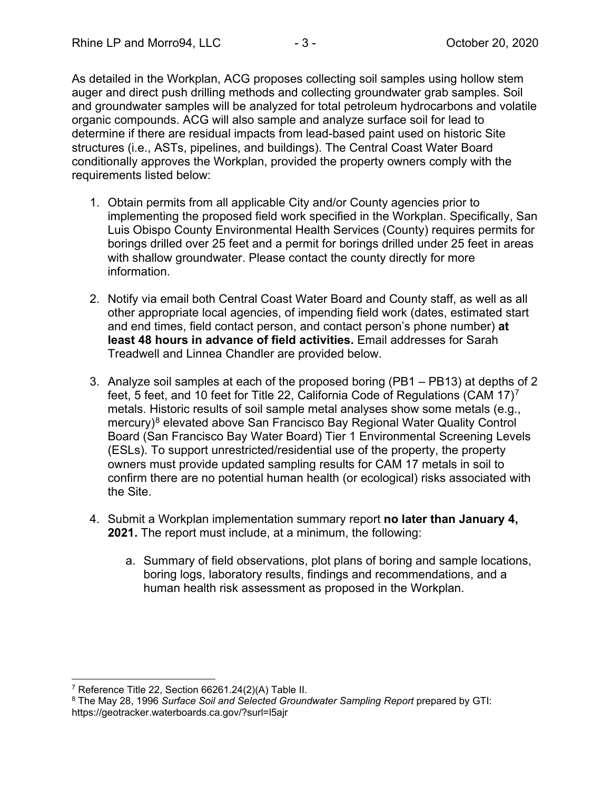As detailed in the Workplan, ACG proposes collecting soil samples using hollow stem auger and direct push drilling methods and collecting groundwater grab samples. Soil and groundwater samples will be analyzed for total petroleum hydrocarbons and volatile organic compounds. ACG will also sample and analyze surface soil for lead to determine if there are residual impacts from lead-based paint used on historic Site structures (i.e., ASTs, pipelines, and buildings). The Central Coast Water Board conditionally approves the Workplan, provided the property owners comply with the requirements listed below:

- 1. Obtain permits from all applicable City and/or County agencies prior to implementing the proposed field work specified in the Workplan. Specifically, San Luis Obispo County Environmental Health Services (County) requires permits for borings drilled over 25 feet and a permit for borings drilled under 25 feet in areas with shallow groundwater. Please contact the county directly for more information.
- 2. Notify via email both Central Coast Water Board and County staff, as well as all other appropriate local agencies, of impending field work (dates, estimated start and end times, field contact person, and contact person's phone number) **at least 48 hours in advance of field activities.** Email addresses for Sarah Treadwell and Linnea Chandler are provided below.
- 3. Analyze soil samples at each of the proposed boring (PB1 PB13) at depths of 2 feet, 5 feet, and 10 feet for Title 22, California Code of Regulations (CAM 1[7](#page-2-0))<sup>7</sup> metals. Historic results of soil sample metal analyses show some metals (e.g., mercury)<sup>[8](#page-2-1)</sup> elevated above San Francisco Bay Regional Water Quality Control Board (San Francisco Bay Water Board) Tier 1 Environmental Screening Levels (ESLs). To support unrestricted/residential use of the property, the property owners must provide updated sampling results for CAM 17 metals in soil to confirm there are no potential human health (or ecological) risks associated with the Site.
- 4. Submit a Workplan implementation summary report **no later than January 4, 2021.** The report must include, at a minimum, the following:
	- a. Summary of field observations, plot plans of boring and sample locations, boring logs, laboratory results, findings and recommendations, and a human health risk assessment as proposed in the Workplan.

<span id="page-2-0"></span><sup>7</sup> Reference Title 22, Section 66261.24(2)(A) Table II.

<span id="page-2-1"></span><sup>8</sup> The May 28, 1996 *Surface Soil and Selected Groundwater Sampling Report* prepared by GTI: https://geotracker.waterboards.ca.gov/?surl=l5ajr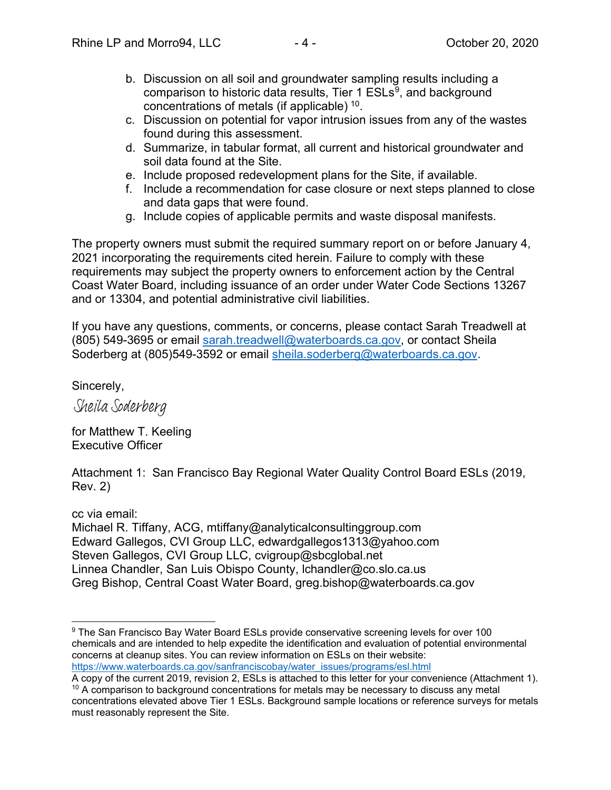- b. Discussion on all soil and groundwater sampling results including a comparison to historic data results, Tier 1 ESLs<sup>[9](#page-3-0)</sup>, and background concentrations of metals (if applicable) [10](#page-3-1).
- c. Discussion on potential for vapor intrusion issues from any of the wastes found during this assessment.
- d. Summarize, in tabular format, all current and historical groundwater and soil data found at the Site.
- e. Include proposed redevelopment plans for the Site, if available.
- f. Include a recommendation for case closure or next steps planned to close and data gaps that were found.
- g. Include copies of applicable permits and waste disposal manifests.

The property owners must submit the required summary report on or before January 4, 2021 incorporating the requirements cited herein. Failure to comply with these requirements may subject the property owners to enforcement action by the Central Coast Water Board, including issuance of an order under Water Code Sections 13267 and or 13304, and potential administrative civil liabilities.

If you have any questions, comments, or concerns, please contact Sarah Treadwell at (805) 549-3695 or email [sarah.treadwell@waterboards.ca.gov,](mailto:sarah.treadwell@waterboards.ca.gov) or contact Sheila Soderberg at (805)549-3592 or email [sheila.soderberg@waterboards.ca.gov.](mailto:sheila.soderberg@waterboards.ca.gov)

Sincerely,

Sheila Soderberg

for Matthew T. Keeling Executive Officer

Attachment 1: San Francisco Bay Regional Water Quality Control Board ESLs (2019, Rev. 2)

cc via email: Michael R. Tiffany, ACG, [mtiffany@analyticalconsultinggroup.com](mailto:mtiffany@analyticalconsultinggroup.com)  Edward Gallegos, CVI Group LLC, [edwardgallegos1313@yahoo.com](mailto:edwardgallegos1313@yahoo.com)  Steven Gallegos, CVI Group LLC, cvigroup@sbcglobal.net Linnea Chandler, San Luis Obispo County, [lchandler@co.slo.ca.us](mailto:lchandler@co.slo.ca.us) Greg Bishop, Central Coast Water Board, greg.bishop@waterboards.ca.gov

<span id="page-3-0"></span><sup>9</sup> The San Francisco Bay Water Board ESLs provide conservative screening levels for over 100 chemicals and are intended to help expedite the identification and evaluation of potential environmental concerns at cleanup sites. You can review information on ESLs on their website:

[https://www.waterboards.ca.gov/sanfranciscobay/water\\_issues/programs/esl.html](https://www.waterboards.ca.gov/sanfranciscobay/water_issues/programs/esl.html)<br>A copy of the current 2019, revision 2, ESLs is attached to this letter for your convenience (Attachment 1).  $10$  A comparison to background concentrations for metals may be necessary to discuss any metal

<span id="page-3-1"></span>concentrations elevated above Tier 1 ESLs. Background sample locations or reference surveys for metals must reasonably represent the Site.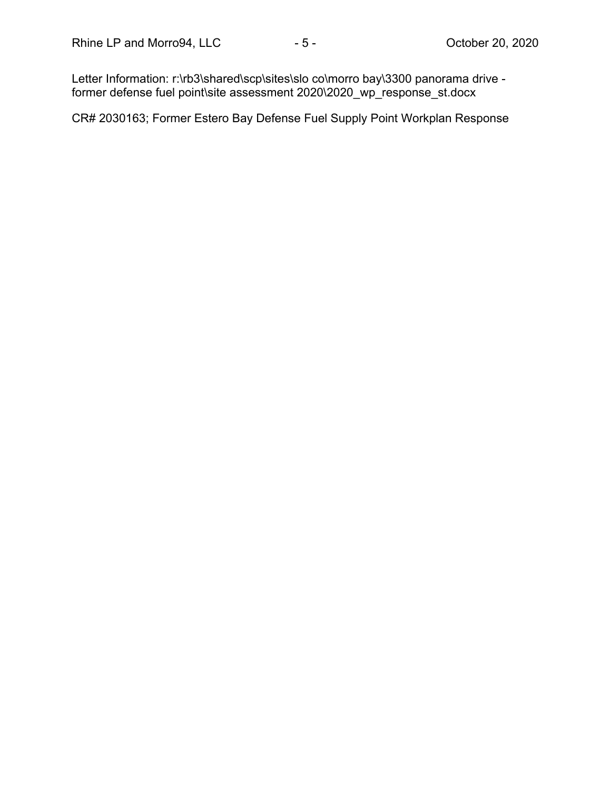Letter Information: r:\rb3\shared\scp\sites\slo co\morro bay\3300 panorama drive former defense fuel point\site assessment 2020\2020\_wp\_response\_st.docx

CR# 2030163; Former Estero Bay Defense Fuel Supply Point Workplan Response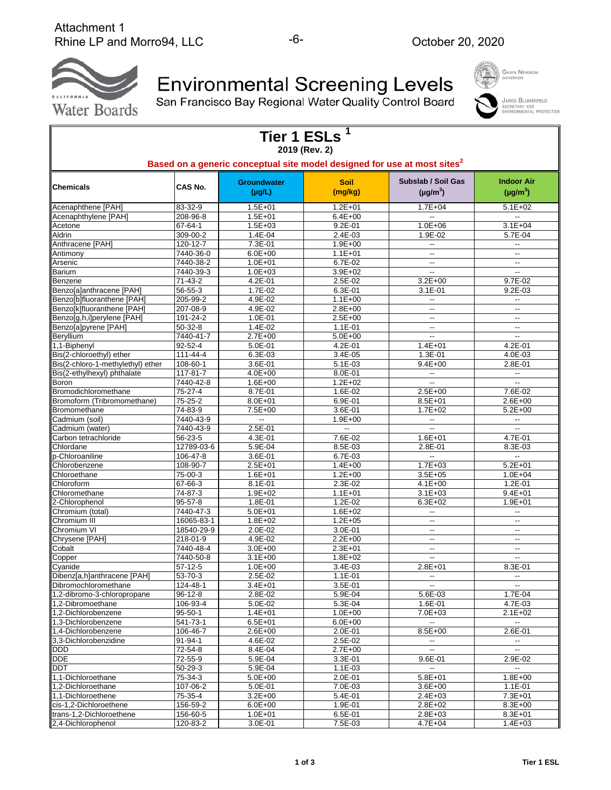

Environmental Screening Levels<br>San Francisco Bay Regional Water Quality Control Board

| <b>GAVIN NEWSOM</b><br>GOVERNOR                          |
|----------------------------------------------------------|
| <b>JARED BLUMENF</b><br>SECRETARY FOR<br>ENVIRONMENTAL P |



|                                                        |                           |                                   | Tier 1 ESLs <sup>1</sup><br>2019 (Rev. 2) |                                                                                      |                                    |
|--------------------------------------------------------|---------------------------|-----------------------------------|-------------------------------------------|--------------------------------------------------------------------------------------|------------------------------------|
|                                                        |                           |                                   |                                           | Based on a generic conceptual site model designed for use at most sites <sup>2</sup> |                                    |
| <b>Chemicals</b>                                       | CAS No.                   | <b>Groundwater</b><br>$(\mu g/L)$ | <b>Soil</b><br>(mg/kg)                    | Subslab / Soil Gas<br>$(\mu g/m^3)$                                                  | <b>Indoor Air</b><br>$(\mu g/m^3)$ |
| Acenaphthene [PAH]                                     | 83-32-9                   | $1.5E + 01$                       | $1.2E + 01$                               | $1.7E + 04$                                                                          | $5.1E + 02$                        |
| Acenaphthylene [PAH]                                   | 208-96-8                  | $1.5E + 01$                       | $6.4E + 00$                               |                                                                                      | $\overline{\phantom{a}}$           |
| Acetone                                                | 67-64-1                   | $1.5E + 03$                       | $9.2E - 01$                               | $1.0E + 06$                                                                          | $3.1E + 04$                        |
| Aldrin                                                 | 309-00-2                  | 1.4E-04                           | 2.4E-03                                   | 1.9E-02                                                                              | 5.7E-04                            |
| Anthracene [PAH]                                       | 120-12-7                  | 7.3E-01                           | $1.9E + 00$                               | $\overline{\phantom{a}}$                                                             | $\overline{\phantom{a}}$           |
| Antimony                                               | 7440-36-0                 | $6.0E + 00$                       | $1.1E + 01$                               | $\overline{\phantom{a}}$                                                             | $\overline{\phantom{a}}$           |
| Arsenic                                                | 7440-38-2                 | $1.0E + 01$                       | 6.7E-02                                   | $\overline{\phantom{a}}$                                                             | $\overline{\phantom{a}}$           |
| Barium                                                 | 7440-39-3                 | $1.0E + 03$                       | $3.9E + 02$                               | $\overline{\phantom{a}}$                                                             | $\overline{\phantom{a}}$           |
| Benzene                                                | 71-43-2                   | 4.2E-01                           | 2.5E-02                                   | $3.2E + 00$                                                                          | 9.7E-02                            |
| Benzo[a]anthracene [PAH]<br>Benzo[b]fluoranthene [PAH] | 56-55-3<br>205-99-2       | 1.7E-02<br>4.9E-02                | 6.3E-01<br>$1.1E + 00$                    | $3.1E-01$                                                                            | $9.2E-03$                          |
| Benzo[k]fluoranthene [PAH]                             | 207-08-9                  | 4.9E-02                           | $2.8E + 00$                               | $\overline{\phantom{a}}$                                                             | --<br>--                           |
| Benzo[g,h,i]perylene [PAH]                             | 191-24-2                  | 1.0E-01                           | $2.5E + 00$                               | $\overline{\phantom{a}}$                                                             | $\overline{\phantom{a}}$           |
| Benzo[a]pyrene [PAH]                                   | 50-32-8                   | 1.4E-02                           | $1.1E-01$                                 | --                                                                                   | $\overline{\phantom{a}}$           |
| Beryllium                                              | 7440-41-7                 | $2.7E + 00$                       | $5.0E + 00$                               | $\ddotsc$                                                                            | --                                 |
| 1,1-Biphenyl                                           | $92 - 52 - 4$             | 5.0E-01                           | 4.2E-01                                   | $1.4E + 01$                                                                          | 4.2E-01                            |
| Bis(2-chloroethyl) ether                               | 111-44-4                  | 6.3E-03                           | 3.4E-05                                   | 1.3E-01                                                                              | 4.0E-03                            |
| Bis(2-chloro-1-methylethyl) ether                      | 108-60-1                  | 3.6E-01                           | $5.1E-03$                                 | $9.4E + 00$                                                                          | 2.8E-01                            |
| Bis(2-ethylhexyl) phthalate                            | 117-81-7                  | $4.0E + 00$                       | 8.0E-01                                   | $\overline{\phantom{a}}$                                                             | $\overline{\phantom{a}}$           |
| Boron                                                  | 7440-42-8                 | $1.6E + 00$                       | $1.2E + 02$                               | --                                                                                   | $\overline{\phantom{a}}$           |
| Bromodichloromethane                                   | 75-27-4                   | 8.7E-01                           | 1.6E-02                                   | $2.5E + 00$                                                                          | 7.6E-02                            |
| Bromoform (Tribromomethane)                            | 75-25-2                   | $8.0E + 01$                       | 6.9E-01                                   | $8.5E + 01$                                                                          | $2.6E + 00$                        |
| Bromomethane                                           | 74-83-9                   | 7.5E+00                           | 3.6E-01                                   | $1.7E + 02$                                                                          | $5.2E + 00$                        |
| Cadmium (soil)                                         | 7440-43-9                 | --                                | 1.9E+00                                   | --                                                                                   | $\overline{\phantom{a}}$           |
| Cadmium (water)                                        | 7440-43-9                 | $2.5E-01$                         | --                                        | --                                                                                   | $\ddotsc$                          |
| Carbon tetrachloride                                   | 56-23-5                   | 4.3E-01                           | 7.6E-02                                   | $1.6E + 01$                                                                          | 4.7E-01                            |
| Chlordane                                              | 12789-03-6                | 5.9E-04                           | 8.5E-03                                   | 2.8E-01                                                                              | 8.3E-03                            |
| o-Chloroaniline                                        | 106-47-8                  | 3.6E-01                           | 6.7E-03                                   | $\overline{\phantom{a}}$                                                             | $\overline{\phantom{a}}$           |
| Chlorobenzene                                          | 108-90-7                  | $2.5E + 01$                       | $1.4E + 00$                               | $1.7E + 03$                                                                          | $5.2E + 01$                        |
| Chloroethane                                           | 75-00-3                   | $1.6E + 01$                       | $1.2E + 00$                               | $3.5E + 05$                                                                          | $1.0E + 04$                        |
| Chloroform                                             | 67-66-3                   | $8.1E - 01$                       | 2.3E-02                                   | $4.1E + 00$                                                                          | $1.2E - 01$                        |
| Chloromethane                                          | 74-87-3                   | 1.9E+02                           | $1.1E + 01$                               | $3.1E + 03$                                                                          | $9.4E + 01$                        |
| 2-Chlorophenol                                         | $95 - 57 - 8$             | 1.8E-01                           | $1.2E-02$                                 | $6.3E + 02$                                                                          | $1.9E + 01$                        |
| Chromium (total)                                       | 7440-47-3                 | $5.0E + 01$                       | $1.6E + 02$                               |                                                                                      | $\overline{\phantom{a}}$           |
| Chromium III                                           | 16065-83-1                | $1.8E + 02$                       | $1.2E + 05$                               | $\overline{\phantom{a}}$                                                             | $\overline{\phantom{a}}$           |
| Chromium VI                                            | 18540-29-9                | 2.0E-02                           | 3.0E-01                                   | $\overline{\phantom{a}}$                                                             | --                                 |
| Chrysene [PAH]                                         | 218-01-9                  | 4.9E-02                           | $2.2E + 00$                               | --                                                                                   | --                                 |
| Cobalt                                                 | 7440-48-4                 | $3.0E + 00$                       | $2.3E + 01$                               | $\overline{\phantom{a}}$                                                             | $\overline{\phantom{a}}$           |
| Copper                                                 | 7440-50-8                 | $3.1E + 00$                       | $1.8E + 02$                               | $\overline{\phantom{a}}$                                                             | $\overline{\phantom{a}}$           |
| Cyanide                                                | $57-12-5$                 | $1.0E + 00$                       | 3.4E-03                                   | $2.8E + 01$                                                                          | 8.3E-01                            |
| Dibenz[a,h]anthracene [PAH]                            | $53 - 70 - 3$             | 2.5E-02                           | 1.1E-01                                   | $\overline{\phantom{a}}$<br>$\overline{\phantom{a}}$                                 | --<br>$\overline{\phantom{a}}$     |
| Dibromochloromethane<br>1,2-dibromo-3-chloropropane    | 124-48-1<br>$96 - 12 - 8$ | $3.4E + 01$<br>2.8E-02            | $3.5E-01$<br>5.9E-04                      | 5.6E-03                                                                              | 1.7E-04                            |
| 1,2-Dibromoethane                                      | 106-93-4                  | 5.0E-02                           | 5.3E-04                                   | 1.6E-01                                                                              | 4.7E-03                            |
| 1.2-Dichlorobenzene                                    | $95 - 50 - 1$             | $1.4E + 01$                       | $1.0E + 00$                               | 7.0E+03                                                                              | $2.1E + 02$                        |
| 1.3-Dichlorobenzene                                    | 541-73-1                  | $6.5E + 01$                       | $6.0E + 00$                               | $\overline{\phantom{a}}$                                                             | $\overline{\phantom{a}}$           |
| 1,4-Dichlorobenzene                                    | 106-46-7                  | 2.6E+00                           | 2.0E-01                                   | $8.5E + 00$                                                                          | 2.6E-01                            |
| 3,3-Dichlorobenzidine                                  | 91-94-1                   | 4.6E-02                           | 2.5E-02                                   | --                                                                                   | --                                 |
| <b>DDD</b>                                             | 72-54-8                   | 8.4E-04                           | 2.7E+00                                   | --                                                                                   | --                                 |
| $\overline{\mathsf{DDE}}$                              | 72-55-9                   | 5.9E-04                           | 3.3E-01                                   | 9.6E-01                                                                              | 2.9E-02                            |
| DDT                                                    | 50-29-3                   | 5.9E-04                           | $1.1E-03$                                 |                                                                                      |                                    |
| 1,1-Dichloroethane                                     | 75-34-3                   | 5.0E+00                           | 2.0E-01                                   | $5.8E + 01$                                                                          | $1.8E + 00$                        |
| 1.2-Dichloroethane                                     | 107-06-2                  | 5.0E-01                           | 7.0E-03                                   | $3.6E + 00$                                                                          | $1.1E-01$                          |
| 1,1-Dichloroethene                                     | 75-35-4                   | $3.2E + 00$                       | 5.4E-01                                   | $2.4E + 03$                                                                          | 7.3E+01                            |
| cis-1,2-Dichloroethene                                 | 156-59-2                  | $6.0E + 00$                       | 1.9E-01                                   | $2.8E + 02$                                                                          | 8.3E+00                            |
| trans-1,2-Dichloroethene                               | 156-60-5                  | $1.0E + 01$                       | 6.5E-01                                   | 2.8E+03                                                                              | $8.3E + 01$                        |
| 2,4-Dichlorophenol                                     | 120-83-2                  | $3.0E - 01$                       | 7.5E-03                                   | $4.7E + 04$                                                                          | $1.4E + 03$                        |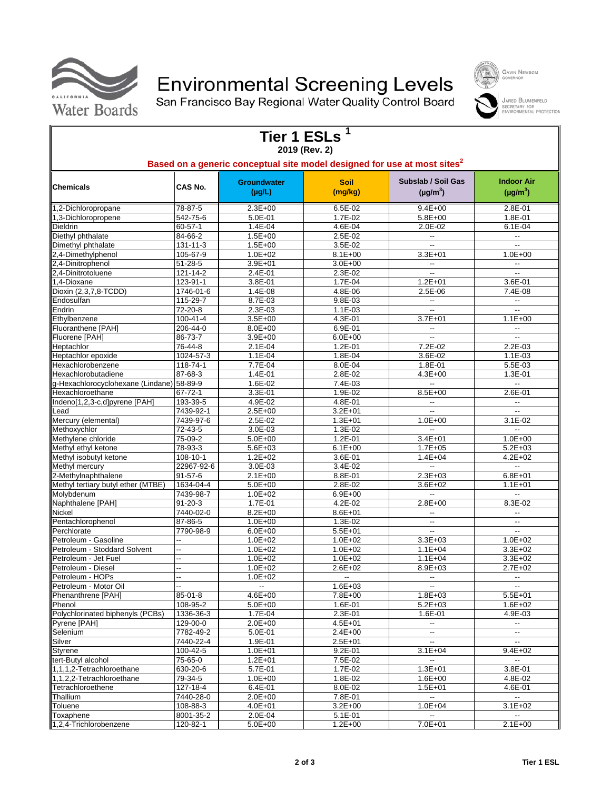

# Environmental Screening Levels<br>San Francisco Bay Regional Water Quality Control Board

| Tier 1 ESLs <sup>1</sup><br>2019 (Rev. 2)<br>Based on a generic conceptual site model designed for use at most sites <sup>2</sup><br>Subslab / Soil Gas<br><b>Indoor Air</b><br><b>Groundwater</b><br><b>Soil</b><br>CAS No.<br><b>Chemicals</b><br>(mg/kg)<br>$(\mu g/m^3)$<br>$(\mu g/L)$<br>$(\mu g/m^3)$<br>1,2-Dichloropropane<br>78-87-5<br>$2.3E + 00$<br>$6.5E-02$<br>$9.4E + 00$<br>2.8E-01<br>1,3-Dichloropropene<br>542-75-6<br>5.0E-01<br>1.7E-02<br>$5.8E + 00$<br>1.8E-01<br>60-57-1<br>$1.4E - 04$<br>Dieldrin<br>4.6E-04<br>$2.0E-02$<br>$6.1E-04$<br>Diethyl phthalate<br>84-66-2<br>$1.5E + 00$<br>2.5E-02<br>$\overline{\phantom{a}}$<br>$\overline{\phantom{a}}$<br>131-11-3<br>Dimethyl phthalate<br>$1.5E + 00$<br>3.5E-02<br>$\ddotsc$<br>--<br>2,4-Dimethylphenol<br>105-67-9<br>$1.0E + 02$<br>$8.1E + 00$<br>$3.3E + 01$<br>$1.0E + 00$<br>$51 - 28 - 5$<br>$3.9E + 01$<br>$3.0E + 00$<br>2,4-Dinitrophenol<br>$\overline{\phantom{a}}$<br>$\overline{\phantom{a}}$<br>2,4-Dinitrotoluene<br>121-14-2<br>2.4E-01<br>2.3E-02<br>$\overline{\phantom{a}}$<br>$\overline{\phantom{a}}$<br>123-91-1<br>1.7E-04<br>1,4-Dioxane<br>3.8E-01<br>$1.2E + 01$<br>3.6E-01<br>Dioxin (2,3,7,8-TCDD)<br>1746-01-6<br>1.4E-08<br>4.8E-06<br>2.5E-06<br>7.4E-08<br>115-29-7<br>Endosulfan<br>8.7E-03<br>9.8E-03<br>$\overline{\phantom{a}}$<br>$\overline{\phantom{a}}$<br>$72 - 20 - 8$<br>Endrin<br>2.3E-03<br>1.1E-03<br>$\ddotsc$<br>Ξ.<br>Ethylbenzene<br>$100 - 41 - 4$<br>$3.5E + 00$<br>4.3E-01<br>$3.7E + 01$<br>$1.1E + 00$<br>Fluoranthene [PAH]<br>206-44-0<br>8.0E+00<br>6.9E-01<br>Щ.<br>$\overline{\phantom{a}}$<br>86-73-7<br>Fluorene [PAH]<br>3.9E+00<br>$6.0E + 00$<br>7.2E-02<br>Heptachlor<br>76-44-8<br>2.1E-04<br>1.2E-01<br>2.2E-03<br>3.6E-02<br>Heptachlor epoxide<br>1024-57-3<br>1.1E-04<br>1.8E-04<br>$1.1E-03$<br>Hexachlorobenzene<br>118-74-1<br>7.7E-04<br>8.0E-04<br>1.8E-01<br>5.5E-03<br>87-68-3<br>Hexachlorobutadiene<br>1.4E-01<br>2.8E-02<br>$4.3E + 00$<br>1.3E-01<br>58-89-9<br>g-Hexachlorocyclohexane (Lindane)<br>1.6E-02<br>7.4E-03<br>$\overline{a}$<br>Щ.<br>Hexachloroethane<br>67-72-1<br>3.3E-01<br>1.9E-02<br>$8.5E + 00$<br>2.6E-01<br>193-39-5<br>Indeno[1,2,3-c,d]pyrene [PAH]<br>4.9E-02<br>4.8E-01<br>7439-92-1<br>$2.5E + 00$<br>$3.2E + 01$<br>Lead<br>$\overline{a}$<br>$\overline{\phantom{a}}$<br>Mercury (elemental)<br>7439-97-6<br>2.5E-02<br>$1.3E + 01$<br>$1.0E + 00$<br>$3.1E-02$<br>Methoxychlor<br>72-43-5<br>3.0E-03<br>1.3E-02<br>75-09-2<br>1.2E-01<br>$3.4E + 01$<br>$1.0E + 00$<br>Methylene chloride<br>$5.0E + 00$<br>78-93-3<br>$5.6E + 03$<br>$6.1E + 00$<br>$1.7E + 05$<br>$5.2E + 03$<br>Methyl ethyl ketone<br>$4.2E + 02$<br>Methyl isobutyl ketone<br>108-10-1<br>$1.2E + 02$<br>3.6E-01<br>$1.4E + 04$<br>22967-92-6<br>Methyl mercury<br>3.0E-03<br>3.4E-02<br>$\ddotsc$<br>Ξ.<br>2-Methylnaphthalene<br>$91 - 57 - 6$<br>$2.1E + 00$<br>8.8E-01<br>$2.3E + 03$<br>$6.8E + 01$<br>1634-04-4<br>2.8E-02<br>Methyl tertiary butyl ether (MTBE)<br>$5.0E + 00$<br>$3.6E + 02$<br>$1.1E + 01$<br>Molybdenum<br>7439-98-7<br>$1.0E + 02$<br>$6.9E + 00$<br>$\overline{\phantom{a}}$<br>н.<br>Naphthalene [PAH]<br>$91 - 20 - 3$<br>1.7E-01<br>4.2E-02<br>$2.8E + 00$<br>8.3E-02<br>Nickel<br>7440-02-0<br>$8.2E + 00$<br>8.6E+01<br>Pentachlorophenol<br>87-86-5<br>$1.0E + 00$<br>1.3E-02<br>$\overline{\phantom{a}}$<br>$\overline{\phantom{a}}$<br>Perchlorate<br>7790-98-9<br>$5.5E + 01$<br>$6.0E + 00$<br>$\overline{\phantom{a}}$<br>$\overline{\phantom{a}}$<br>Petroleum - Gasoline<br>$1.0E + 02$<br>$1.0E + 02$<br>$3.3E + 03$<br>$1.0E + 02$<br>--<br>Petroleum - Stoddard Solvent<br><br>$1.0E + 02$<br>$1.0E + 02$<br>$1.1E + 04$<br>$3.3E + 02$<br>$1.0E + 02$<br>$1.0E + 02$<br>$1.1E + 04$<br>$3.3E + 02$<br>Petroleum - Jet Fuel<br><br>$1.0E + 02$<br>$2.6E + 02$<br>8.9E+03<br>$2.7E + 02$<br>Petroleum - Diesel<br>Petroleum - HOPs<br>$1.0E + 02$<br>$\overline{\phantom{a}}$<br>--<br>$\overline{\phantom{a}}$<br>--<br>Petroleum - Motor Oil<br>$1.6E + 03$<br>--<br>$\overline{\phantom{a}}$<br>$\overline{\phantom{a}}$<br>Phenanthrene [PAH]<br>$85 - 01 - 8$<br>4.6E+00<br>7.8E+00<br>$1.8E + 03$<br>$5.5E + 01$<br>1.6E-01<br>Phenol<br>108-95-2<br>5.0E+00<br>$5.2E + 03$<br>$1.6E + 02$<br>Polychlorinated biphenyls (PCBs)<br>2.3E-01<br>1336-36-3<br>1.7E-04<br>1.6E-01<br>4.9E-03<br>129-00-0<br>Pyrene [PAH]<br>$2.0E + 00$<br>$4.5E + 01$<br>$\overline{\phantom{a}}$<br>--<br>Selenium<br>7782-49-2<br>5.0E-01<br>$2.4E + 00$<br>$\overline{\phantom{a}}$<br>--<br>Silver<br>7440-22-4<br>1.9E-01<br>$2.5E + 01$<br>$\overline{\phantom{a}}$<br>$\overline{\phantom{a}}$<br>$100 - 42 - 5$<br>$9.2E - 01$<br>Styrene<br>$1.0E + 01$<br>$3.1E + 04$<br>$9.4E + 02$<br>7.5E-02<br>tert-Butyl alcohol<br>75-65-0<br>$1.2E + 01$<br>$\overline{\phantom{a}}$<br>$\overline{\phantom{a}}$<br>630-20-6<br>$1.3E + 01$<br>$3.8E - 01$<br>1,1,1,2-Tetrachloroethane<br>5.7E-01<br>1.7E-02<br>1.8E-02<br>$1.6E + 00$<br>4.8E-02<br>1,1,2,2-Tetrachloroethane<br>79-34-5<br>$1.0E + 00$<br>Tetrachloroethene<br>127-18-4<br>6.4E-01<br>8.0E-02<br>$1.5E + 01$<br>4.6E-01<br>Thallium<br>7440-28-0<br>2.0E+00<br>7.8E-01<br>$\overline{\phantom{a}}$<br>$\overline{\phantom{a}}$<br>108-88-3<br>$3.2E + 00$<br>$1.0E + 04$<br>$3.1E + 02$<br>Toluene<br>4.0E+01<br>Toxaphene<br>8001-35-2<br>2.0E-04<br>5.1E-01<br>$\overline{\phantom{a}}$<br>-- |          |         |             |         |             |
|--------------------------------------------------------------------------------------------------------------------------------------------------------------------------------------------------------------------------------------------------------------------------------------------------------------------------------------------------------------------------------------------------------------------------------------------------------------------------------------------------------------------------------------------------------------------------------------------------------------------------------------------------------------------------------------------------------------------------------------------------------------------------------------------------------------------------------------------------------------------------------------------------------------------------------------------------------------------------------------------------------------------------------------------------------------------------------------------------------------------------------------------------------------------------------------------------------------------------------------------------------------------------------------------------------------------------------------------------------------------------------------------------------------------------------------------------------------------------------------------------------------------------------------------------------------------------------------------------------------------------------------------------------------------------------------------------------------------------------------------------------------------------------------------------------------------------------------------------------------------------------------------------------------------------------------------------------------------------------------------------------------------------------------------------------------------------------------------------------------------------------------------------------------------------------------------------------------------------------------------------------------------------------------------------------------------------------------------------------------------------------------------------------------------------------------------------------------------------------------------------------------------------------------------------------------------------------------------------------------------------------------------------------------------------------------------------------------------------------------------------------------------------------------------------------------------------------------------------------------------------------------------------------------------------------------------------------------------------------------------------------------------------------------------------------------------------------------------------------------------------------------------------------------------------------------------------------------------------------------------------------------------------------------------------------------------------------------------------------------------------------------------------------------------------------------------------------------------------------------------------------------------------------------------------------------------------------------------------------------------------------------------------------------------------------------------------------------------------------------------------------------------------------------------------------------------------------------------------------------------------------------------------------------------------------------------------------------------------------------------------------------------------------------------------------------------------------------------------------------------------------------------------------------------------------------------------------------------------------------------------------------------------------------------------------------------------------------------------------------------------------------------------------------------------------------------------------------------------------------------------------------------------------------------------------------------------------------------------------------------------------------------------------------------------------------------------------------------------------------------------------------------------------------------------------------------------------------------------------------------------------------------------------------------------------------------------------------------------------------------------------------------------------------------------------------------------------------------------------------------------------------------------------------------------------------------------------------------------------------------------------------------------------------------------------------------------------------------------------------------------------------------------------------------------------------------------------------------------|----------|---------|-------------|---------|-------------|
|                                                                                                                                                                                                                                                                                                                                                                                                                                                                                                                                                                                                                                                                                                                                                                                                                                                                                                                                                                                                                                                                                                                                                                                                                                                                                                                                                                                                                                                                                                                                                                                                                                                                                                                                                                                                                                                                                                                                                                                                                                                                                                                                                                                                                                                                                                                                                                                                                                                                                                                                                                                                                                                                                                                                                                                                                                                                                                                                                                                                                                                                                                                                                                                                                                                                                                                                                                                                                                                                                                                                                                                                                                                                                                                                                                                                                                                                                                                                                                                                                                                                                                                                                                                                                                                                                                                                                                                                                                                                                                                                                                                                                                                                                                                                                                                                                                                                                                                                                                                                                                                                                                                                                                                                                                                                                                                                                                                                                                                                          |          |         |             |         |             |
|                                                                                                                                                                                                                                                                                                                                                                                                                                                                                                                                                                                                                                                                                                                                                                                                                                                                                                                                                                                                                                                                                                                                                                                                                                                                                                                                                                                                                                                                                                                                                                                                                                                                                                                                                                                                                                                                                                                                                                                                                                                                                                                                                                                                                                                                                                                                                                                                                                                                                                                                                                                                                                                                                                                                                                                                                                                                                                                                                                                                                                                                                                                                                                                                                                                                                                                                                                                                                                                                                                                                                                                                                                                                                                                                                                                                                                                                                                                                                                                                                                                                                                                                                                                                                                                                                                                                                                                                                                                                                                                                                                                                                                                                                                                                                                                                                                                                                                                                                                                                                                                                                                                                                                                                                                                                                                                                                                                                                                                                          |          |         |             |         |             |
|                                                                                                                                                                                                                                                                                                                                                                                                                                                                                                                                                                                                                                                                                                                                                                                                                                                                                                                                                                                                                                                                                                                                                                                                                                                                                                                                                                                                                                                                                                                                                                                                                                                                                                                                                                                                                                                                                                                                                                                                                                                                                                                                                                                                                                                                                                                                                                                                                                                                                                                                                                                                                                                                                                                                                                                                                                                                                                                                                                                                                                                                                                                                                                                                                                                                                                                                                                                                                                                                                                                                                                                                                                                                                                                                                                                                                                                                                                                                                                                                                                                                                                                                                                                                                                                                                                                                                                                                                                                                                                                                                                                                                                                                                                                                                                                                                                                                                                                                                                                                                                                                                                                                                                                                                                                                                                                                                                                                                                                                          |          |         |             |         |             |
|                                                                                                                                                                                                                                                                                                                                                                                                                                                                                                                                                                                                                                                                                                                                                                                                                                                                                                                                                                                                                                                                                                                                                                                                                                                                                                                                                                                                                                                                                                                                                                                                                                                                                                                                                                                                                                                                                                                                                                                                                                                                                                                                                                                                                                                                                                                                                                                                                                                                                                                                                                                                                                                                                                                                                                                                                                                                                                                                                                                                                                                                                                                                                                                                                                                                                                                                                                                                                                                                                                                                                                                                                                                                                                                                                                                                                                                                                                                                                                                                                                                                                                                                                                                                                                                                                                                                                                                                                                                                                                                                                                                                                                                                                                                                                                                                                                                                                                                                                                                                                                                                                                                                                                                                                                                                                                                                                                                                                                                                          |          |         |             |         |             |
|                                                                                                                                                                                                                                                                                                                                                                                                                                                                                                                                                                                                                                                                                                                                                                                                                                                                                                                                                                                                                                                                                                                                                                                                                                                                                                                                                                                                                                                                                                                                                                                                                                                                                                                                                                                                                                                                                                                                                                                                                                                                                                                                                                                                                                                                                                                                                                                                                                                                                                                                                                                                                                                                                                                                                                                                                                                                                                                                                                                                                                                                                                                                                                                                                                                                                                                                                                                                                                                                                                                                                                                                                                                                                                                                                                                                                                                                                                                                                                                                                                                                                                                                                                                                                                                                                                                                                                                                                                                                                                                                                                                                                                                                                                                                                                                                                                                                                                                                                                                                                                                                                                                                                                                                                                                                                                                                                                                                                                                                          |          |         |             |         |             |
|                                                                                                                                                                                                                                                                                                                                                                                                                                                                                                                                                                                                                                                                                                                                                                                                                                                                                                                                                                                                                                                                                                                                                                                                                                                                                                                                                                                                                                                                                                                                                                                                                                                                                                                                                                                                                                                                                                                                                                                                                                                                                                                                                                                                                                                                                                                                                                                                                                                                                                                                                                                                                                                                                                                                                                                                                                                                                                                                                                                                                                                                                                                                                                                                                                                                                                                                                                                                                                                                                                                                                                                                                                                                                                                                                                                                                                                                                                                                                                                                                                                                                                                                                                                                                                                                                                                                                                                                                                                                                                                                                                                                                                                                                                                                                                                                                                                                                                                                                                                                                                                                                                                                                                                                                                                                                                                                                                                                                                                                          |          |         |             |         |             |
|                                                                                                                                                                                                                                                                                                                                                                                                                                                                                                                                                                                                                                                                                                                                                                                                                                                                                                                                                                                                                                                                                                                                                                                                                                                                                                                                                                                                                                                                                                                                                                                                                                                                                                                                                                                                                                                                                                                                                                                                                                                                                                                                                                                                                                                                                                                                                                                                                                                                                                                                                                                                                                                                                                                                                                                                                                                                                                                                                                                                                                                                                                                                                                                                                                                                                                                                                                                                                                                                                                                                                                                                                                                                                                                                                                                                                                                                                                                                                                                                                                                                                                                                                                                                                                                                                                                                                                                                                                                                                                                                                                                                                                                                                                                                                                                                                                                                                                                                                                                                                                                                                                                                                                                                                                                                                                                                                                                                                                                                          |          |         |             |         |             |
|                                                                                                                                                                                                                                                                                                                                                                                                                                                                                                                                                                                                                                                                                                                                                                                                                                                                                                                                                                                                                                                                                                                                                                                                                                                                                                                                                                                                                                                                                                                                                                                                                                                                                                                                                                                                                                                                                                                                                                                                                                                                                                                                                                                                                                                                                                                                                                                                                                                                                                                                                                                                                                                                                                                                                                                                                                                                                                                                                                                                                                                                                                                                                                                                                                                                                                                                                                                                                                                                                                                                                                                                                                                                                                                                                                                                                                                                                                                                                                                                                                                                                                                                                                                                                                                                                                                                                                                                                                                                                                                                                                                                                                                                                                                                                                                                                                                                                                                                                                                                                                                                                                                                                                                                                                                                                                                                                                                                                                                                          |          |         |             |         |             |
|                                                                                                                                                                                                                                                                                                                                                                                                                                                                                                                                                                                                                                                                                                                                                                                                                                                                                                                                                                                                                                                                                                                                                                                                                                                                                                                                                                                                                                                                                                                                                                                                                                                                                                                                                                                                                                                                                                                                                                                                                                                                                                                                                                                                                                                                                                                                                                                                                                                                                                                                                                                                                                                                                                                                                                                                                                                                                                                                                                                                                                                                                                                                                                                                                                                                                                                                                                                                                                                                                                                                                                                                                                                                                                                                                                                                                                                                                                                                                                                                                                                                                                                                                                                                                                                                                                                                                                                                                                                                                                                                                                                                                                                                                                                                                                                                                                                                                                                                                                                                                                                                                                                                                                                                                                                                                                                                                                                                                                                                          |          |         |             |         |             |
|                                                                                                                                                                                                                                                                                                                                                                                                                                                                                                                                                                                                                                                                                                                                                                                                                                                                                                                                                                                                                                                                                                                                                                                                                                                                                                                                                                                                                                                                                                                                                                                                                                                                                                                                                                                                                                                                                                                                                                                                                                                                                                                                                                                                                                                                                                                                                                                                                                                                                                                                                                                                                                                                                                                                                                                                                                                                                                                                                                                                                                                                                                                                                                                                                                                                                                                                                                                                                                                                                                                                                                                                                                                                                                                                                                                                                                                                                                                                                                                                                                                                                                                                                                                                                                                                                                                                                                                                                                                                                                                                                                                                                                                                                                                                                                                                                                                                                                                                                                                                                                                                                                                                                                                                                                                                                                                                                                                                                                                                          |          |         |             |         |             |
|                                                                                                                                                                                                                                                                                                                                                                                                                                                                                                                                                                                                                                                                                                                                                                                                                                                                                                                                                                                                                                                                                                                                                                                                                                                                                                                                                                                                                                                                                                                                                                                                                                                                                                                                                                                                                                                                                                                                                                                                                                                                                                                                                                                                                                                                                                                                                                                                                                                                                                                                                                                                                                                                                                                                                                                                                                                                                                                                                                                                                                                                                                                                                                                                                                                                                                                                                                                                                                                                                                                                                                                                                                                                                                                                                                                                                                                                                                                                                                                                                                                                                                                                                                                                                                                                                                                                                                                                                                                                                                                                                                                                                                                                                                                                                                                                                                                                                                                                                                                                                                                                                                                                                                                                                                                                                                                                                                                                                                                                          |          |         |             |         |             |
|                                                                                                                                                                                                                                                                                                                                                                                                                                                                                                                                                                                                                                                                                                                                                                                                                                                                                                                                                                                                                                                                                                                                                                                                                                                                                                                                                                                                                                                                                                                                                                                                                                                                                                                                                                                                                                                                                                                                                                                                                                                                                                                                                                                                                                                                                                                                                                                                                                                                                                                                                                                                                                                                                                                                                                                                                                                                                                                                                                                                                                                                                                                                                                                                                                                                                                                                                                                                                                                                                                                                                                                                                                                                                                                                                                                                                                                                                                                                                                                                                                                                                                                                                                                                                                                                                                                                                                                                                                                                                                                                                                                                                                                                                                                                                                                                                                                                                                                                                                                                                                                                                                                                                                                                                                                                                                                                                                                                                                                                          |          |         |             |         |             |
|                                                                                                                                                                                                                                                                                                                                                                                                                                                                                                                                                                                                                                                                                                                                                                                                                                                                                                                                                                                                                                                                                                                                                                                                                                                                                                                                                                                                                                                                                                                                                                                                                                                                                                                                                                                                                                                                                                                                                                                                                                                                                                                                                                                                                                                                                                                                                                                                                                                                                                                                                                                                                                                                                                                                                                                                                                                                                                                                                                                                                                                                                                                                                                                                                                                                                                                                                                                                                                                                                                                                                                                                                                                                                                                                                                                                                                                                                                                                                                                                                                                                                                                                                                                                                                                                                                                                                                                                                                                                                                                                                                                                                                                                                                                                                                                                                                                                                                                                                                                                                                                                                                                                                                                                                                                                                                                                                                                                                                                                          |          |         |             |         |             |
|                                                                                                                                                                                                                                                                                                                                                                                                                                                                                                                                                                                                                                                                                                                                                                                                                                                                                                                                                                                                                                                                                                                                                                                                                                                                                                                                                                                                                                                                                                                                                                                                                                                                                                                                                                                                                                                                                                                                                                                                                                                                                                                                                                                                                                                                                                                                                                                                                                                                                                                                                                                                                                                                                                                                                                                                                                                                                                                                                                                                                                                                                                                                                                                                                                                                                                                                                                                                                                                                                                                                                                                                                                                                                                                                                                                                                                                                                                                                                                                                                                                                                                                                                                                                                                                                                                                                                                                                                                                                                                                                                                                                                                                                                                                                                                                                                                                                                                                                                                                                                                                                                                                                                                                                                                                                                                                                                                                                                                                                          |          |         |             |         |             |
|                                                                                                                                                                                                                                                                                                                                                                                                                                                                                                                                                                                                                                                                                                                                                                                                                                                                                                                                                                                                                                                                                                                                                                                                                                                                                                                                                                                                                                                                                                                                                                                                                                                                                                                                                                                                                                                                                                                                                                                                                                                                                                                                                                                                                                                                                                                                                                                                                                                                                                                                                                                                                                                                                                                                                                                                                                                                                                                                                                                                                                                                                                                                                                                                                                                                                                                                                                                                                                                                                                                                                                                                                                                                                                                                                                                                                                                                                                                                                                                                                                                                                                                                                                                                                                                                                                                                                                                                                                                                                                                                                                                                                                                                                                                                                                                                                                                                                                                                                                                                                                                                                                                                                                                                                                                                                                                                                                                                                                                                          |          |         |             |         |             |
|                                                                                                                                                                                                                                                                                                                                                                                                                                                                                                                                                                                                                                                                                                                                                                                                                                                                                                                                                                                                                                                                                                                                                                                                                                                                                                                                                                                                                                                                                                                                                                                                                                                                                                                                                                                                                                                                                                                                                                                                                                                                                                                                                                                                                                                                                                                                                                                                                                                                                                                                                                                                                                                                                                                                                                                                                                                                                                                                                                                                                                                                                                                                                                                                                                                                                                                                                                                                                                                                                                                                                                                                                                                                                                                                                                                                                                                                                                                                                                                                                                                                                                                                                                                                                                                                                                                                                                                                                                                                                                                                                                                                                                                                                                                                                                                                                                                                                                                                                                                                                                                                                                                                                                                                                                                                                                                                                                                                                                                                          |          |         |             |         |             |
|                                                                                                                                                                                                                                                                                                                                                                                                                                                                                                                                                                                                                                                                                                                                                                                                                                                                                                                                                                                                                                                                                                                                                                                                                                                                                                                                                                                                                                                                                                                                                                                                                                                                                                                                                                                                                                                                                                                                                                                                                                                                                                                                                                                                                                                                                                                                                                                                                                                                                                                                                                                                                                                                                                                                                                                                                                                                                                                                                                                                                                                                                                                                                                                                                                                                                                                                                                                                                                                                                                                                                                                                                                                                                                                                                                                                                                                                                                                                                                                                                                                                                                                                                                                                                                                                                                                                                                                                                                                                                                                                                                                                                                                                                                                                                                                                                                                                                                                                                                                                                                                                                                                                                                                                                                                                                                                                                                                                                                                                          |          |         |             |         |             |
|                                                                                                                                                                                                                                                                                                                                                                                                                                                                                                                                                                                                                                                                                                                                                                                                                                                                                                                                                                                                                                                                                                                                                                                                                                                                                                                                                                                                                                                                                                                                                                                                                                                                                                                                                                                                                                                                                                                                                                                                                                                                                                                                                                                                                                                                                                                                                                                                                                                                                                                                                                                                                                                                                                                                                                                                                                                                                                                                                                                                                                                                                                                                                                                                                                                                                                                                                                                                                                                                                                                                                                                                                                                                                                                                                                                                                                                                                                                                                                                                                                                                                                                                                                                                                                                                                                                                                                                                                                                                                                                                                                                                                                                                                                                                                                                                                                                                                                                                                                                                                                                                                                                                                                                                                                                                                                                                                                                                                                                                          |          |         |             |         |             |
|                                                                                                                                                                                                                                                                                                                                                                                                                                                                                                                                                                                                                                                                                                                                                                                                                                                                                                                                                                                                                                                                                                                                                                                                                                                                                                                                                                                                                                                                                                                                                                                                                                                                                                                                                                                                                                                                                                                                                                                                                                                                                                                                                                                                                                                                                                                                                                                                                                                                                                                                                                                                                                                                                                                                                                                                                                                                                                                                                                                                                                                                                                                                                                                                                                                                                                                                                                                                                                                                                                                                                                                                                                                                                                                                                                                                                                                                                                                                                                                                                                                                                                                                                                                                                                                                                                                                                                                                                                                                                                                                                                                                                                                                                                                                                                                                                                                                                                                                                                                                                                                                                                                                                                                                                                                                                                                                                                                                                                                                          |          |         |             |         |             |
|                                                                                                                                                                                                                                                                                                                                                                                                                                                                                                                                                                                                                                                                                                                                                                                                                                                                                                                                                                                                                                                                                                                                                                                                                                                                                                                                                                                                                                                                                                                                                                                                                                                                                                                                                                                                                                                                                                                                                                                                                                                                                                                                                                                                                                                                                                                                                                                                                                                                                                                                                                                                                                                                                                                                                                                                                                                                                                                                                                                                                                                                                                                                                                                                                                                                                                                                                                                                                                                                                                                                                                                                                                                                                                                                                                                                                                                                                                                                                                                                                                                                                                                                                                                                                                                                                                                                                                                                                                                                                                                                                                                                                                                                                                                                                                                                                                                                                                                                                                                                                                                                                                                                                                                                                                                                                                                                                                                                                                                                          |          |         |             |         |             |
|                                                                                                                                                                                                                                                                                                                                                                                                                                                                                                                                                                                                                                                                                                                                                                                                                                                                                                                                                                                                                                                                                                                                                                                                                                                                                                                                                                                                                                                                                                                                                                                                                                                                                                                                                                                                                                                                                                                                                                                                                                                                                                                                                                                                                                                                                                                                                                                                                                                                                                                                                                                                                                                                                                                                                                                                                                                                                                                                                                                                                                                                                                                                                                                                                                                                                                                                                                                                                                                                                                                                                                                                                                                                                                                                                                                                                                                                                                                                                                                                                                                                                                                                                                                                                                                                                                                                                                                                                                                                                                                                                                                                                                                                                                                                                                                                                                                                                                                                                                                                                                                                                                                                                                                                                                                                                                                                                                                                                                                                          |          |         |             |         |             |
|                                                                                                                                                                                                                                                                                                                                                                                                                                                                                                                                                                                                                                                                                                                                                                                                                                                                                                                                                                                                                                                                                                                                                                                                                                                                                                                                                                                                                                                                                                                                                                                                                                                                                                                                                                                                                                                                                                                                                                                                                                                                                                                                                                                                                                                                                                                                                                                                                                                                                                                                                                                                                                                                                                                                                                                                                                                                                                                                                                                                                                                                                                                                                                                                                                                                                                                                                                                                                                                                                                                                                                                                                                                                                                                                                                                                                                                                                                                                                                                                                                                                                                                                                                                                                                                                                                                                                                                                                                                                                                                                                                                                                                                                                                                                                                                                                                                                                                                                                                                                                                                                                                                                                                                                                                                                                                                                                                                                                                                                          |          |         |             |         |             |
|                                                                                                                                                                                                                                                                                                                                                                                                                                                                                                                                                                                                                                                                                                                                                                                                                                                                                                                                                                                                                                                                                                                                                                                                                                                                                                                                                                                                                                                                                                                                                                                                                                                                                                                                                                                                                                                                                                                                                                                                                                                                                                                                                                                                                                                                                                                                                                                                                                                                                                                                                                                                                                                                                                                                                                                                                                                                                                                                                                                                                                                                                                                                                                                                                                                                                                                                                                                                                                                                                                                                                                                                                                                                                                                                                                                                                                                                                                                                                                                                                                                                                                                                                                                                                                                                                                                                                                                                                                                                                                                                                                                                                                                                                                                                                                                                                                                                                                                                                                                                                                                                                                                                                                                                                                                                                                                                                                                                                                                                          |          |         |             |         |             |
|                                                                                                                                                                                                                                                                                                                                                                                                                                                                                                                                                                                                                                                                                                                                                                                                                                                                                                                                                                                                                                                                                                                                                                                                                                                                                                                                                                                                                                                                                                                                                                                                                                                                                                                                                                                                                                                                                                                                                                                                                                                                                                                                                                                                                                                                                                                                                                                                                                                                                                                                                                                                                                                                                                                                                                                                                                                                                                                                                                                                                                                                                                                                                                                                                                                                                                                                                                                                                                                                                                                                                                                                                                                                                                                                                                                                                                                                                                                                                                                                                                                                                                                                                                                                                                                                                                                                                                                                                                                                                                                                                                                                                                                                                                                                                                                                                                                                                                                                                                                                                                                                                                                                                                                                                                                                                                                                                                                                                                                                          |          |         |             |         |             |
|                                                                                                                                                                                                                                                                                                                                                                                                                                                                                                                                                                                                                                                                                                                                                                                                                                                                                                                                                                                                                                                                                                                                                                                                                                                                                                                                                                                                                                                                                                                                                                                                                                                                                                                                                                                                                                                                                                                                                                                                                                                                                                                                                                                                                                                                                                                                                                                                                                                                                                                                                                                                                                                                                                                                                                                                                                                                                                                                                                                                                                                                                                                                                                                                                                                                                                                                                                                                                                                                                                                                                                                                                                                                                                                                                                                                                                                                                                                                                                                                                                                                                                                                                                                                                                                                                                                                                                                                                                                                                                                                                                                                                                                                                                                                                                                                                                                                                                                                                                                                                                                                                                                                                                                                                                                                                                                                                                                                                                                                          |          |         |             |         |             |
|                                                                                                                                                                                                                                                                                                                                                                                                                                                                                                                                                                                                                                                                                                                                                                                                                                                                                                                                                                                                                                                                                                                                                                                                                                                                                                                                                                                                                                                                                                                                                                                                                                                                                                                                                                                                                                                                                                                                                                                                                                                                                                                                                                                                                                                                                                                                                                                                                                                                                                                                                                                                                                                                                                                                                                                                                                                                                                                                                                                                                                                                                                                                                                                                                                                                                                                                                                                                                                                                                                                                                                                                                                                                                                                                                                                                                                                                                                                                                                                                                                                                                                                                                                                                                                                                                                                                                                                                                                                                                                                                                                                                                                                                                                                                                                                                                                                                                                                                                                                                                                                                                                                                                                                                                                                                                                                                                                                                                                                                          |          |         |             |         |             |
|                                                                                                                                                                                                                                                                                                                                                                                                                                                                                                                                                                                                                                                                                                                                                                                                                                                                                                                                                                                                                                                                                                                                                                                                                                                                                                                                                                                                                                                                                                                                                                                                                                                                                                                                                                                                                                                                                                                                                                                                                                                                                                                                                                                                                                                                                                                                                                                                                                                                                                                                                                                                                                                                                                                                                                                                                                                                                                                                                                                                                                                                                                                                                                                                                                                                                                                                                                                                                                                                                                                                                                                                                                                                                                                                                                                                                                                                                                                                                                                                                                                                                                                                                                                                                                                                                                                                                                                                                                                                                                                                                                                                                                                                                                                                                                                                                                                                                                                                                                                                                                                                                                                                                                                                                                                                                                                                                                                                                                                                          |          |         |             |         |             |
|                                                                                                                                                                                                                                                                                                                                                                                                                                                                                                                                                                                                                                                                                                                                                                                                                                                                                                                                                                                                                                                                                                                                                                                                                                                                                                                                                                                                                                                                                                                                                                                                                                                                                                                                                                                                                                                                                                                                                                                                                                                                                                                                                                                                                                                                                                                                                                                                                                                                                                                                                                                                                                                                                                                                                                                                                                                                                                                                                                                                                                                                                                                                                                                                                                                                                                                                                                                                                                                                                                                                                                                                                                                                                                                                                                                                                                                                                                                                                                                                                                                                                                                                                                                                                                                                                                                                                                                                                                                                                                                                                                                                                                                                                                                                                                                                                                                                                                                                                                                                                                                                                                                                                                                                                                                                                                                                                                                                                                                                          |          |         |             |         |             |
|                                                                                                                                                                                                                                                                                                                                                                                                                                                                                                                                                                                                                                                                                                                                                                                                                                                                                                                                                                                                                                                                                                                                                                                                                                                                                                                                                                                                                                                                                                                                                                                                                                                                                                                                                                                                                                                                                                                                                                                                                                                                                                                                                                                                                                                                                                                                                                                                                                                                                                                                                                                                                                                                                                                                                                                                                                                                                                                                                                                                                                                                                                                                                                                                                                                                                                                                                                                                                                                                                                                                                                                                                                                                                                                                                                                                                                                                                                                                                                                                                                                                                                                                                                                                                                                                                                                                                                                                                                                                                                                                                                                                                                                                                                                                                                                                                                                                                                                                                                                                                                                                                                                                                                                                                                                                                                                                                                                                                                                                          |          |         |             |         |             |
|                                                                                                                                                                                                                                                                                                                                                                                                                                                                                                                                                                                                                                                                                                                                                                                                                                                                                                                                                                                                                                                                                                                                                                                                                                                                                                                                                                                                                                                                                                                                                                                                                                                                                                                                                                                                                                                                                                                                                                                                                                                                                                                                                                                                                                                                                                                                                                                                                                                                                                                                                                                                                                                                                                                                                                                                                                                                                                                                                                                                                                                                                                                                                                                                                                                                                                                                                                                                                                                                                                                                                                                                                                                                                                                                                                                                                                                                                                                                                                                                                                                                                                                                                                                                                                                                                                                                                                                                                                                                                                                                                                                                                                                                                                                                                                                                                                                                                                                                                                                                                                                                                                                                                                                                                                                                                                                                                                                                                                                                          |          |         |             |         |             |
|                                                                                                                                                                                                                                                                                                                                                                                                                                                                                                                                                                                                                                                                                                                                                                                                                                                                                                                                                                                                                                                                                                                                                                                                                                                                                                                                                                                                                                                                                                                                                                                                                                                                                                                                                                                                                                                                                                                                                                                                                                                                                                                                                                                                                                                                                                                                                                                                                                                                                                                                                                                                                                                                                                                                                                                                                                                                                                                                                                                                                                                                                                                                                                                                                                                                                                                                                                                                                                                                                                                                                                                                                                                                                                                                                                                                                                                                                                                                                                                                                                                                                                                                                                                                                                                                                                                                                                                                                                                                                                                                                                                                                                                                                                                                                                                                                                                                                                                                                                                                                                                                                                                                                                                                                                                                                                                                                                                                                                                                          |          |         |             |         |             |
|                                                                                                                                                                                                                                                                                                                                                                                                                                                                                                                                                                                                                                                                                                                                                                                                                                                                                                                                                                                                                                                                                                                                                                                                                                                                                                                                                                                                                                                                                                                                                                                                                                                                                                                                                                                                                                                                                                                                                                                                                                                                                                                                                                                                                                                                                                                                                                                                                                                                                                                                                                                                                                                                                                                                                                                                                                                                                                                                                                                                                                                                                                                                                                                                                                                                                                                                                                                                                                                                                                                                                                                                                                                                                                                                                                                                                                                                                                                                                                                                                                                                                                                                                                                                                                                                                                                                                                                                                                                                                                                                                                                                                                                                                                                                                                                                                                                                                                                                                                                                                                                                                                                                                                                                                                                                                                                                                                                                                                                                          |          |         |             |         |             |
|                                                                                                                                                                                                                                                                                                                                                                                                                                                                                                                                                                                                                                                                                                                                                                                                                                                                                                                                                                                                                                                                                                                                                                                                                                                                                                                                                                                                                                                                                                                                                                                                                                                                                                                                                                                                                                                                                                                                                                                                                                                                                                                                                                                                                                                                                                                                                                                                                                                                                                                                                                                                                                                                                                                                                                                                                                                                                                                                                                                                                                                                                                                                                                                                                                                                                                                                                                                                                                                                                                                                                                                                                                                                                                                                                                                                                                                                                                                                                                                                                                                                                                                                                                                                                                                                                                                                                                                                                                                                                                                                                                                                                                                                                                                                                                                                                                                                                                                                                                                                                                                                                                                                                                                                                                                                                                                                                                                                                                                                          |          |         |             |         |             |
|                                                                                                                                                                                                                                                                                                                                                                                                                                                                                                                                                                                                                                                                                                                                                                                                                                                                                                                                                                                                                                                                                                                                                                                                                                                                                                                                                                                                                                                                                                                                                                                                                                                                                                                                                                                                                                                                                                                                                                                                                                                                                                                                                                                                                                                                                                                                                                                                                                                                                                                                                                                                                                                                                                                                                                                                                                                                                                                                                                                                                                                                                                                                                                                                                                                                                                                                                                                                                                                                                                                                                                                                                                                                                                                                                                                                                                                                                                                                                                                                                                                                                                                                                                                                                                                                                                                                                                                                                                                                                                                                                                                                                                                                                                                                                                                                                                                                                                                                                                                                                                                                                                                                                                                                                                                                                                                                                                                                                                                                          |          |         |             |         |             |
|                                                                                                                                                                                                                                                                                                                                                                                                                                                                                                                                                                                                                                                                                                                                                                                                                                                                                                                                                                                                                                                                                                                                                                                                                                                                                                                                                                                                                                                                                                                                                                                                                                                                                                                                                                                                                                                                                                                                                                                                                                                                                                                                                                                                                                                                                                                                                                                                                                                                                                                                                                                                                                                                                                                                                                                                                                                                                                                                                                                                                                                                                                                                                                                                                                                                                                                                                                                                                                                                                                                                                                                                                                                                                                                                                                                                                                                                                                                                                                                                                                                                                                                                                                                                                                                                                                                                                                                                                                                                                                                                                                                                                                                                                                                                                                                                                                                                                                                                                                                                                                                                                                                                                                                                                                                                                                                                                                                                                                                                          |          |         |             |         |             |
|                                                                                                                                                                                                                                                                                                                                                                                                                                                                                                                                                                                                                                                                                                                                                                                                                                                                                                                                                                                                                                                                                                                                                                                                                                                                                                                                                                                                                                                                                                                                                                                                                                                                                                                                                                                                                                                                                                                                                                                                                                                                                                                                                                                                                                                                                                                                                                                                                                                                                                                                                                                                                                                                                                                                                                                                                                                                                                                                                                                                                                                                                                                                                                                                                                                                                                                                                                                                                                                                                                                                                                                                                                                                                                                                                                                                                                                                                                                                                                                                                                                                                                                                                                                                                                                                                                                                                                                                                                                                                                                                                                                                                                                                                                                                                                                                                                                                                                                                                                                                                                                                                                                                                                                                                                                                                                                                                                                                                                                                          |          |         |             |         |             |
|                                                                                                                                                                                                                                                                                                                                                                                                                                                                                                                                                                                                                                                                                                                                                                                                                                                                                                                                                                                                                                                                                                                                                                                                                                                                                                                                                                                                                                                                                                                                                                                                                                                                                                                                                                                                                                                                                                                                                                                                                                                                                                                                                                                                                                                                                                                                                                                                                                                                                                                                                                                                                                                                                                                                                                                                                                                                                                                                                                                                                                                                                                                                                                                                                                                                                                                                                                                                                                                                                                                                                                                                                                                                                                                                                                                                                                                                                                                                                                                                                                                                                                                                                                                                                                                                                                                                                                                                                                                                                                                                                                                                                                                                                                                                                                                                                                                                                                                                                                                                                                                                                                                                                                                                                                                                                                                                                                                                                                                                          |          |         |             |         |             |
|                                                                                                                                                                                                                                                                                                                                                                                                                                                                                                                                                                                                                                                                                                                                                                                                                                                                                                                                                                                                                                                                                                                                                                                                                                                                                                                                                                                                                                                                                                                                                                                                                                                                                                                                                                                                                                                                                                                                                                                                                                                                                                                                                                                                                                                                                                                                                                                                                                                                                                                                                                                                                                                                                                                                                                                                                                                                                                                                                                                                                                                                                                                                                                                                                                                                                                                                                                                                                                                                                                                                                                                                                                                                                                                                                                                                                                                                                                                                                                                                                                                                                                                                                                                                                                                                                                                                                                                                                                                                                                                                                                                                                                                                                                                                                                                                                                                                                                                                                                                                                                                                                                                                                                                                                                                                                                                                                                                                                                                                          |          |         |             |         |             |
|                                                                                                                                                                                                                                                                                                                                                                                                                                                                                                                                                                                                                                                                                                                                                                                                                                                                                                                                                                                                                                                                                                                                                                                                                                                                                                                                                                                                                                                                                                                                                                                                                                                                                                                                                                                                                                                                                                                                                                                                                                                                                                                                                                                                                                                                                                                                                                                                                                                                                                                                                                                                                                                                                                                                                                                                                                                                                                                                                                                                                                                                                                                                                                                                                                                                                                                                                                                                                                                                                                                                                                                                                                                                                                                                                                                                                                                                                                                                                                                                                                                                                                                                                                                                                                                                                                                                                                                                                                                                                                                                                                                                                                                                                                                                                                                                                                                                                                                                                                                                                                                                                                                                                                                                                                                                                                                                                                                                                                                                          |          |         |             |         |             |
|                                                                                                                                                                                                                                                                                                                                                                                                                                                                                                                                                                                                                                                                                                                                                                                                                                                                                                                                                                                                                                                                                                                                                                                                                                                                                                                                                                                                                                                                                                                                                                                                                                                                                                                                                                                                                                                                                                                                                                                                                                                                                                                                                                                                                                                                                                                                                                                                                                                                                                                                                                                                                                                                                                                                                                                                                                                                                                                                                                                                                                                                                                                                                                                                                                                                                                                                                                                                                                                                                                                                                                                                                                                                                                                                                                                                                                                                                                                                                                                                                                                                                                                                                                                                                                                                                                                                                                                                                                                                                                                                                                                                                                                                                                                                                                                                                                                                                                                                                                                                                                                                                                                                                                                                                                                                                                                                                                                                                                                                          |          |         |             |         |             |
|                                                                                                                                                                                                                                                                                                                                                                                                                                                                                                                                                                                                                                                                                                                                                                                                                                                                                                                                                                                                                                                                                                                                                                                                                                                                                                                                                                                                                                                                                                                                                                                                                                                                                                                                                                                                                                                                                                                                                                                                                                                                                                                                                                                                                                                                                                                                                                                                                                                                                                                                                                                                                                                                                                                                                                                                                                                                                                                                                                                                                                                                                                                                                                                                                                                                                                                                                                                                                                                                                                                                                                                                                                                                                                                                                                                                                                                                                                                                                                                                                                                                                                                                                                                                                                                                                                                                                                                                                                                                                                                                                                                                                                                                                                                                                                                                                                                                                                                                                                                                                                                                                                                                                                                                                                                                                                                                                                                                                                                                          |          |         |             |         |             |
|                                                                                                                                                                                                                                                                                                                                                                                                                                                                                                                                                                                                                                                                                                                                                                                                                                                                                                                                                                                                                                                                                                                                                                                                                                                                                                                                                                                                                                                                                                                                                                                                                                                                                                                                                                                                                                                                                                                                                                                                                                                                                                                                                                                                                                                                                                                                                                                                                                                                                                                                                                                                                                                                                                                                                                                                                                                                                                                                                                                                                                                                                                                                                                                                                                                                                                                                                                                                                                                                                                                                                                                                                                                                                                                                                                                                                                                                                                                                                                                                                                                                                                                                                                                                                                                                                                                                                                                                                                                                                                                                                                                                                                                                                                                                                                                                                                                                                                                                                                                                                                                                                                                                                                                                                                                                                                                                                                                                                                                                          |          |         |             |         |             |
|                                                                                                                                                                                                                                                                                                                                                                                                                                                                                                                                                                                                                                                                                                                                                                                                                                                                                                                                                                                                                                                                                                                                                                                                                                                                                                                                                                                                                                                                                                                                                                                                                                                                                                                                                                                                                                                                                                                                                                                                                                                                                                                                                                                                                                                                                                                                                                                                                                                                                                                                                                                                                                                                                                                                                                                                                                                                                                                                                                                                                                                                                                                                                                                                                                                                                                                                                                                                                                                                                                                                                                                                                                                                                                                                                                                                                                                                                                                                                                                                                                                                                                                                                                                                                                                                                                                                                                                                                                                                                                                                                                                                                                                                                                                                                                                                                                                                                                                                                                                                                                                                                                                                                                                                                                                                                                                                                                                                                                                                          |          |         |             |         |             |
|                                                                                                                                                                                                                                                                                                                                                                                                                                                                                                                                                                                                                                                                                                                                                                                                                                                                                                                                                                                                                                                                                                                                                                                                                                                                                                                                                                                                                                                                                                                                                                                                                                                                                                                                                                                                                                                                                                                                                                                                                                                                                                                                                                                                                                                                                                                                                                                                                                                                                                                                                                                                                                                                                                                                                                                                                                                                                                                                                                                                                                                                                                                                                                                                                                                                                                                                                                                                                                                                                                                                                                                                                                                                                                                                                                                                                                                                                                                                                                                                                                                                                                                                                                                                                                                                                                                                                                                                                                                                                                                                                                                                                                                                                                                                                                                                                                                                                                                                                                                                                                                                                                                                                                                                                                                                                                                                                                                                                                                                          |          |         |             |         |             |
|                                                                                                                                                                                                                                                                                                                                                                                                                                                                                                                                                                                                                                                                                                                                                                                                                                                                                                                                                                                                                                                                                                                                                                                                                                                                                                                                                                                                                                                                                                                                                                                                                                                                                                                                                                                                                                                                                                                                                                                                                                                                                                                                                                                                                                                                                                                                                                                                                                                                                                                                                                                                                                                                                                                                                                                                                                                                                                                                                                                                                                                                                                                                                                                                                                                                                                                                                                                                                                                                                                                                                                                                                                                                                                                                                                                                                                                                                                                                                                                                                                                                                                                                                                                                                                                                                                                                                                                                                                                                                                                                                                                                                                                                                                                                                                                                                                                                                                                                                                                                                                                                                                                                                                                                                                                                                                                                                                                                                                                                          |          |         |             |         |             |
|                                                                                                                                                                                                                                                                                                                                                                                                                                                                                                                                                                                                                                                                                                                                                                                                                                                                                                                                                                                                                                                                                                                                                                                                                                                                                                                                                                                                                                                                                                                                                                                                                                                                                                                                                                                                                                                                                                                                                                                                                                                                                                                                                                                                                                                                                                                                                                                                                                                                                                                                                                                                                                                                                                                                                                                                                                                                                                                                                                                                                                                                                                                                                                                                                                                                                                                                                                                                                                                                                                                                                                                                                                                                                                                                                                                                                                                                                                                                                                                                                                                                                                                                                                                                                                                                                                                                                                                                                                                                                                                                                                                                                                                                                                                                                                                                                                                                                                                                                                                                                                                                                                                                                                                                                                                                                                                                                                                                                                                                          |          |         |             |         |             |
|                                                                                                                                                                                                                                                                                                                                                                                                                                                                                                                                                                                                                                                                                                                                                                                                                                                                                                                                                                                                                                                                                                                                                                                                                                                                                                                                                                                                                                                                                                                                                                                                                                                                                                                                                                                                                                                                                                                                                                                                                                                                                                                                                                                                                                                                                                                                                                                                                                                                                                                                                                                                                                                                                                                                                                                                                                                                                                                                                                                                                                                                                                                                                                                                                                                                                                                                                                                                                                                                                                                                                                                                                                                                                                                                                                                                                                                                                                                                                                                                                                                                                                                                                                                                                                                                                                                                                                                                                                                                                                                                                                                                                                                                                                                                                                                                                                                                                                                                                                                                                                                                                                                                                                                                                                                                                                                                                                                                                                                                          |          |         |             |         |             |
|                                                                                                                                                                                                                                                                                                                                                                                                                                                                                                                                                                                                                                                                                                                                                                                                                                                                                                                                                                                                                                                                                                                                                                                                                                                                                                                                                                                                                                                                                                                                                                                                                                                                                                                                                                                                                                                                                                                                                                                                                                                                                                                                                                                                                                                                                                                                                                                                                                                                                                                                                                                                                                                                                                                                                                                                                                                                                                                                                                                                                                                                                                                                                                                                                                                                                                                                                                                                                                                                                                                                                                                                                                                                                                                                                                                                                                                                                                                                                                                                                                                                                                                                                                                                                                                                                                                                                                                                                                                                                                                                                                                                                                                                                                                                                                                                                                                                                                                                                                                                                                                                                                                                                                                                                                                                                                                                                                                                                                                                          |          |         |             |         |             |
|                                                                                                                                                                                                                                                                                                                                                                                                                                                                                                                                                                                                                                                                                                                                                                                                                                                                                                                                                                                                                                                                                                                                                                                                                                                                                                                                                                                                                                                                                                                                                                                                                                                                                                                                                                                                                                                                                                                                                                                                                                                                                                                                                                                                                                                                                                                                                                                                                                                                                                                                                                                                                                                                                                                                                                                                                                                                                                                                                                                                                                                                                                                                                                                                                                                                                                                                                                                                                                                                                                                                                                                                                                                                                                                                                                                                                                                                                                                                                                                                                                                                                                                                                                                                                                                                                                                                                                                                                                                                                                                                                                                                                                                                                                                                                                                                                                                                                                                                                                                                                                                                                                                                                                                                                                                                                                                                                                                                                                                                          |          |         |             |         |             |
|                                                                                                                                                                                                                                                                                                                                                                                                                                                                                                                                                                                                                                                                                                                                                                                                                                                                                                                                                                                                                                                                                                                                                                                                                                                                                                                                                                                                                                                                                                                                                                                                                                                                                                                                                                                                                                                                                                                                                                                                                                                                                                                                                                                                                                                                                                                                                                                                                                                                                                                                                                                                                                                                                                                                                                                                                                                                                                                                                                                                                                                                                                                                                                                                                                                                                                                                                                                                                                                                                                                                                                                                                                                                                                                                                                                                                                                                                                                                                                                                                                                                                                                                                                                                                                                                                                                                                                                                                                                                                                                                                                                                                                                                                                                                                                                                                                                                                                                                                                                                                                                                                                                                                                                                                                                                                                                                                                                                                                                                          |          |         |             |         |             |
|                                                                                                                                                                                                                                                                                                                                                                                                                                                                                                                                                                                                                                                                                                                                                                                                                                                                                                                                                                                                                                                                                                                                                                                                                                                                                                                                                                                                                                                                                                                                                                                                                                                                                                                                                                                                                                                                                                                                                                                                                                                                                                                                                                                                                                                                                                                                                                                                                                                                                                                                                                                                                                                                                                                                                                                                                                                                                                                                                                                                                                                                                                                                                                                                                                                                                                                                                                                                                                                                                                                                                                                                                                                                                                                                                                                                                                                                                                                                                                                                                                                                                                                                                                                                                                                                                                                                                                                                                                                                                                                                                                                                                                                                                                                                                                                                                                                                                                                                                                                                                                                                                                                                                                                                                                                                                                                                                                                                                                                                          |          |         |             |         |             |
|                                                                                                                                                                                                                                                                                                                                                                                                                                                                                                                                                                                                                                                                                                                                                                                                                                                                                                                                                                                                                                                                                                                                                                                                                                                                                                                                                                                                                                                                                                                                                                                                                                                                                                                                                                                                                                                                                                                                                                                                                                                                                                                                                                                                                                                                                                                                                                                                                                                                                                                                                                                                                                                                                                                                                                                                                                                                                                                                                                                                                                                                                                                                                                                                                                                                                                                                                                                                                                                                                                                                                                                                                                                                                                                                                                                                                                                                                                                                                                                                                                                                                                                                                                                                                                                                                                                                                                                                                                                                                                                                                                                                                                                                                                                                                                                                                                                                                                                                                                                                                                                                                                                                                                                                                                                                                                                                                                                                                                                                          |          |         |             |         |             |
|                                                                                                                                                                                                                                                                                                                                                                                                                                                                                                                                                                                                                                                                                                                                                                                                                                                                                                                                                                                                                                                                                                                                                                                                                                                                                                                                                                                                                                                                                                                                                                                                                                                                                                                                                                                                                                                                                                                                                                                                                                                                                                                                                                                                                                                                                                                                                                                                                                                                                                                                                                                                                                                                                                                                                                                                                                                                                                                                                                                                                                                                                                                                                                                                                                                                                                                                                                                                                                                                                                                                                                                                                                                                                                                                                                                                                                                                                                                                                                                                                                                                                                                                                                                                                                                                                                                                                                                                                                                                                                                                                                                                                                                                                                                                                                                                                                                                                                                                                                                                                                                                                                                                                                                                                                                                                                                                                                                                                                                                          |          |         |             |         |             |
|                                                                                                                                                                                                                                                                                                                                                                                                                                                                                                                                                                                                                                                                                                                                                                                                                                                                                                                                                                                                                                                                                                                                                                                                                                                                                                                                                                                                                                                                                                                                                                                                                                                                                                                                                                                                                                                                                                                                                                                                                                                                                                                                                                                                                                                                                                                                                                                                                                                                                                                                                                                                                                                                                                                                                                                                                                                                                                                                                                                                                                                                                                                                                                                                                                                                                                                                                                                                                                                                                                                                                                                                                                                                                                                                                                                                                                                                                                                                                                                                                                                                                                                                                                                                                                                                                                                                                                                                                                                                                                                                                                                                                                                                                                                                                                                                                                                                                                                                                                                                                                                                                                                                                                                                                                                                                                                                                                                                                                                                          |          |         |             |         |             |
|                                                                                                                                                                                                                                                                                                                                                                                                                                                                                                                                                                                                                                                                                                                                                                                                                                                                                                                                                                                                                                                                                                                                                                                                                                                                                                                                                                                                                                                                                                                                                                                                                                                                                                                                                                                                                                                                                                                                                                                                                                                                                                                                                                                                                                                                                                                                                                                                                                                                                                                                                                                                                                                                                                                                                                                                                                                                                                                                                                                                                                                                                                                                                                                                                                                                                                                                                                                                                                                                                                                                                                                                                                                                                                                                                                                                                                                                                                                                                                                                                                                                                                                                                                                                                                                                                                                                                                                                                                                                                                                                                                                                                                                                                                                                                                                                                                                                                                                                                                                                                                                                                                                                                                                                                                                                                                                                                                                                                                                                          |          |         |             |         |             |
|                                                                                                                                                                                                                                                                                                                                                                                                                                                                                                                                                                                                                                                                                                                                                                                                                                                                                                                                                                                                                                                                                                                                                                                                                                                                                                                                                                                                                                                                                                                                                                                                                                                                                                                                                                                                                                                                                                                                                                                                                                                                                                                                                                                                                                                                                                                                                                                                                                                                                                                                                                                                                                                                                                                                                                                                                                                                                                                                                                                                                                                                                                                                                                                                                                                                                                                                                                                                                                                                                                                                                                                                                                                                                                                                                                                                                                                                                                                                                                                                                                                                                                                                                                                                                                                                                                                                                                                                                                                                                                                                                                                                                                                                                                                                                                                                                                                                                                                                                                                                                                                                                                                                                                                                                                                                                                                                                                                                                                                                          |          |         |             |         |             |
| 1,2,4-Trichlorobenzene                                                                                                                                                                                                                                                                                                                                                                                                                                                                                                                                                                                                                                                                                                                                                                                                                                                                                                                                                                                                                                                                                                                                                                                                                                                                                                                                                                                                                                                                                                                                                                                                                                                                                                                                                                                                                                                                                                                                                                                                                                                                                                                                                                                                                                                                                                                                                                                                                                                                                                                                                                                                                                                                                                                                                                                                                                                                                                                                                                                                                                                                                                                                                                                                                                                                                                                                                                                                                                                                                                                                                                                                                                                                                                                                                                                                                                                                                                                                                                                                                                                                                                                                                                                                                                                                                                                                                                                                                                                                                                                                                                                                                                                                                                                                                                                                                                                                                                                                                                                                                                                                                                                                                                                                                                                                                                                                                                                                                                                   | 120-82-1 | 5.0E+00 | $1.2E + 00$ | 7.0E+01 | $2.1E + 00$ |

**GAVIN NEWSOM** COVERNOS

Jared Blumenfeld<br>secretary for<br>environmental protection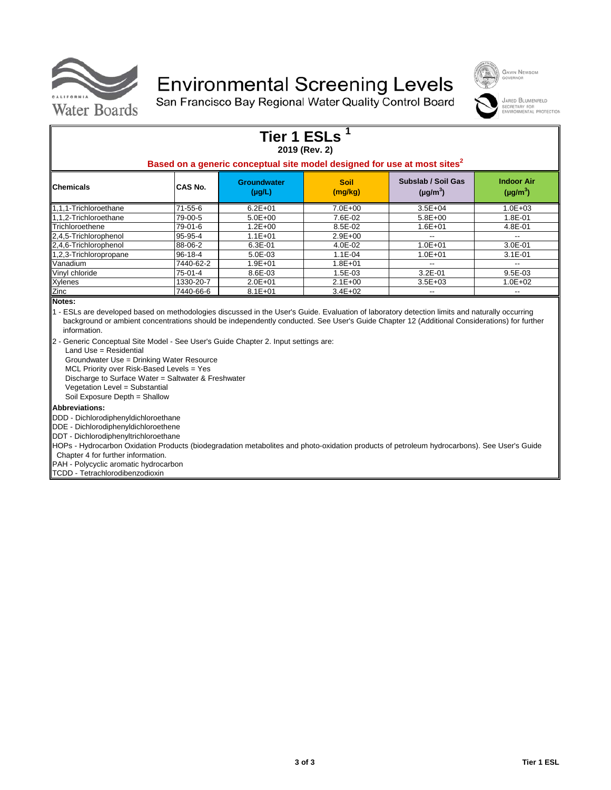

## **Environmental Screening Levels**

San Francisco Bay Regional Water Quality Control Board



JARED BLUMENFELD SECRETARY FOR<br>ENVIRONMENTAL PROTECTION

|                                                                                                                                                                          |           | <b>Tier 1 ESLs</b>                | 2019 (Rev. 2)          |                                                                                                                                             |                                    |
|--------------------------------------------------------------------------------------------------------------------------------------------------------------------------|-----------|-----------------------------------|------------------------|---------------------------------------------------------------------------------------------------------------------------------------------|------------------------------------|
|                                                                                                                                                                          |           |                                   |                        | Based on a generic conceptual site model designed for use at most sites <sup>2</sup>                                                        |                                    |
| Chemicals                                                                                                                                                                | CAS No.   | <b>Groundwater</b><br>$(\mu g/L)$ | <b>Soil</b><br>(mg/kg) | Subslab / Soil Gas<br>$(\mu g/m^3)$                                                                                                         | <b>Indoor Air</b><br>$(\mu g/m^3)$ |
| 1,1,1-Trichloroethane                                                                                                                                                    | 71-55-6   | $6.2E + 01$                       | $7.0E + 00$            | $3.5E + 04$                                                                                                                                 | $1.0E + 03$                        |
| 1.1.2-Trichloroethane                                                                                                                                                    | 79-00-5   | $5.0E + 00$                       | 7.6E-02                | $5.8E + 00$                                                                                                                                 | 1.8E-01                            |
| Trichloroethene                                                                                                                                                          | 79-01-6   | $1.2E + 00$                       | 8.5E-02                | $1.6E + 01$                                                                                                                                 | 4.8E-01                            |
| 2,4,5-Trichlorophenol                                                                                                                                                    | 95-95-4   | $1.1E + 01$                       | $2.9E + 00$            |                                                                                                                                             | $\overline{\phantom{a}}$           |
| 2,4,6-Trichlorophenol                                                                                                                                                    | 88-06-2   | $6.3E-01$                         | 4.0E-02                | $1.0E + 01$                                                                                                                                 | $3.0E - 01$                        |
| 1,2,3-Trichloropropane                                                                                                                                                   | 96-18-4   | 5.0E-03                           | $1.1E-04$              | $1.0E + 01$                                                                                                                                 | $3.1E-01$                          |
| Vanadium                                                                                                                                                                 | 7440-62-2 | $1.9E + 01$                       | $1.8E + 01$            |                                                                                                                                             | $-$                                |
| Vinyl chloride                                                                                                                                                           | 75-01-4   | 8.6E-03                           | 1.5E-03                | $3.2E - 01$                                                                                                                                 | $9.5E-03$                          |
| Xylenes                                                                                                                                                                  | 1330-20-7 | $2.0E + 01$                       | $2.1E + 00$            | $3.5E + 03$                                                                                                                                 | 1.0E+02                            |
| Zinc                                                                                                                                                                     | 7440-66-6 | $8.1E + 01$                       | $3.4E + 02$            |                                                                                                                                             |                                    |
| Notes:<br>1 - ESLs are developed based on methodologies discussed in the User's Guide. Evaluation of laboratory detection limits and naturally occurring<br>information. |           |                                   |                        | background or ambient concentrations should be independently conducted. See User's Guide Chapter 12 (Additional Considerations) for further |                                    |

2 - Generic Conceptual Site Model - See User's Guide Chapter 2. Input settings are:

Land Use = Residential

Groundwater Use = Drinking Water Resource

MCL Priority over Risk-Based Levels = Yes

Discharge to Surface Water = Saltwater & Freshwater

Vegetation Level = Substantial

Soil Exposure Depth = Shallow

#### **Abbreviations:**

DDD - Dichlorodiphenyldichloroethane

DDE - Dichlorodiphenyldichloroethene

DDT - Dichlorodiphenyltrichloroethane

HOPs - Hydrocarbon Oxidation Products (biodegradation metabolites and photo-oxidation products of petroleum hydrocarbons). See User's Guide

Chapter 4 for further information.

PAH - Polycyclic aromatic hydrocarbon

TCDD - Tetrachlorodibenzodioxin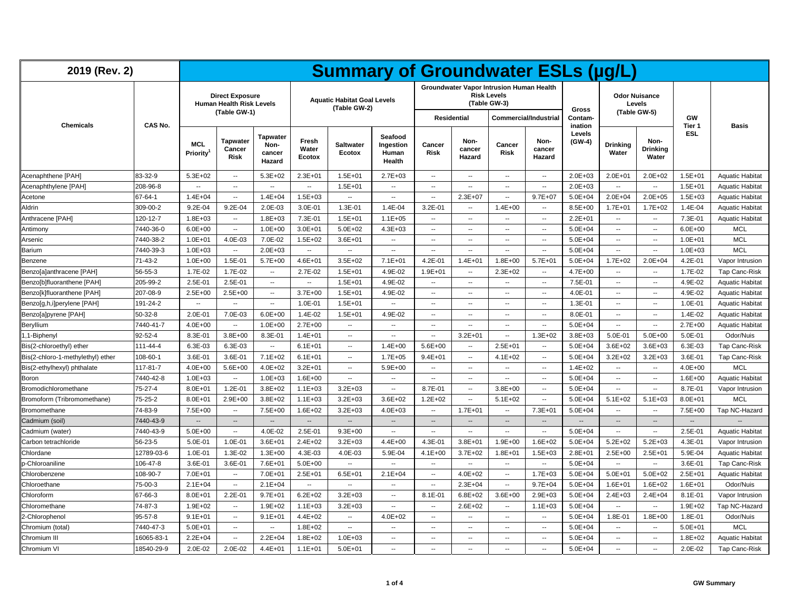| 2019 (Rev. 2)                     |               |                          |                                                                           |                                             |                          | <b>Summary of Groundwater ESLs (µg/L)</b>          |                                         |                          |                          |                                                                                |                          |                             |                          |                                                |                          |                        |
|-----------------------------------|---------------|--------------------------|---------------------------------------------------------------------------|---------------------------------------------|--------------------------|----------------------------------------------------|-----------------------------------------|--------------------------|--------------------------|--------------------------------------------------------------------------------|--------------------------|-----------------------------|--------------------------|------------------------------------------------|--------------------------|------------------------|
| <b>Chemicals</b>                  | CAS No.       |                          | <b>Direct Exposure</b><br><b>Human Health Risk Levels</b><br>(Table GW-1) |                                             |                          | <b>Aquatic Habitat Goal Levels</b><br>(Table GW-2) |                                         |                          | <b>Residential</b>       | Groundwater Vapor Intrusion Human Health<br><b>Risk Levels</b><br>(Table GW-3) | Commercial/Industrial    | Gross<br>Contam-<br>ination |                          | <b>Odor Nuisance</b><br>Levels<br>(Table GW-5) | GW<br>Tier 1             | <b>Basis</b>           |
|                                   |               | <b>MCL</b><br>Priority   | <b>Tapwater</b><br>Cancer<br>Risk                                         | <b>Tapwater</b><br>Non-<br>cancer<br>Hazard | Fresh<br>Water<br>Ecotox | <b>Saltwater</b><br>Ecotox                         | Seafood<br>Ingestion<br>Human<br>Health | Cancer<br><b>Risk</b>    | Non-<br>cancer<br>Hazard | Cancer<br>Risk                                                                 | Non-<br>cancer<br>Hazard | Levels<br>(GW-4)            | <b>Drinking</b><br>Water | Non-<br><b>Drinking</b><br>Water               | <b>ESL</b>               |                        |
| Acenaphthene [PAH]                | 83-32-9       | $5.3E + 02$              | $\overline{\phantom{a}}$                                                  | $5.3E + 02$                                 | $2.3E + 01$              | $1.5E + 01$                                        | $2.7E + 03$                             | $\sim$                   | $\overline{\phantom{a}}$ | $\sim$                                                                         | $\overline{\phantom{a}}$ | $2.0E + 03$                 | $2.0E + 01$              | $2.0E + 02$                                    | $1.5E + 01$              | <b>Aquatic Habitat</b> |
| Acenaphthylene [PAH]              | 208-96-8      |                          | $\ddot{\phantom{a}}$                                                      | $\overline{\phantom{a}}$                    | $\sim$                   | $1.5E + 01$                                        | $\overline{\phantom{a}}$                | $\sim$                   | $\overline{\phantom{a}}$ | $\overline{\phantom{a}}$                                                       | $\sim$                   | $2.0E + 03$                 | $\sim$                   | $\sim$                                         | $1.5E + 01$              | <b>Aquatic Habitat</b> |
| Acetone                           | 67-64-1       | $1.4E + 04$              | $\overline{\phantom{a}}$                                                  | $1.4E + 04$                                 | $1.5E + 03$              | $\sim$                                             | $\overline{\phantom{a}}$                | $\overline{\phantom{a}}$ | $2.3E + 07$              | $\overline{\phantom{a}}$                                                       | $9.7E + 07$              | $5.0E + 04$                 | $2.0E + 04$              | $2.0E + 05$                                    | $1.5E + 03$              | <b>Aquatic Habitat</b> |
| Aldrin                            | 309-00-2      | 9.2E-04                  | $9.2E - 04$                                                               | $2.0E-03$                                   | 3.0E-01                  | $1.3E - 01$                                        | 1.4E-04                                 | $3.2E - 01$              | ÷.                       | $1.4E + 00$                                                                    | $\sim$                   | $8.5E + 00$                 | $1.7E + 01$              | $1.7E + 02$                                    | 1.4E-04                  | <b>Aquatic Habitat</b> |
| Anthracene [PAH]                  | 120-12-7      | $1.8E + 03$              | $\overline{\phantom{a}}$                                                  | $1.8E + 03$                                 | 7.3E-01                  | $1.5E + 01$                                        | $1.1E + 05$                             | $\overline{\phantom{a}}$ | --                       | $\sim$                                                                         | $\overline{\phantom{a}}$ | $2.2E + 01$                 | $\overline{\phantom{a}}$ | $\overline{\phantom{a}}$                       | 7.3E-01                  | <b>Aquatic Habitat</b> |
| Antimony                          | 7440-36-0     | $6.0E + 00$              | --                                                                        | $1.0E + 00$                                 | $3.0E + 01$              | $5.0E + 02$                                        | $4.3E + 03$                             | $\overline{\phantom{a}}$ | --                       | $\overline{\phantom{a}}$                                                       | $\sim$                   | $5.0E + 04$                 | $\overline{\phantom{a}}$ | $\sim$                                         | $6.0E + 00$              | <b>MCL</b>             |
| Arsenic                           | 7440-38-2     | $1.0E + 01$              | 4.0E-03                                                                   | 7.0E-02                                     | $1.5E + 02$              | $3.6E + 01$                                        | $\overline{\phantom{a}}$                | $\overline{\phantom{a}}$ | $\overline{a}$           | $\overline{\phantom{a}}$                                                       | $\overline{\phantom{a}}$ | $5.0E + 04$                 | $\overline{\phantom{a}}$ | $\overline{\phantom{a}}$                       | $1.0E + 01$              | <b>MCL</b>             |
| Barium                            | 7440-39-3     | $1.0E + 03$              | $\overline{\phantom{a}}$                                                  | $2.0E + 03$                                 | $\sim$                   | μ.                                                 | $\overline{\phantom{a}}$                | $\overline{\phantom{a}}$ | $\overline{a}$           | $\overline{\phantom{a}}$                                                       | $\overline{\phantom{a}}$ | $5.0E + 04$                 | $\overline{\phantom{a}}$ | $\overline{\phantom{a}}$                       | $1.0E + 03$              | <b>MCL</b>             |
| Benzene                           | 71-43-2       | $1.0E + 00$              | 1.5E-01                                                                   | $5.7E+00$                                   | $4.6E + 01$              | $3.5E + 02$                                        | $7.1E + 01$                             | 4.2E-01                  | $1.4E + 01$              | $1.8E + 00$                                                                    | $5.7E + 01$              | $5.0E + 04$                 | $1.7E + 02$              | $2.0E + 04$                                    | 4.2E-01                  | Vapor Intrusion        |
| Benzo[a]anthracene [PAH]          | 56-55-3       | 1.7E-02                  | 1.7E-02                                                                   | $\overline{\phantom{a}}$                    | 2.7E-02                  | $1.5E + 01$                                        | 4.9E-02                                 | $1.9E + 01$              | --                       | $2.3E + 02$                                                                    | $\overline{\phantom{a}}$ | $4.7E + 00$                 | $\overline{\phantom{a}}$ | $\overline{\phantom{a}}$                       | 1.7E-02                  | Tap Canc-Risk          |
| Benzo[b]fluoranthene [PAH]        | 205-99-2      | 2.5E-01                  | 2.5E-01                                                                   |                                             | $\sim$                   | $1.5E + 01$                                        | 4.9E-02                                 | $\overline{\phantom{a}}$ | ÷.                       | $\overline{\phantom{a}}$                                                       | $\sim$                   | 7.5E-01                     | $\overline{\phantom{a}}$ | $\sim$                                         | 4.9E-02                  | <b>Aquatic Habitat</b> |
| Benzo[k]fluoranthene [PAH]        | 207-08-9      | $2.5E+00$                | $2.5E+00$                                                                 | $\overline{\phantom{a}}$                    | $3.7E + 00$              | $1.5E + 01$                                        | 4.9E-02                                 | $\overline{\phantom{a}}$ | ۰.                       | $\overline{\phantom{a}}$                                                       | $\overline{\phantom{a}}$ | 4.0E-01                     | $\overline{\phantom{a}}$ | $\overline{\phantom{a}}$                       | 4.9E-02                  | <b>Aquatic Habitat</b> |
| Benzo[g,h,i]perylene [PAH]        | 191-24-2      | $\overline{\phantom{a}}$ | $\overline{\phantom{a}}$                                                  | $\overline{\phantom{a}}$                    | 1.0E-01                  | $1.5E + 01$                                        | $\overline{\phantom{a}}$                | $\overline{\phantom{a}}$ | ۰.                       | $\overline{\phantom{a}}$                                                       | $\overline{\phantom{a}}$ | $1.3E-01$                   | $\overline{\phantom{a}}$ | $\overline{\phantom{a}}$                       | 1.0E-01                  | <b>Aquatic Habitat</b> |
| Benzo[a]pyrene [PAH]              | $50 - 32 - 8$ | 2.0E-01                  | 7.0E-03                                                                   | $6.0E + 00$                                 | 1.4E-02                  | $1.5E + 01$                                        | 4.9E-02                                 | $\overline{\phantom{a}}$ | --                       | $\overline{\phantom{a}}$                                                       | $\overline{\phantom{a}}$ | 8.0E-01                     | $\overline{\phantom{a}}$ | $\overline{\phantom{a}}$                       | 1.4E-02                  | <b>Aquatic Habitat</b> |
| Beryllium                         | 7440-41-7     | 4.0E+00                  | $\overline{\phantom{a}}$                                                  | $1.0E + 00$                                 | $2.7E + 00$              | $\overline{\phantom{a}}$                           | $\sim$                                  | $\sim$                   | --                       | $\sim$                                                                         | $\overline{\phantom{a}}$ | $5.0E + 04$                 | $\overline{\phantom{a}}$ | $\sim$                                         | $2.7E+00$                | <b>Aquatic Habitat</b> |
| 1,1-Biphenyl                      | 92-52-4       | 8.3E-01                  | $3.8E + 00$                                                               | 8.3E-01                                     | $1.4E + 01$              | μ.                                                 | Ξ.                                      | $\sim$                   | $3.2E + 01$              | Ξ.                                                                             | $1.3E + 02$              | $3.8E + 03$                 | 5.0E-01                  | $5.0E + 00$                                    | 5.0E-01                  | Odor/Nuis              |
| Bis(2-chloroethyl) ether          | 111-44-4      | 6.3E-03                  | 6.3E-03                                                                   | $\sim$                                      | $6.1E + 01$              | $\overline{a}$                                     | $1.4E + 00$                             | $5.6E + 00$              | $\overline{\phantom{a}}$ | $2.5E + 01$                                                                    | $\sim$                   | $5.0E + 04$                 | $3.6E + 02$              | $3.6E + 03$                                    | 6.3E-03                  | Tap Canc-Risk          |
| Bis(2-chloro-1-methylethyl) ether | 108-60-1      | 3.6E-01                  | 3.6E-01                                                                   | $7.1E + 02$                                 | $6.1E + 01$              | --                                                 | $1.7E + 05$                             | $9.4E + 01$              | --                       | $4.1E + 02$                                                                    | $\overline{\phantom{a}}$ | $5.0E + 04$                 | $3.2E + 02$              | $3.2E + 03$                                    | 3.6E-01                  | <b>Tap Canc-Risk</b>   |
| Bis(2-ethylhexyl) phthalate       | 117-81-7      | 4.0E+00                  | $5.6E + 00$                                                               | $4.0E + 02$                                 | $3.2E + 01$              | $\overline{\phantom{a}}$                           | $5.9E + 00$                             | $\overline{\phantom{a}}$ | $\overline{\phantom{a}}$ | $\overline{\phantom{a}}$                                                       | $\overline{\phantom{a}}$ | $1.4E + 02$                 | $\overline{\phantom{a}}$ | $\overline{\phantom{a}}$                       | $4.0E + 00$              | <b>MCL</b>             |
| Boron                             | 7440-42-8     | $1.0E + 03$              | $\overline{a}$                                                            | $1.0E + 03$                                 | $1.6E + 00$              | $\overline{\phantom{a}}$                           | $\overline{\phantom{a}}$                | $\overline{\phantom{a}}$ | ۰.                       | $\overline{\phantom{a}}$                                                       | $\overline{\phantom{a}}$ | $5.0E + 04$                 | $\overline{\phantom{a}}$ | $\overline{\phantom{a}}$                       | $1.6E + 00$              | <b>Aquatic Habitat</b> |
| Bromodichloromethane              | 75-27-4       | $8.0E + 01$              | $1.2E - 01$                                                               | $3.8E + 02$                                 | $1.1E + 03$              | $3.2E + 03$                                        | $\sim$                                  | 8.7E-01                  | $\overline{\phantom{a}}$ | $3.8E + 00$                                                                    | $\sim$                   | $5.0E + 04$                 | $\sim$                   | $\sim$                                         | 8.7E-01                  | Vapor Intrusion        |
| Bromoform (Tribromomethane)       | $75 - 25 - 2$ | $8.0E + 01$              | $2.9E + 00$                                                               | $3.8E + 02$                                 | $1.1E + 03$              | $3.2E + 03$                                        | $3.6E + 02$                             | $1.2E + 02$              | $\overline{\phantom{a}}$ | $5.1E+02$                                                                      | $\overline{\phantom{a}}$ | $5.0E + 04$                 | $5.1E + 02$              | $5.1E + 03$                                    | $8.0E + 01$              | <b>MCL</b>             |
| Bromomethane                      | 74-83-9       | $7.5E+00$                | $\ddotsc$                                                                 | 7.5E+00                                     | $1.6E + 02$              | $3.2E + 03$                                        | $4.0E + 03$                             | $\sim$                   | $1.7E + 01$              | Ξ.                                                                             | $7.3E + 01$              | $5.0E + 04$                 | ۰.                       | $\overline{\phantom{a}}$                       | $7.5E + 00$              | Tap NC-Hazard          |
| Cadmium (soil)                    | 7440-43-9     | $\overline{\phantom{a}}$ | $\overline{\phantom{a}}$                                                  | $\overline{\phantom{a}}$                    | $\overline{\phantom{a}}$ | $\overline{\phantom{a}}$                           | $\overline{\phantom{a}}$                | $\overline{\phantom{a}}$ | --                       | $\overline{\phantom{a}}$                                                       | $\overline{\phantom{a}}$ | $\overline{\phantom{a}}$    | $\overline{\phantom{a}}$ | $\overline{\phantom{a}}$                       | $\overline{\phantom{a}}$ |                        |
| Cadmium (water)                   | 7440-43-9     | $5.0E + 00$              | --                                                                        | 4.0E-02                                     | 2.5E-01                  | $9.3E + 00$                                        |                                         |                          | $\overline{\phantom{a}}$ | $\sim$                                                                         | $\overline{\phantom{a}}$ | $5.0E + 04$                 | $\sim$                   | $\sim$                                         | 2.5E-01                  | <b>Aquatic Habitat</b> |
| Carbon tetrachloride              | 56-23-5       | 5.0E-01                  | 1.0E-01                                                                   | $3.6E + 01$                                 | $2.4E + 02$              | $3.2E + 03$                                        | $4.4E + 00$                             | $4.3E - 01$              | $3.8E + 01$              | $1.9E + 00$                                                                    | $1.6E + 02$              | $5.0E + 04$                 | $5.2E + 02$              | $5.2E + 03$                                    | 4.3E-01                  | Vapor Intrusion        |
| Chlordane                         | 12789-03-6    | 1.0E-01                  | 1.3E-02                                                                   | $1.3E + 00$                                 | 4.3E-03                  | 4.0E-03                                            | 5.9E-04                                 | $4.1E + 00$              | $3.7E + 02$              | $1.8E + 01$                                                                    | $1.5E + 03$              | $2.8E + 01$                 | $2.5E+00$                | $2.5E + 01$                                    | 5.9E-04                  | <b>Aquatic Habitat</b> |
| p-Chloroaniline                   | 106-47-8      | 3.6E-01                  | 3.6E-01                                                                   | 7.6E+01                                     | $5.0E + 00$              | ۰.                                                 | $\overline{\phantom{a}}$                | $\overline{\phantom{a}}$ | ۰.                       | $\overline{\phantom{a}}$                                                       | $\overline{\phantom{a}}$ | $5.0E + 04$                 | $\overline{\phantom{a}}$ | $\overline{\phantom{a}}$                       | 3.6E-01                  | Tap Canc-Risk          |
| Chlorobenzene                     | 108-90-7      | 7.0E+01                  | $\overline{\phantom{a}}$                                                  | 7.0E+01                                     | $2.5E + 01$              | $6.5E + 01$                                        | $2.1E + 04$                             | $\overline{\phantom{a}}$ | $4.0E + 02$              | $\overline{\phantom{a}}$                                                       | $1.7E + 03$              | $5.0E + 04$                 | $5.0E + 01$              | $5.0E + 02$                                    | $2.5E + 01$              | <b>Aquatic Habitat</b> |
| Chloroethane                      | 75-00-3       | $2.1E + 04$              | $\ddot{\phantom{a}}$                                                      | $2.1E + 04$                                 | $\overline{\phantom{a}}$ | ۰.                                                 | $\overline{\phantom{a}}$                | $\overline{\phantom{a}}$ | $2.3E + 04$              | $\overline{\phantom{a}}$                                                       | $9.7E + 04$              | $5.0E + 04$                 | $1.6E + 01$              | $1.6E + 02$                                    | $1.6E + 01$              | Odor/Nuis              |
| Chloroform                        | 67-66-3       | $8.0E + 01$              | $2.2E - 01$                                                               | $9.7E + 01$                                 | $6.2E + 02$              | $3.2E + 03$                                        | $\sim$                                  | 8.1E-01                  | $6.8E + 02$              | $3.6E + 00$                                                                    | $2.9E + 03$              | $5.0E + 04$                 | $2.4E + 03$              | $2.4E + 04$                                    | $8.1E - 01$              | Vapor Intrusion        |
| Chloromethane                     | 74-87-3       | $1.9E + 02$              | $\overline{a}$                                                            | $1.9E + 02$                                 | $1.1E + 03$              | $3.2E + 03$                                        | --                                      | $\mathbf{L}$             | $2.6E + 02$              | $\overline{\phantom{a}}$                                                       | $1.1E + 03$              | $5.0E + 04$                 | $\overline{\phantom{a}}$ | $\overline{\phantom{a}}$                       | $1.9E + 02$              | Tap NC-Hazard          |
| 2-Chlorophenol                    | $95 - 57 - 8$ | $9.1E + 01$              | $\overline{\phantom{a}}$                                                  | $9.1E + 01$                                 | $4.4E + 02$              | ۰.                                                 | $4.0E + 02$                             | $\overline{\phantom{a}}$ | ۰.                       | $\overline{\phantom{a}}$                                                       | $\overline{\phantom{a}}$ | $5.0E + 04$                 | 1.8E-01                  | $1.8E + 00$                                    | 1.8E-01                  | Odor/Nuis              |
| Chromium (total)                  | 7440-47-3     | $5.0E + 01$              | $\overline{a}$                                                            | $\overline{\phantom{a}}$                    | $1.8E + 02$              | --                                                 | $\overline{\phantom{a}}$                | $\overline{\phantom{a}}$ | $\overline{\phantom{a}}$ | $\overline{\phantom{a}}$                                                       | $\overline{\phantom{a}}$ | $5.0E + 04$                 | $\sim$                   | $\sim$                                         | $5.0E + 01$              | <b>MCL</b>             |
| Chromium III                      | 16065-83-1    | $2.2E + 04$              | $\ddot{\phantom{a}}$                                                      | $2.2E + 04$                                 | $1.8E + 02$              | $1.0E + 03$                                        | $\overline{\phantom{a}}$                | $\overline{\phantom{a}}$ | ۰.                       | $\overline{a}$                                                                 | $\overline{\phantom{a}}$ | $5.0E + 04$                 | $\overline{\phantom{a}}$ | $\overline{\phantom{a}}$                       | $1.8E + 02$              | <b>Aquatic Habitat</b> |
| Chromium VI                       | 18540-29-9    | 2.0E-02                  | 2.0E-02                                                                   | $4.4E + 01$                                 | $1.1E + 01$              | $5.0E + 01$                                        | $\overline{\phantom{a}}$                | $\overline{\phantom{a}}$ | --                       | $\sim$                                                                         | $\overline{\phantom{a}}$ | $5.0E + 04$                 | $\overline{\phantom{a}}$ | $\overline{\phantom{a}}$                       | 2.0E-02                  | Tap Canc-Risk          |
|                                   |               |                          |                                                                           |                                             |                          |                                                    |                                         |                          |                          |                                                                                |                          |                             |                          |                                                |                          |                        |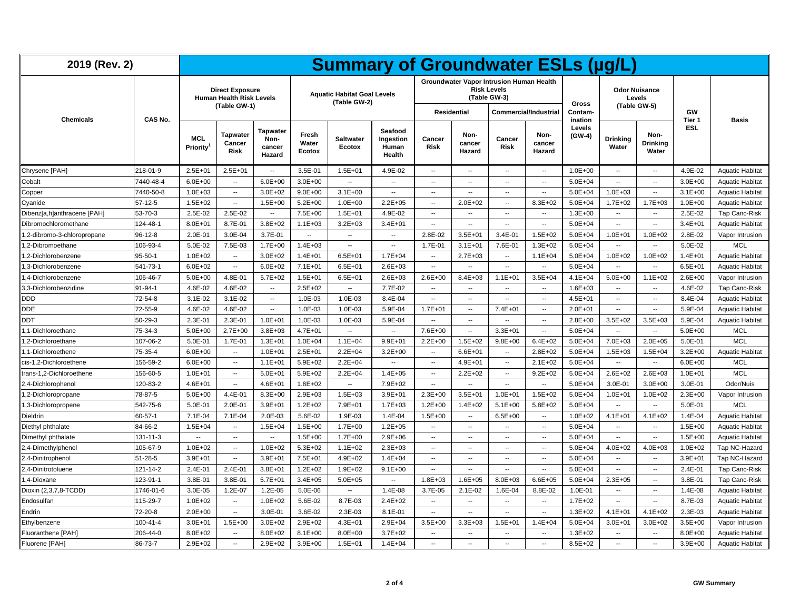| 2019 (Rev. 2)               |                |                               |                                                                           |                                             |                          | <b>Summary of Groundwater ESLs (µg/L)</b>          |                                         |                          |                          |                                                                                |                          |                           |                                      |                           |              |                        |
|-----------------------------|----------------|-------------------------------|---------------------------------------------------------------------------|---------------------------------------------|--------------------------|----------------------------------------------------|-----------------------------------------|--------------------------|--------------------------|--------------------------------------------------------------------------------|--------------------------|---------------------------|--------------------------------------|---------------------------|--------------|------------------------|
|                             |                |                               | <b>Direct Exposure</b><br><b>Human Health Risk Levels</b><br>(Table GW-1) |                                             |                          | <b>Aquatic Habitat Goal Levels</b><br>(Table GW-2) |                                         |                          |                          | Groundwater Vapor Intrusion Human Health<br><b>Risk Levels</b><br>(Table GW-3) |                          | Gross                     | <b>Odor Nuisance</b><br>(Table GW-5) | Levels                    |              |                        |
| <b>Chemicals</b>            | CAS No.        |                               |                                                                           |                                             |                          |                                                    |                                         |                          | Residential              |                                                                                | Commercial/Industrial    | <b>Contam-</b><br>ination |                                      |                           | GW<br>Tier 1 | <b>Basis</b>           |
|                             |                | <b>MCL</b><br><b>Priority</b> | <b>Tapwater</b><br>Cancer<br><b>Risk</b>                                  | <b>Tapwater</b><br>Non-<br>cancer<br>Hazard | Fresh<br>Water<br>Ecotox | <b>Saltwater</b><br>Ecotox                         | Seafood<br>Ingestion<br>Human<br>Health | Cancer<br><b>Risk</b>    | Non-<br>cancer<br>Hazard | Cancer<br>Risk                                                                 | Non-<br>cancer<br>Hazard | Levels<br>$(GW-4)$        | <b>Drinking</b><br>Water             | Non-<br>Drinking<br>Water | <b>ESL</b>   |                        |
| Chrysene [PAH]              | 218-01-9       | $2.5E + 01$                   | $2.5E + 01$                                                               | $\overline{\phantom{a}}$                    | 3.5E-01                  | $1.5E + 01$                                        | 4.9E-02                                 | $\sim$                   | $\overline{\phantom{a}}$ | $\overline{a}$                                                                 | $\overline{\phantom{a}}$ | $1.0E + 00$               | $\overline{\phantom{a}}$             | $\sim$                    | 4.9E-02      | <b>Aquatic Habitat</b> |
| Cobalt                      | 7440-48-4      | $6.0E + 00$                   | $\overline{\phantom{a}}$                                                  | $6.0E + 00$                                 | $3.0E + 00$              | ۰.                                                 | $\overline{\phantom{a}}$                | $\sim$                   | $\overline{\phantom{a}}$ | --                                                                             | $\ddotsc$                | $5.0E + 04$               | $\overline{\phantom{a}}$             | ۰.                        | $3.0E + 00$  | <b>Aquatic Habitat</b> |
| Copper                      | 7440-50-8      | $1.0E + 03$                   | $\overline{\phantom{a}}$                                                  | $3.0E + 02$                                 | $9.0E + 00$              | $3.1E + 00$                                        | $\ddotsc$                               | $\overline{\phantom{a}}$ | $\overline{\phantom{a}}$ | $\overline{\phantom{a}}$                                                       | $\ddotsc$                | $5.0E + 04$               | $1.0E + 03$                          | ۰.                        | $3.1E + 00$  | <b>Aquatic Habitat</b> |
| Cyanide                     | $57-12-5$      | $1.5E + 02$                   | $\overline{\phantom{a}}$                                                  | $1.5E + 00$                                 | $5.2E + 00$              | $1.0E + 00$                                        | $2.2E + 05$                             | $\overline{\phantom{a}}$ | $2.0E + 02$              | $\overline{\phantom{a}}$                                                       | $8.3E + 02$              | $5.0E + 04$               | $1.7E + 02$                          | $1.7E + 03$               | $1.0E + 00$  | <b>Aquatic Habitat</b> |
| Dibenz[a,h]anthracene [PAH] | 53-70-3        | 2.5E-02                       | 2.5E-02                                                                   | $\overline{\phantom{a}}$                    | 7.5E+00                  | $1.5E + 01$                                        | 4.9E-02                                 | $\overline{\phantom{a}}$ | $\overline{\phantom{a}}$ | $\overline{\phantom{a}}$                                                       | $\overline{\phantom{a}}$ | $1.3E + 00$               | $\overline{\phantom{a}}$             | ۰.                        | 2.5E-02      | Tap Canc-Risk          |
| Dibromochloromethane        | 124-48-1       | $8.0E + 01$                   | 8.7E-01                                                                   | $3.8E + 02$                                 | $1.1E + 03$              | $3.2E + 03$                                        | $3.4E + 01$                             | $\sim$                   | $\overline{a}$           | $\overline{\phantom{a}}$                                                       | $\sim$                   | $5.0E + 04$               | $\overline{a}$                       | $\sim$                    | $3.4E + 01$  | <b>Aquatic Habitat</b> |
| ,2-dibromo-3-chloropropane  | 96-12-8        | 2.0E-01                       | 3.0E-04                                                                   | 3.7E-01                                     | $\overline{\phantom{a}}$ | --                                                 | $\overline{\phantom{a}}$                | 2.8E-02                  | $3.5E + 01$              | 3.4E-01                                                                        | $1.5E + 02$              | $5.0E + 04$               | $1.0E + 01$                          | $1.0E + 02$               | 2.8E-02      | Vapor Intrusion        |
| ,2-Dibromoethane            | 106-93-4       | 5.0E-02                       | 7.5E-03                                                                   | $1.7E + 00$                                 | $1.4E + 03$              | ۰.                                                 | $\overline{\phantom{a}}$                | 1.7E-01                  | $3.1E + 01$              | 7.6E-01                                                                        | $1.3E + 02$              | $5.0E + 04$               | $\overline{\phantom{a}}$             | ۰.                        | 5.0E-02      | <b>MCL</b>             |
| ,2-Dichlorobenzene          | $95 - 50 - 1$  | $1.0E + 02$                   | $\sim$                                                                    | $3.0E + 02$                                 | $1.4E + 01$              | $6.5E + 01$                                        | $1.7E + 04$                             | $\overline{\phantom{a}}$ | $2.7E + 03$              | $\sim$                                                                         | $1.1E + 04$              | $5.0E + 04$               | $1.0E + 02$                          | $1.0E + 02$               | $1.4E + 01$  | <b>Aquatic Habitat</b> |
| 1,3-Dichlorobenzene         | 541-73-1       | $6.0E + 02$                   | $\overline{\phantom{a}}$                                                  | $6.0E + 02$                                 | $7.1E + 01$              | $6.5E + 01$                                        | $2.6E + 03$                             | $\sim$                   | $\overline{\phantom{a}}$ | $\overline{\phantom{a}}$                                                       | $\overline{\phantom{a}}$ | $5.0E + 04$               | $\sim$                               | ۰.                        | $6.5E + 01$  | <b>Aquatic Habitat</b> |
| 1,4-Dichlorobenzene         | 106-46-7       | $5.0E + 00$                   | 4.8E-01                                                                   | $5.7E + 02$                                 | $1.5E + 01$              | $6.5E + 01$                                        | $2.6E + 03$                             | $2.6E + 00$              | $8.4E + 03$              | $1.1E + 01$                                                                    | $3.5E + 04$              | $4.1E + 04$               | $5.0E + 00$                          | $1.1E + 02$               | $2.6E + 00$  | Vapor Intrusion        |
| 3,3-Dichlorobenzidine       | 91-94-1        | 4.6E-02                       | 4.6E-02                                                                   | $\overline{\phantom{a}}$                    | $2.5E + 02$              | μ.                                                 | 7.7E-02                                 | $\sim$                   | $\overline{\phantom{a}}$ | $\sim$                                                                         | $\sim$                   | $1.6E + 03$               | $\sim$                               | $\sim$                    | 4.6E-02      | Tap Canc-Risk          |
| DDD                         | 72-54-8        | $3.1E-02$                     | $3.1E-02$                                                                 | $\overline{\phantom{a}}$                    | 1.0E-03                  | 1.0E-03                                            | 8.4E-04                                 | $\sim$                   | $\overline{\phantom{a}}$ | --                                                                             | $\overline{\phantom{a}}$ | $4.5E + 01$               | $\overline{\phantom{a}}$             | ۰.                        | 8.4E-04      | <b>Aquatic Habitat</b> |
| <b>DDE</b>                  | 72-55-9        | 4.6E-02                       | 4.6E-02                                                                   | $\overline{\phantom{a}}$                    | 1.0E-03                  | 1.0E-03                                            | 5.9E-04                                 | $1.7E + 01$              | $\overline{\phantom{a}}$ | $7.4E + 01$                                                                    | $\overline{\phantom{a}}$ | $2.0E + 01$               | $\overline{\phantom{a}}$             | ۰.                        | 5.9E-04      | <b>Aquatic Habitat</b> |
| DDT                         | $50 - 29 - 3$  | 2.3E-01                       | 2.3E-01                                                                   | $1.0E + 01$                                 | 1.0E-03                  | 1.0E-03                                            | 5.9E-04                                 | $\sim$                   | $\overline{\phantom{a}}$ | $\overline{\phantom{a}}$                                                       | $\overline{\phantom{a}}$ | $2.8E + 00$               | $3.5E + 02$                          | $3.5E + 03$               | 5.9E-04      | <b>Aquatic Habitat</b> |
| 1,1-Dichloroethane          | 75-34-3        | $5.0E + 00$                   | $2.7E + 00$                                                               | $3.8E + 03$                                 | $4.7E + 01$              | $\overline{\phantom{a}}$                           | $\overline{\phantom{a}}$                | 7.6E+00                  | $\overline{\phantom{a}}$ | $3.3E + 01$                                                                    | $\overline{\phantom{a}}$ | $5.0E + 04$               | $\sim$                               | ۰.                        | $5.0E + 00$  | <b>MCL</b>             |
| 1,2-Dichloroethane          | 107-06-2       | 5.0E-01                       | 1.7E-01                                                                   | $1.3E + 01$                                 | $1.0E + 04$              | $1.1E + 04$                                        | $9.9E + 01$                             | $2.2E+00$                | $1.5E + 02$              | $9.8E + 00$                                                                    | $6.4E + 02$              | $5.0E + 04$               | 7.0E+03                              | $2.0E + 05$               | 5.0E-01      | <b>MCL</b>             |
| 1.1-Dichloroethene          | 75-35-4        | $6.0E + 00$                   | $\overline{\phantom{a}}$                                                  | $1.0E + 01$                                 | $2.5E + 01$              | $2.2E + 04$                                        | $3.2E + 00$                             | $\sim$                   | $6.6E + 01$              | $\overline{\phantom{a}}$                                                       | $2.8E + 02$              | $5.0E + 04$               | $1.5E + 03$                          | $1.5E + 04$               | $3.2E + 00$  | <b>Aquatic Habitat</b> |
| cis-1,2-Dichloroethene      | 156-59-2       | $6.0E + 00$                   | $\overline{\phantom{a}}$                                                  | $1.1E + 01$                                 | $5.9E + 02$              | $2.2E + 04$                                        | $\overline{\phantom{a}}$                | $\sim$                   | $4.9E + 01$              | $\sim$                                                                         | $2.1E + 02$              | $5.0E + 04$               | $\overline{\phantom{a}}$             | $\overline{\phantom{a}}$  | $6.0E + 00$  | <b>MCL</b>             |
| trans-1.2-Dichloroethene    | 156-60-5       | $1.0E + 01$                   | $\ddotsc$                                                                 | $5.0E + 01$                                 | $5.9E + 02$              | $2.2E + 04$                                        | $1.4E + 05$                             | $\overline{\phantom{a}}$ | $2.2E + 02$              | $\overline{\phantom{a}}$                                                       | $9.2E + 02$              | $5.0E + 04$               | $2.6E + 02$                          | $2.6E + 03$               | $1.0E + 01$  | <b>MCL</b>             |
| 2,4-Dichlorophenol          | 120-83-2       | $4.6E + 01$                   | $\ddotsc$                                                                 | $4.6E + 01$                                 | $1.8E + 02$              | $\overline{\phantom{a}}$                           | 7.9E+02                                 | $\overline{\phantom{a}}$ | $\overline{\phantom{a}}$ | $\overline{\phantom{a}}$                                                       | $\overline{\phantom{a}}$ | $5.0E + 04$               | 3.0E-01                              | $3.0E + 00$               | 3.0E-01      | Odor/Nuis              |
| 1,2-Dichloropropane         | 78-87-5        | $5.0E + 00$                   | 4.4E-01                                                                   | $8.3E + 00$                                 | $2.9E + 03$              | $1.5E + 03$                                        | $3.9E + 01$                             | $2.3E + 00$              | $3.5E + 01$              | $1.0E + 01$                                                                    | $1.5E + 02$              | $5.0E + 04$               | $1.0E + 01$                          | $1.0E + 02$               | $2.3E+00$    | Vapor Intrusion        |
| 1,3-Dichloropropene         | 542-75-6       | 5.0E-01                       | 2.0E-01                                                                   | $3.9E + 01$                                 | $1.2E + 02$              | 7.9E+01                                            | $1.7E + 03$                             | $1.2E + 00$              | $1.4E + 02$              | $5.1E+00$                                                                      | $5.8E + 02$              | $5.0E + 04$               | $\sim$                               | $\overline{a}$            | 5.0E-01      | <b>MCL</b>             |
| <b>Dieldrin</b>             | $60 - 57 - 1$  | $7.1E-04$                     | 7.1E-04                                                                   | 2.0E-03                                     | 5.6E-02                  | 1.9E-03                                            | 1.4E-04                                 | $1.5E + 00$              | $\overline{\phantom{a}}$ | $6.5E + 00$                                                                    | $\sim$                   | $1.0E + 02$               | $4.1E + 01$                          | $4.1E + 02$               | 1.4E-04      | <b>Aquatic Habitat</b> |
| Diethyl phthalate           | 84-66-2        | $1.5E + 04$                   | $\overline{\phantom{a}}$                                                  | $1.5E + 04$                                 | $1.5E + 00$              | $1.7E + 00$                                        | $1.2E + 05$                             | $\overline{\phantom{a}}$ | $\overline{\phantom{a}}$ | $\overline{a}$                                                                 | $\sim$                   | $5.0E + 04$               | $\overline{\phantom{a}}$             | $\overline{a}$            | $1.5E + 00$  | <b>Aquatic Habitat</b> |
| Dimethyl phthalate          | 131-11-3       | $\overline{\phantom{a}}$      | $\ddotsc$                                                                 | $\overline{\phantom{a}}$                    | $1.5E + 00$              | $1.7E + 00$                                        | $2.9E + 06$                             | $\sim$                   | $\overline{\phantom{a}}$ | --                                                                             | $\overline{\phantom{a}}$ | $5.0E + 04$               | $\overline{\phantom{a}}$             | μ.                        | $1.5E + 00$  | <b>Aquatic Habitat</b> |
| 2,4-Dimethylphenol          | 105-67-9       | $1.0E + 02$                   | $\ddotsc$                                                                 | $1.0E + 02$                                 | $5.3E + 02$              | $1.1E + 02$                                        | $2.3E + 03$                             | $\overline{\phantom{a}}$ | --                       | $\overline{\phantom{a}}$                                                       | $\overline{\phantom{a}}$ | $5.0E + 04$               | $4.0E + 02$                          | $4.0E + 03$               | $1.0E + 02$  | Tap NC-Hazard          |
| 2,4-Dinitrophenol           | $51 - 28 - 5$  | $3.9E + 01$                   | $\overline{\phantom{a}}$                                                  | 3.9E+01                                     | 7.5E+01                  | $4.9E + 02$                                        | $1.4E + 04$                             | $\overline{\phantom{a}}$ | $\overline{\phantom{a}}$ | $\overline{\phantom{a}}$                                                       | $\sim$                   | $5.0E + 04$               | $\overline{\phantom{a}}$             | $\overline{a}$            | $3.9E + 01$  | Tap NC-Hazard          |
| 2,4-Dinitrotoluene          | 121-14-2       | 2.4E-01                       | $2.4E - 01$                                                               | $3.8E + 01$                                 | $1.2E + 02$              | $1.9E + 02$                                        | $9.1E + 00$                             | $\overline{\phantom{a}}$ | $\overline{\phantom{a}}$ | $\overline{\phantom{a}}$                                                       | $\ddotsc$                | $5.0E + 04$               | $\overline{\phantom{a}}$             | ۰.                        | $2.4E - 01$  | Tap Canc-Risk          |
| 1.4-Dioxane                 | 123-91-1       | 3.8E-01                       | 3.8E-01                                                                   | $5.7E + 01$                                 | $3.4E + 05$              | $5.0E + 05$                                        | $\sim$                                  | $1.8E + 03$              | $1.6E + 05$              | $8.0E + 03$                                                                    | $6.6E + 05$              | $5.0E + 04$               | $2.3E + 05$                          | ۰.                        | 3.8E-01      | <b>Tap Canc-Risk</b>   |
| Dioxin (2,3,7,8-TCDD)       | 1746-01-6      | 3.0E-05                       | 1.2E-07                                                                   | 1.2E-05                                     | 5.0E-06                  | $\overline{\phantom{a}}$                           | 1.4E-08                                 | 3.7E-05                  | $2.1E-02$                | 1.6E-04                                                                        | 8.8E-02                  | 1.0E-01                   | $\overline{\phantom{a}}$             | $\overline{a}$            | 1.4E-08      | <b>Aquatic Habitat</b> |
| Endosulfan                  | 115-29-7       | $1.0E + 02$                   | $\ddotsc$                                                                 | $1.0E + 02$                                 | 5.6E-02                  | 8.7E-03                                            | $2.4E + 02$                             | $\overline{\phantom{a}}$ | --                       | $\overline{\phantom{a}}$                                                       | $\overline{\phantom{a}}$ | $1.7E + 02$               | $\overline{\phantom{a}}$             | ۰.                        | 8.7E-03      | <b>Aquatic Habitat</b> |
| Endrin                      | 72-20-8        | $2.0E + 00$                   | $\sim$                                                                    | 3.0E-01                                     | 3.6E-02                  | 2.3E-03                                            | 8.1E-01                                 | $\overline{\phantom{a}}$ | $\overline{\phantom{a}}$ | ٠.                                                                             | $\sim$                   | $1.3E + 02$               | $4.1E + 01$                          | $4.1E + 02$               | 2.3E-03      | <b>Aquatic Habitat</b> |
| Ethylbenzene                | $100 - 41 - 4$ | $3.0E + 01$                   | $1.5E + 00$                                                               | $3.0E + 02$                                 | $2.9E + 02$              | $4.3E + 01$                                        | $2.9E + 04$                             | $3.5E + 00$              | $3.3E + 03$              | $1.5E + 01$                                                                    | $1.4E + 04$              | $5.0E + 04$               | $3.0E + 01$                          | $3.0E + 02$               | $3.5E + 00$  | Vapor Intrusion        |
| Fluoranthene [PAH]          | 206-44-0       | $8.0E + 02$                   | μ.                                                                        | $8.0E + 02$                                 | $8.1E + 00$              | $8.0E + 00$                                        | $3.7E + 02$                             | $\sim$                   | $\overline{\phantom{a}}$ | $\overline{\phantom{a}}$                                                       | $\sim$                   | $1.3E + 02$               | $\overline{\phantom{a}}$             | μ.                        | $8.0E + 00$  | <b>Aquatic Habitat</b> |
| Fluorene [PAH]              | 86-73-7        | $2.9E + 02$                   | $\overline{a}$                                                            | $2.9E + 02$                                 | $3.9E + 00$              | $1.5E + 01$                                        | $1.4E + 04$                             | $\sim$                   | $\overline{\phantom{a}}$ | $\overline{\phantom{a}}$                                                       | $\overline{\phantom{a}}$ | $8.5E + 02$               | $\overline{\phantom{a}}$             | $\overline{a}$            | $3.9E + 00$  | <b>Aquatic Habitat</b> |
|                             |                |                               |                                                                           |                                             |                          |                                                    |                                         |                          |                          |                                                                                |                          |                           |                                      |                           |              |                        |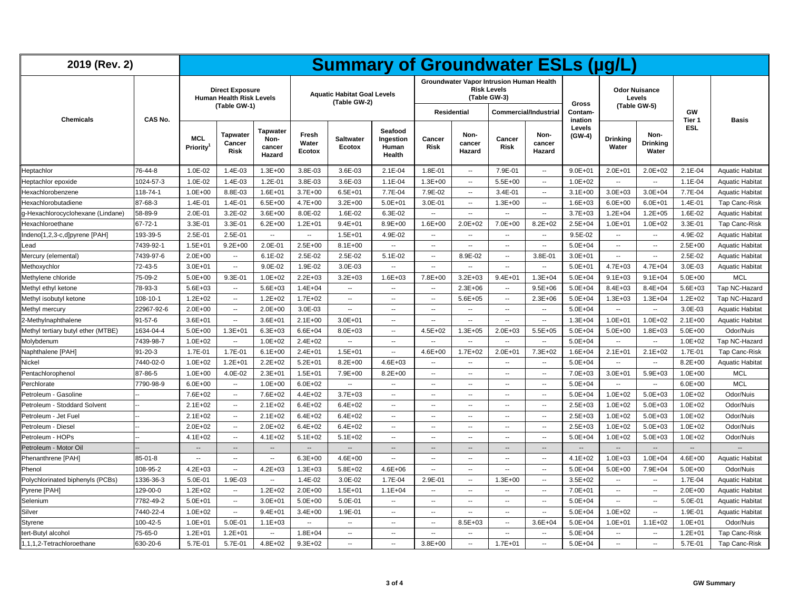| 2019 (Rev. 2)                      |               |                          |                                                                           |                                             |                          | <b>Summary of Groundwater ESLs (µg/L)</b>          |                                         |                          |                          |                                                                                |                          |                          |                          |                                  |                          |                        |
|------------------------------------|---------------|--------------------------|---------------------------------------------------------------------------|---------------------------------------------|--------------------------|----------------------------------------------------|-----------------------------------------|--------------------------|--------------------------|--------------------------------------------------------------------------------|--------------------------|--------------------------|--------------------------|----------------------------------|--------------------------|------------------------|
|                                    |               |                          | <b>Direct Exposure</b><br><b>Human Health Risk Levels</b><br>(Table GW-1) |                                             |                          | <b>Aquatic Habitat Goal Levels</b><br>(Table GW-2) |                                         |                          | <b>Residential</b>       | Groundwater Vapor Intrusion Human Health<br><b>Risk Levels</b><br>(Table GW-3) | Commercial/Industrial    | Gross<br>Contam-         | (Table GW-5)             | <b>Odor Nuisance</b><br>Levels   | GW                       |                        |
| <b>Chemicals</b>                   | CAS No.       |                          |                                                                           |                                             |                          |                                                    |                                         |                          |                          |                                                                                |                          | ination                  |                          |                                  | Tier 1                   | <b>Basis</b>           |
|                                    |               | <b>MCL</b><br>Priority   | <b>Tapwater</b><br>Cancer<br>Risk                                         | <b>Tapwater</b><br>Non-<br>cancer<br>Hazard | Fresh<br>Water<br>Ecotox | <b>Saltwater</b><br>Ecotox                         | Seafood<br>Ingestion<br>Human<br>Health | Cancer<br><b>Risk</b>    | Non-<br>cancer<br>Hazard | Cancer<br><b>Risk</b>                                                          | Non-<br>cancer<br>Hazard | Levels<br>(GW-4)         | Drinking<br>Water        | Non-<br><b>Drinking</b><br>Water | <b>ESL</b>               |                        |
| Heptachlor                         | 76-44-8       | 1.0E-02                  | 1.4E-03                                                                   | $1.3E + 00$                                 | 3.8E-03                  | 3.6E-03                                            | $2.1E-04$                               | 1.8E-01                  | $\overline{\phantom{a}}$ | 7.9E-01                                                                        | $\sim$                   | $9.0E + 01$              | $2.0E + 01$              | $2.0E + 02$                      | $2.1E-04$                | <b>Aquatic Habitat</b> |
| Heptachlor epoxide                 | 1024-57-3     | 1.0E-02                  | 1.4E-03                                                                   | 1.2E-01                                     | 3.8E-03                  | 3.6E-03                                            | 1.1E-04                                 | $1.3E + 00$              | $\sim$                   | $5.5E+00$                                                                      | $\sim$                   | $1.0E + 02$              | $\overline{\phantom{a}}$ | Ξ.                               | 1.1E-04                  | <b>Aquatic Habitat</b> |
| Hexachlorobenzene                  | 118-74-1      | $1.0E + 00$              | 8.8E-03                                                                   | $1.6E + 01$                                 | $3.7E + 00$              | $6.5E + 01$                                        | 7.7E-04                                 | 7.9E-02                  |                          | 3.4E-01                                                                        | $\sim$                   | $3.1E + 00$              | $3.0E + 03$              | $3.0E + 04$                      | 7.7E-04                  | <b>Aquatic Habitat</b> |
| Hexachlorobutadiene                | 87-68-3       | 1.4E-01                  | 1.4E-01                                                                   | $6.5E + 00$                                 | $4.7E + 00$              | $3.2E + 00$                                        | $5.0E + 01$                             | 3.0E-01                  | $\overline{\phantom{a}}$ | $1.3E + 00$                                                                    | $\sim$                   | $1.6E + 03$              | $6.0E + 00$              | $6.0E + 01$                      | 1.4E-01                  | <b>Tap Canc-Risk</b>   |
| q-Hexachlorocyclohexane (Lindane)  | 58-89-9       | 2.0E-01                  | 3.2E-02                                                                   | $3.6E + 00$                                 | 8.0E-02                  | 1.6E-02                                            | 6.3E-02                                 | $\overline{\phantom{a}}$ | μ.                       | Ξ.                                                                             | $\overline{\phantom{a}}$ | $3.7E + 03$              | $1.2E + 04$              | $1.2E + 05$                      | 1.6E-02                  | <b>Aquatic Habitat</b> |
| Hexachloroethane                   | $67 - 72 - 1$ | 3.3E-01                  | 3.3E-01                                                                   | $6.2E + 00$                                 | $1.2E + 01$              | $9.4E + 01$                                        | $8.9E + 00$                             | $1.6E + 00$              | $2.0E + 02$              | 7.0E+00                                                                        | $8.2E + 02$              | $2.5E + 04$              | $1.0E + 01$              | $1.0E + 02$                      | 3.3E-01                  | Tap Canc-Risk          |
| Indeno[1,2,3-c,d]pyrene [PAH]      | 193-39-5      | 2.5E-01                  | 2.5E-01                                                                   | $\overline{\phantom{a}}$                    | --                       | $1.5E + 01$                                        | 4.9E-02                                 | $\overline{\phantom{a}}$ | $\overline{\phantom{a}}$ | $\overline{\phantom{a}}$                                                       | $\sim$                   | 9.5E-02                  | $\overline{\phantom{a}}$ | $\overline{\phantom{a}}$         | 4.9E-02                  | <b>Aquatic Habitat</b> |
| Lead                               | 7439-92-1     | $1.5E + 01$              | $9.2E + 00$                                                               | 2.0E-01                                     | $2.5E + 00$              | $8.1E + 00$                                        | $\overline{\phantom{a}}$                | $\sim$                   | $\overline{\phantom{a}}$ | $\overline{\phantom{a}}$                                                       | $\sim$                   | $5.0E + 04$              | $\overline{\phantom{a}}$ | $\overline{\phantom{a}}$         | 2.5E+00                  | <b>Aquatic Habitat</b> |
| Mercury (elemental)                | 7439-97-6     | $2.0E + 00$              | $\overline{a}$                                                            | $6.1E-02$                                   | 2.5E-02                  | 2.5E-02                                            | $5.1E-02$                               | $\overline{\phantom{a}}$ | 8.9E-02                  | $\overline{\phantom{a}}$                                                       | 3.8E-01                  | $3.0E + 01$              | $\overline{\phantom{a}}$ | $\overline{\phantom{a}}$         | 2.5E-02                  | <b>Aquatic Habitat</b> |
| Methoxychlor                       | 72-43-5       | $3.0E + 01$              | $\overline{a}$                                                            | $9.0E - 02$                                 | 1.9E-02                  | 3.0E-03                                            | $\ddotsc$                               | $\sim$                   | $\overline{\phantom{a}}$ | $\overline{\phantom{a}}$                                                       | $\overline{\phantom{a}}$ | $5.0E + 01$              | $4.7E + 03$              | $4.7E + 04$                      | 3.0E-03                  | <b>Aquatic Habitat</b> |
| Methylene chloride                 | 75-09-2       | $5.0E + 00$              | 9.3E-01                                                                   | $1.0E + 02$                                 | $2.2E + 03$              | $3.2E + 03$                                        | $1.6E + 03$                             | 7.8E+00                  | $3.2E + 03$              | $9.4E + 01$                                                                    | $1.3E + 04$              | $5.0E + 04$              | $9.1E + 03$              | $9.1E + 04$                      | 5.0E+00                  | <b>MCL</b>             |
| Methyl ethyl ketone                | 78-93-3       | $5.6E + 03$              | $\sim$                                                                    | $5.6E + 03$                                 | $1.4E + 04$              | μ.                                                 | $\ddot{\phantom{a}}$                    | $\sim$                   | $2.3E + 06$              | $\sim$                                                                         | $9.5E + 06$              | $5.0E + 04$              | $8.4E + 03$              | $8.4E + 04$                      | $5.6E + 03$              | Tap NC-Hazard          |
| Methyl isobutyl ketone             | 108-10-1      | $1.2E + 02$              | $\overline{\phantom{a}}$                                                  | $1.2E + 02$                                 | $1.7E + 02$              | $\overline{\phantom{a}}$                           | $\overline{\phantom{a}}$                | $\sim$                   | $5.6E + 05$              | $\sim$                                                                         | $2.3E + 06$              | $5.0E + 04$              | $1.3E + 03$              | $1.3E + 04$                      | $1.2E + 02$              | Tap NC-Hazard          |
| Methyl mercury                     | 22967-92-6    | $2.0E + 00$              | $\overline{\phantom{a}}$                                                  | $2.0E + 00$                                 | 3.0E-03                  | --                                                 | $\overline{\phantom{a}}$                | $\sim$                   | $\overline{\phantom{a}}$ | $\overline{\phantom{a}}$                                                       | $\overline{\phantom{a}}$ | $5.0E + 04$              | $\overline{\phantom{a}}$ | $\overline{\phantom{a}}$         | 3.0E-03                  | <b>Aquatic Habitat</b> |
| 2-Methylnaphthalene                | $91 - 57 - 6$ | $3.6E + 01$              | $\ddotsc$                                                                 | $3.6E + 01$                                 | $2.1E+00$                | $3.0E + 01$                                        | $\overline{\phantom{a}}$                | $\sim$                   | $\overline{\phantom{a}}$ | $\overline{\phantom{a}}$                                                       | $\sim$                   | $1.3E + 04$              | $1.0E + 01$              | $1.0E + 02$                      | $2.1E+00$                | <b>Aquatic Habitat</b> |
| Methyl tertiary butyl ether (MTBE) | 1634-04-4     | $5.0E + 00$              | $1.3E + 01$                                                               | $6.3E + 03$                                 | $6.6E + 04$              | 8.0E+03                                            | $\overline{\phantom{a}}$                | $4.5E + 02$              | $1.3E + 05$              | $2.0E + 03$                                                                    | $5.5E + 05$              | $5.0E + 04$              | $5.0E + 00$              | $1.8E + 03$                      | $5.0E + 00$              | Odor/Nuis              |
| Molybdenum                         | 7439-98-7     | $1.0E + 02$              | $\sim$                                                                    | $1.0E + 02$                                 | $2.4E + 02$              | $\sim$                                             | $\sim$                                  | $\sim$                   | $\overline{a}$           | $\ddot{\phantom{a}}$                                                           | $\sim$                   | $5.0E + 04$              | $\sim$                   | $\sim$                           | $1.0E + 02$              | Tap NC-Hazard          |
| Naphthalene [PAH]                  | $91 - 20 - 3$ | 1.7E-01                  | 1.7E-01                                                                   | $6.1E + 00$                                 | $2.4E + 01$              | $1.5E + 01$                                        | $\sim$                                  | $4.6E + 00$              | $1.7E + 02$              | $2.0E + 01$                                                                    | $7.3E + 02$              | $1.6E + 04$              | $2.1E + 01$              | $2.1E + 02$                      | 1.7E-01                  | <b>Tap Canc-Risk</b>   |
| Nickel                             | 7440-02-0     | $1.0E + 02$              | $1.2E + 01$                                                               | $2.2E + 02$                                 | $5.2E + 01$              | $8.2E + 00$                                        | $4.6E + 03$                             | $\sim$                   | $\overline{\phantom{a}}$ | $\overline{\phantom{a}}$                                                       | $\sim$                   | $5.0E + 04$              |                          | $\overline{\phantom{a}}$         | $8.2E + 00$              | <b>Aquatic Habitat</b> |
| Pentachlorophenol                  | 87-86-5       | $1.0E + 00$              | 4.0E-02                                                                   | $2.3E + 01$                                 | $1.5E + 01$              | 7.9E+00                                            | $8.2E + 00$                             | $\sim$                   | $\overline{\phantom{a}}$ | $\sim$                                                                         | $\overline{\phantom{a}}$ | 7.0E+03                  | $3.0E + 01$              | $5.9E + 03$                      | $1.0E + 00$              | <b>MCL</b>             |
| Perchlorate                        | 7790-98-9     | $6.0E + 00$              | $\overline{\phantom{a}}$                                                  | $1.0E + 00$                                 | $6.0E + 02$              | $\overline{a}$                                     | $\overline{\phantom{a}}$                | $\overline{\phantom{a}}$ | $\overline{\phantom{a}}$ | $\overline{a}$                                                                 | $\sim$                   | $5.0E + 04$              | $\overline{\phantom{a}}$ | Ξ.                               | $6.0E + 00$              | <b>MCL</b>             |
| Petroleum - Gasoline               |               | 7.6E+02                  | $\overline{\phantom{a}}$                                                  | 7.6E+02                                     | $4.4E + 02$              | $3.7E + 03$                                        | $\overline{\phantom{a}}$                | $\overline{\phantom{a}}$ | $\overline{\phantom{a}}$ | $\overline{\phantom{a}}$                                                       | $\sim$                   | $5.0E + 04$              | $1.0E + 02$              | $5.0E + 03$                      | $1.0E + 02$              | Odor/Nuis              |
| Petroleum - Stoddard Solvent       |               | $2.1E+02$                | $\overline{\phantom{a}}$                                                  | $2.1E + 02$                                 | $6.4E + 02$              | $6.4E + 02$                                        | $\overline{\phantom{a}}$                | $\sim$                   | $\overline{\phantom{a}}$ | $\sim$                                                                         | $\sim$                   | $2.5E + 03$              | $1.0E + 02$              | $5.0E + 03$                      | $1.0E + 02$              | Odor/Nuis              |
| Petroleum - Jet Fuel               |               | $2.1E+02$                | $\ddotsc$                                                                 | $2.1E + 02$                                 | $6.4E + 02$              | $6.4E + 02$                                        | $\overline{\phantom{a}}$                | $\overline{\phantom{a}}$ | $\overline{\phantom{a}}$ | $\overline{\phantom{a}}$                                                       | $\sim$                   | $2.5E + 03$              | $1.0E + 02$              | $5.0E + 03$                      | $1.0E + 02$              | Odor/Nuis              |
| Petroleum - Diesel                 |               | $2.0E + 02$              | $\overline{\phantom{a}}$                                                  | $2.0E + 02$                                 | $6.4E + 02$              | $6.4E + 02$                                        | $\overline{\phantom{a}}$                | $\sim$                   | $\overline{\phantom{a}}$ | $\sim$                                                                         | $\overline{\phantom{a}}$ | $2.5E + 03$              | $1.0E + 02$              | $5.0E + 03$                      | $1.0E + 02$              | Odor/Nuis              |
| Petroleum - HOPs                   |               | $4.1E + 02$              | $\ddot{\phantom{a}}$                                                      | $4.1E + 02$                                 | $5.1E + 02$              | $5.1E + 02$                                        | $\ddot{\phantom{a}}$                    | $\overline{\phantom{a}}$ | $\overline{\phantom{a}}$ | Ξ.                                                                             | $\overline{\phantom{a}}$ | $5.0E + 04$              | $1.0E + 02$              | $5.0E + 03$                      | $1.0E + 02$              | Odor/Nuis              |
| Petroleum - Motor Oil              |               | $\sim$                   | $\overline{\phantom{a}}$                                                  | $\overline{\phantom{a}}$                    | $\overline{\phantom{a}}$ | $\overline{\phantom{a}}$                           | $\overline{\phantom{a}}$                | $\sim$                   | $\overline{\phantom{a}}$ | $\overline{\phantom{a}}$                                                       | $\overline{\phantom{a}}$ | $\overline{\phantom{a}}$ | $\overline{\phantom{a}}$ | $\overline{\phantom{a}}$         | $\overline{\phantom{a}}$ |                        |
| Phenanthrene [PAH]                 | $85 - 01 - 8$ | $\overline{\phantom{a}}$ | $\overline{\phantom{a}}$                                                  | $\overline{\phantom{a}}$                    | $6.3E + 00$              | $4.6E + 00$                                        | $\overline{\phantom{a}}$                | $\sim$                   | $\overline{\phantom{a}}$ | $\sim$                                                                         | $\sim$                   | $4.1E + 02$              | $1.0E + 03$              | $1.0E + 04$                      | 4.6E+00                  | <b>Aquatic Habitat</b> |
| Phenol                             | 108-95-2      | $4.2E + 03$              | $\overline{\phantom{a}}$                                                  | $4.2E + 03$                                 | $1.3E + 03$              | $5.8E + 02$                                        | $4.6E + 06$                             | $\overline{\phantom{a}}$ | $\overline{\phantom{a}}$ | $\overline{\phantom{a}}$                                                       | $\sim$                   | $5.0E + 04$              | $5.0E + 00$              | 7.9E+04                          | $5.0E + 00$              | Odor/Nuis              |
| Polychlorinated biphenyls (PCBs)   | 1336-36-3     | 5.0E-01                  | 1.9E-03                                                                   | $\sim$                                      | 1.4E-02                  | 3.0E-02                                            | 1.7E-04                                 | 2.9E-01                  | $\overline{\phantom{a}}$ | $1.3E + 00$                                                                    | $\overline{\phantom{a}}$ | $3.5E + 02$              | $\overline{a}$           | $\overline{\phantom{a}}$         | 1.7E-04                  | <b>Aquatic Habitat</b> |
| Pyrene [PAH]                       | 129-00-0      | $1.2E + 02$              | $\ddotsc$                                                                 | $1.2E + 02$                                 | $2.0E + 00$              | $1.5E + 01$                                        | $1.1E + 04$                             | $\overline{\phantom{a}}$ | μ.                       | $\overline{a}$                                                                 | $\sim$                   | 7.0E+01                  | $\ddotsc$                | $\ddotsc$                        | 2.0E+00                  | <b>Aquatic Habitat</b> |
| Selenium                           | 7782-49-2     | $5.0E + 01$              | $\overline{\phantom{a}}$                                                  | $3.0E + 01$                                 | $5.0E + 00$              | 5.0E-01                                            | $\overline{\phantom{a}}$                | $\sim$                   | $\overline{\phantom{a}}$ | $\sim$                                                                         | $\overline{\phantom{a}}$ | $5.0E + 04$              | $\sim$                   | $\overline{\phantom{a}}$         | 5.0E-01                  | <b>Aquatic Habitat</b> |
| Silver                             | 7440-22-4     | $1.0E + 02$              | $\overline{\phantom{a}}$                                                  | $9.4E + 01$                                 | $3.4E + 00$              | 1.9E-01                                            | $\overline{\phantom{a}}$                | $\sim$                   | $\sim$                   | $\overline{\phantom{a}}$                                                       | $\sim$                   | $5.0E + 04$              | $1.0E + 02$              | $\overline{\phantom{a}}$         | 1.9E-01                  | <b>Aquatic Habitat</b> |
| Styrene                            | 100-42-5      | $1.0E + 01$              | 5.0E-01                                                                   | $1.1E + 03$                                 | ۰.                       | ۰.                                                 | $\overline{\phantom{a}}$                | $\overline{\phantom{a}}$ | $8.5E + 03$              | $\overline{\phantom{a}}$                                                       | $3.6E + 04$              | $5.0E + 04$              | $1.0E + 01$              | $1.1E + 02$                      | $1.0E + 01$              | Odor/Nuis              |
| tert-Butyl alcohol                 | 75-65-0       | $1.2E + 01$              | $1.2E + 01$                                                               | $\overline{a}$                              | $1.8E + 04$              | н.                                                 | $\overline{\phantom{a}}$                | $\sim$                   | $\overline{\phantom{a}}$ | $\sim$                                                                         | $\sim$                   | $5.0E + 04$              | $\overline{a}$           | $\overline{\phantom{a}}$         | $1.2E + 01$              | Tap Canc-Risk          |
| 1,1,1,2-Tetrachloroethane          | 630-20-6      | 5.7E-01                  | 5.7E-01                                                                   | $4.8E + 02$                                 | $9.3E + 02$              | $\overline{a}$                                     | $\sim$                                  | $3.8E + 00$              | $\overline{\phantom{a}}$ | $1.7E + 01$                                                                    | $\sim$                   | $5.0E + 04$              | $\overline{a}$           | $\overline{a}$                   | 5.7E-01                  | Tap Canc-Risk          |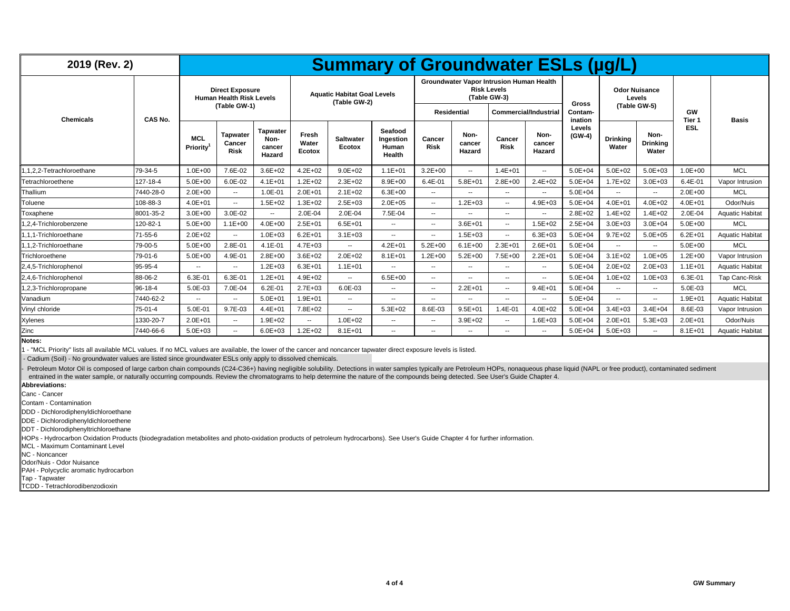| 2019 (Rev. 2)            |                |                        |                                                                           |                                             |                          | <b>Summary of Groundwater ESLs (µg/L)</b>          |                                         |                          |                          |                                                                                                                       |                          |                                    |                          |                                                |              |                        |
|--------------------------|----------------|------------------------|---------------------------------------------------------------------------|---------------------------------------------|--------------------------|----------------------------------------------------|-----------------------------------------|--------------------------|--------------------------|-----------------------------------------------------------------------------------------------------------------------|--------------------------|------------------------------------|--------------------------|------------------------------------------------|--------------|------------------------|
| <b>Chemicals</b>         | <b>CAS No.</b> |                        | <b>Direct Exposure</b><br><b>Human Health Risk Levels</b><br>(Table GW-1) |                                             |                          | <b>Aquatic Habitat Goal Levels</b><br>(Table GW-2) |                                         |                          | Residential              | <b>Groundwater Vapor Intrusion Human Health</b><br><b>Risk Levels</b><br>(Table GW-3)<br><b>Commercial/Industrial</b> |                          | <b>Gross</b><br>Contam-<br>ination |                          | <b>Odor Nuisance</b><br>Levels<br>(Table GW-5) | GW<br>Tier 1 | <b>Basis</b>           |
|                          |                | <b>MCL</b><br>Priority | <b>Tapwater</b><br>Cancer<br><b>Risk</b>                                  | <b>Tapwater</b><br>Non-<br>cancer<br>Hazard | Fresh<br>Water<br>Ecotox | <b>Saltwater</b><br>Ecotox                         | Seafood<br>Ingestion<br>Human<br>Health | Cancer<br><b>Risk</b>    | Non-<br>cancer<br>Hazard | Cancer<br><b>Risk</b>                                                                                                 | Non-<br>cancer<br>Hazard | Levels<br>$(GW-4)$                 | <b>Drinking</b><br>Water | Non-<br><b>Drinking</b><br>Water               | ESL          |                        |
| .1.2.2-Tetrachloroethane | 79-34-5        | $1.0E + 00$            | 7.6E-02                                                                   | $3.6E + 02$                                 | $4.2E + 02$              | $9.0E + 02$                                        | $.1E + 01$                              | $3.2E + 00$              | $\overline{\phantom{a}}$ | $1.4E + 01$                                                                                                           | $\overline{\phantom{a}}$ | $5.0E + 04$                        | $5.0E + 02$              | $5.0E + 03$                                    | $1.0E + 00$  | <b>MCL</b>             |
| Tetrachloroethene        | 127-18-4       | $5.0E + 00$            | $6.0E-02$                                                                 | $4.1E + 01$                                 | $1.2E + 02$              | $2.3E + 02$                                        | $8.9E + 00$                             | $6.4E - 01$              | $5.8E + 01$              | $2.8E + 00$                                                                                                           | $2.4E + 02$              | $5.0E + 04$                        | $1.7E + 02$              | $3.0E + 03$                                    | 6.4E-01      | Vapor Intrusion        |
| Thallium                 | 7440-28-0      | $2.0E + 00$            | $\overline{\phantom{a}}$                                                  | 1.0E-01                                     | $2.0E + 01$              | $2.1E + 02$                                        | $6.3E + 00$                             | $\sim$                   | --                       | $\overline{\phantom{a}}$                                                                                              | $\sim$                   | $5.0E + 04$                        | $\overline{a}$           | --                                             | $2.0E + 00$  | <b>MCL</b>             |
| Toluene                  | 108-88-3       | $4.0E + 01$            | $\overline{\phantom{a}}$                                                  | $1.5E + 02$                                 | $1.3E + 02$              | $2.5E + 03$                                        | $2.0E + 05$                             | $\sim$                   | $1.2E + 03$              | $\sim$                                                                                                                | $4.9E + 03$              | $5.0E + 04$                        | $4.0E + 01$              | $4.0E + 02$                                    | $4.0E + 01$  | Odor/Nuis              |
| Toxaphene                | 8001-35-2      | $3.0E + 00$            | $3.0E - 02$                                                               | $\sim$                                      | 2.0E-04                  | 2.0E-04                                            | 7.5E-04                                 | $\sim$                   | --                       | $\sim$                                                                                                                | $\sim$                   | $2.8E + 02$                        | $1.4E + 02$              | $1.4E + 02$                                    | 2.0E-04      | <b>Aquatic Habitat</b> |
| 1.2.4-Trichlorobenzene   | 120-82-1       | $5.0E + 00$            | $1.1E + 00$                                                               | $4.0E + 00$                                 | $2.5E + 01$              | $6.5E + 01$                                        | $\sim$                                  | $\sim$                   | $3.6E + 01$              | $\sim$                                                                                                                | $1.5E + 02$              | $2.5E + 04$                        | $3.0E + 03$              | $3.0E + 04$                                    | $5.0E + 00$  | <b>MCL</b>             |
| 1.1.1-Trichloroethane    | $71 - 55 - 6$  | $2.0E + 02$            | $\overline{\phantom{a}}$                                                  | $1.0E + 0.3$                                | $6.2E + 01$              | $3.1E + 03$                                        | $\sim$                                  | $\sim$                   | $1.5E + 03$              | $\sim$                                                                                                                | $6.3E + 03$              | $5.0E + 04$                        | $9.7E + 02$              | $5.0E + 05$                                    | $6.2E + 01$  | <b>Aquatic Habitat</b> |
| 1.1.2-Trichloroethane    | 79-00-5        | $5.0E + 00$            | 2.8E-01                                                                   | $4.1E - 01$                                 | $4.7E + 03$              | $\overline{a}$                                     | $4.2E + 01$                             | $5.2E + 00$              | $6.1E + 00$              | $2.3E + 01$                                                                                                           | $2.6E + 01$              | $5.0E + 04$                        | $\sim$                   | $\overline{\phantom{a}}$                       | $5.0E + 00$  | <b>MCL</b>             |
| Trichloroethene          | $79-01-6$      | $5.0E + 00$            | 4.9E-01                                                                   | $2.8E + 00$                                 | $3.6E + 02$              | $2.0E + 02$                                        | $8.1E + 01$                             | $1.2E + 00$              | $5.2E + 00$              | $7.5E+00$                                                                                                             | $2.2E + 01$              | $5.0E + 04$                        | $3.1E + 02$              | $1.0E + 0.5$                                   | $1.2E + 00$  | Vapor Intrusion        |
| 2.4.5-Trichlorophenol    | 95-95-4        | $\sim$                 | $\overline{\phantom{a}}$                                                  | $1.2E + 03$                                 | $6.3E + 01$              | $1.1E + 01$                                        | $\sim$                                  | $\sim$                   | --                       | $\overline{\phantom{a}}$                                                                                              | $\sim$                   | $5.0E + 04$                        | $2.0E + 02$              | $2.0E + 03$                                    | $1.1E + 01$  | <b>Aquatic Habitat</b> |
| 2,4,6-Trichlorophenol    | 88-06-2        | $6.3E-0$               | 6.3E-01                                                                   | $1.2E + 01$                                 | $4.9E + 02$              | ۰.                                                 | $6.5E + 00$                             | $\sim$                   | --                       | $-$                                                                                                                   | $\overline{\phantom{a}}$ | $5.0E + 04$                        | $1.0E + 02$              | $1.0E + 03$                                    | 6.3E-01      | <b>Tap Canc-Risk</b>   |
| .2,3-Trichloropropane    | $96 - 18 - 4$  | 5.0E-03                | 7.0E-04                                                                   | $6.2E - 01$                                 | $2.7E + 03$              | 6.0E-03                                            | $\sim$                                  | $\sim$                   | $2.2E + 01$              | $\overline{\phantom{a}}$                                                                                              | $9.4E + 01$              | $5.0E + 04$                        | --                       | $\overline{\phantom{a}}$                       | 5.0E-03      | <b>MCL</b>             |
| Vanadium                 | 7440-62-2      | $-$                    | $\overline{\phantom{a}}$                                                  | $5.0E + 01$                                 | $1.9E + 01$              | $\qquad \qquad -$                                  | $\sim$ $\sim$                           | $\sim$                   | --                       | $-$                                                                                                                   | $\overline{\phantom{a}}$ | $5.0E + 04$                        | $-$                      | $\sim$                                         | $1.9E + 01$  | <b>Aquatic Habitat</b> |
| Vinyl chloride           | $75-01-4$      | $5.0E - 01$            | 9.7E-03                                                                   | $4.4E + 01$                                 | 7.8E+02                  | $\overline{a}$                                     | $5.3E + 02$                             | 8.6E-03                  | $9.5E + 01$              | $1.4E - 01$                                                                                                           | $4.0E + 02$              | $5.0E + 04$                        | $3.4E + 03$              | $3.4E + 04$                                    | 8.6E-03      | Vapor Intrusion        |
| Xylenes                  | 1330-20-7      | $2.0E + 01$            | $\overline{\phantom{a}}$                                                  | $1.9E + 02$                                 | ۰.                       | $1.0E + 02$                                        | $\sim$                                  | $\sim$                   | $3.9E + 02$              | $\sim$                                                                                                                | $1.6E + 03$              | $5.0E + 04$                        | $2.0E + 01$              | $5.3E + 03$                                    | $2.0E + 01$  | Odor/Nuis              |
| <b>Zinc</b>              | 7440-66-6      | $5.0E + 03$            | $\overline{\phantom{a}}$                                                  | $6.0E + 03$                                 | $1.2E + 02$              | $8.1E + 01$                                        | $\sim$                                  | $\overline{\phantom{a}}$ | --                       | $-1$                                                                                                                  | $\sim$                   | $5.0E + 04$                        | $5.0E + 03$              | $\overline{\phantom{a}}$                       | $8.1E + 01$  | <b>Aquatic Habitat</b> |

**Notes:**

1 - "MCL Priority" lists all available MCL values. If no MCL values are available, the lower of the cancer and noncancer tapwater direct exposure levels is listed.

- Cadium (Soil) - No groundwater values are listed since groundwater ESLs only apply to dissolved chemicals.

Petroleum Motor Oil is composed of large carbon chain compounds (C24-C36+) having negligible solubility. Detections in water samples typically are Petroleum HOPs, nonaqueous phase liquid (NAPL or free product), contaminate entrained in the water sample, or naturally occurring compounds. Review the chromatograms to help determine the nature of the compounds being detected. See User's Guide Chapter 4.

**Abbreviations:**

Canc - Cancer

Contam - Contamination

DDD - Dichlorodiphenyldichloroethane

DDE - Dichlorodiphenyldichloroethene

DDT - Dichlorodiphenyltrichloroethane

HOPs - Hydrocarbon Oxidation Products (biodegradation metabolites and photo-oxidation products of petroleum hydrocarbons). See User's Guide Chapter 4 for further information.

MCL - Maximum Contaminant Level

NC - Noncancer

Odor/Nuis - Odor Nuisance

PAH - Polycyclic aromatic hydrocarbon

Tap - Tapwater

TCDD - Tetrachlorodibenzodioxin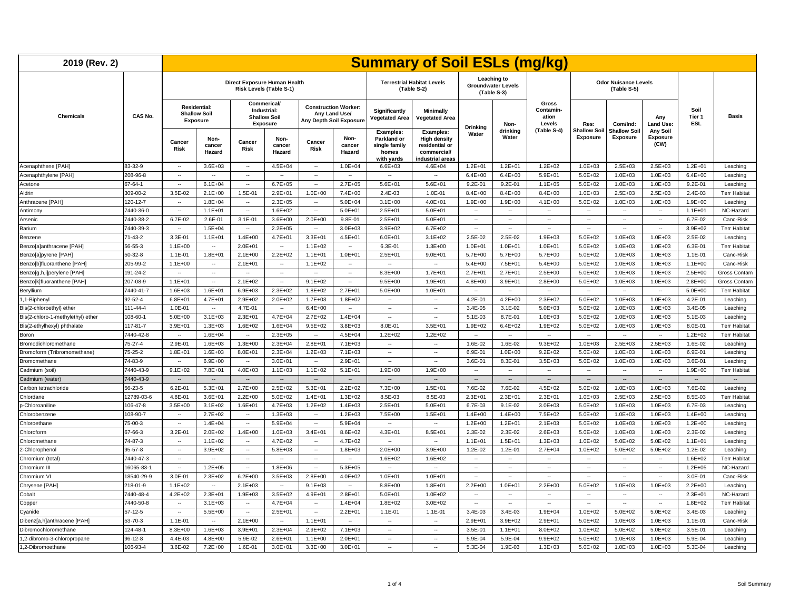| 2019 (Rev. 2)                     |               |                             |                                                        |                              |                                                               |                          |                                                                         |                                                                         | <b>Summary of Soil ESLs (mg/kg)</b>                                                 |                          |                                                         |                                              |                                 |                                            |                                     |                              |                     |
|-----------------------------------|---------------|-----------------------------|--------------------------------------------------------|------------------------------|---------------------------------------------------------------|--------------------------|-------------------------------------------------------------------------|-------------------------------------------------------------------------|-------------------------------------------------------------------------------------|--------------------------|---------------------------------------------------------|----------------------------------------------|---------------------------------|--------------------------------------------|-------------------------------------|------------------------------|---------------------|
|                                   |               |                             |                                                        | Direct Exposure Human Health | Risk Levels (Table S-1)                                       |                          |                                                                         |                                                                         | <b>Terrestrial Habitat Levels</b><br>(Table S-2)                                    |                          | Leaching to<br><b>Groundwater Levels</b><br>(Table S-3) |                                              |                                 | <b>Odor Nuisance Levels</b><br>(Table S-5) |                                     |                              |                     |
| <b>Chemicals</b>                  | CAS No.       |                             | <b>Residential:</b><br><b>Shallow Soil</b><br>Exposure |                              | Commerical/<br>Industrial:<br><b>Shallow Soil</b><br>Exposure |                          | <b>Construction Worker:</b><br>Any Land Use/<br>Any Depth Soil Exposure | Significantly<br>Vegetated Area                                         | Minimally<br><b>Vegetated Area</b>                                                  |                          | Non-                                                    | <b>Gross</b><br>Contamin-<br>ation<br>Levels | Res:                            | Com/Ind:                                   | Any<br><b>Land Use:</b>             | Soil<br>Tier 1<br><b>ESL</b> | <b>Basis</b>        |
|                                   |               | Cancer<br>Risk              | Non-<br>cancer<br>Hazard                               | Cancer<br><b>Risk</b>        | Non-<br>cancer<br>Hazard                                      | Cancer<br>Risk           | Non-<br>cancer<br>Hazard                                                | <b>Examples:</b><br>Parkland or<br>single family<br>homes<br>with yards | Examples:<br><b>High density</b><br>residential or<br>commercial<br>ndustrial areas | <b>Drinking</b><br>Water | drinking<br>Water                                       | (Table S-4)                                  | <b>Shallow Soil</b><br>Exposure | <b>Shallow Soil</b><br>Exposure            | Any Soil<br><b>Exposure</b><br>(CW) |                              |                     |
| Acenaphthene [PAH]                | 83-32-9       | ٠.                          | $3.6E + 03$                                            | $\sim$                       | $4.5E + 04$                                                   | $\ddotsc$                | $1.0E + 04$                                                             | $6.6E + 03$                                                             | $4.6E + 04$                                                                         | $1.2E + 01$              | $1.2E + 01$                                             | $1.2E + 02$                                  | $1.0E + 03$                     | $2.5E + 03$                                | $2.5E + 03$                         | $1.2E + 01$                  | Leaching            |
| Acenaphthylene [PAH]              | 208-96-8      | $\sim$                      | $\sim$                                                 | $\sim$                       | $\sim$                                                        | $\sim$                   | $\sim$                                                                  | $\sim$                                                                  | $\mathbf{r}$                                                                        | $6.4E + 00$              | $6.4E + 00$                                             | $5.9E + 01$                                  | $5.0E + 02$                     | $1.0E + 03$                                | $1.0E + 03$                         | $6.4E + 00$                  | Leaching            |
| Acetone                           | 67-64-1       | $\sim$                      | $6.1E + 04$                                            | $\sim$                       | $6.7E + 05$                                                   | $\overline{\phantom{a}}$ | $2.7E + 05$                                                             | $5.6E + 01$                                                             | $5.6E + 01$                                                                         | $9.2E - 01$              | $9.2E - 01$                                             | $1.1E + 05$                                  | $5.0E + 02$                     | $1.0E + 03$                                | $1.0E + 03$                         | $9.2E - 01$                  | Leaching            |
| Aldrin                            | 309-00-2      | 3.5E-02                     | $2.1E + 00$                                            | 1.5E-01                      | $2.9E + 01$                                                   | $1.0E + 00$              | 7.4E+00                                                                 | 2.4E-03                                                                 | 1.0E-01                                                                             | $8.4E + 00$              | $8.4E + 00$                                             | $8.4E + 00$                                  | $1.0E + 03$                     | $2.5E + 03$                                | $2.5E + 03$                         | 2.4E-03                      | <b>Terr Habitat</b> |
| Anthracene [PAH]                  | 120-12-7      | $\mathcal{L}_{\mathcal{A}}$ | $1.8E + 04$                                            | $\sim$                       | $2.3E + 05$                                                   | $\sim$                   | $5.0E + 04$                                                             | $3.1E + 00$                                                             | $4.0E + 01$                                                                         | $1.9E + 00$              | $1.9E + 00$                                             | $4.1E + 00$                                  | $5.0E + 02$                     | $1.0E + 03$                                | $1.0E + 03$                         | $1.9E + 00$                  | Leaching            |
| Antimony                          | 7440-36-0     | ä,                          | $1.1E + 01$                                            | $\sim$                       | $1.6E + 02$                                                   | $\sim$                   | $5.0E + 01$                                                             | $2.5E + 01$                                                             | $5.0E + 01$                                                                         | $\sim$                   | $\overline{\phantom{a}}$                                | $\sim$                                       | $\sim$                          | $\overline{\phantom{a}}$                   | $\sim$                              | $1.1E + 01$                  | NC-Hazard           |
| Arsenic                           | 7440-38-2     | 6.7E-02                     | 2.6E-01                                                | $3.1E - 01$                  | $3.6E + 00$                                                   | $2.0E + 00$              | 9.8E-01                                                                 | 2.5E+01                                                                 | $5.0E + 01$                                                                         | ä,                       | $\sim$                                                  | $\sim$                                       | $\sim$                          | $\sim$                                     | $\sim$                              | 6.7E-02                      | Canc-Risk           |
| Barium                            | 7440-39-3     | $\sim$                      | $1.5E + 04$                                            | $\sim$                       | $2.2E + 05$                                                   | $\sim$                   | $3.0E + 03$                                                             | $3.9E + 02$                                                             | $6.7E + 02$                                                                         | $\sim$                   | $\sim$                                                  | $\sim$                                       | $\sim$                          | $\overline{\phantom{a}}$                   | $\sim$                              | $3.9E + 02$                  | <b>Terr Habitat</b> |
| Benzene                           | $71-43-2$     | 3.3E-01                     | $1.1E + 01$                                            | $1.4E + 00$                  | $4.7E + 01$                                                   | $3.3E + 01$              | $4.5E + 01$                                                             | $6.0E + 01$                                                             | $3.1E + 02$                                                                         | 2.5E-02                  | 2.5E-02                                                 | $1.9E + 03$                                  | $5.0E + 02$                     | $1.0E + 03$                                | $1.0E + 03$                         | 2.5E-02                      | Leaching            |
| Benzo[a]anthracene [PAH]          | 56-55-3       | $1.1E + 00$                 | $\sim$                                                 | $2.0E + 01$                  | $\sim$                                                        | $1.1E + 02$              | $\sim$                                                                  | 6.3E-01                                                                 | $1.3E + 00$                                                                         | $1.0E + 01$              | $1.0E + 01$                                             | $1.0E + 01$                                  | $5.0E + 02$                     | $1.0E + 03$                                | $1.0E + 03$                         | 6.3E-01                      | <b>Terr Habitat</b> |
| Benzo[a]pyrene [PAH]              | 50-32-8       | 1.1E-01                     | $1.8E + 01$                                            | $2.1E + 00$                  | $2.2E + 02$                                                   | $1.1E + 01$              | $1.0E + 01$                                                             | $2.5E + 01$                                                             | $9.0E + 01$                                                                         | $5.7E + 00$              | $5.7E + 00$                                             | $5.7E+00$                                    | $5.0E + 02$                     | $1.0E + 03$                                | $1.0E + 03$                         | 1.1E-01                      | Canc-Risk           |
| Benzo[b]fluoranthene [PAH]        | 205-99-2      | $1.1E + 00$                 | $\overline{\phantom{a}}$                               | $2.1E + 01$                  | $\sim$                                                        | $1.1E + 02$              | $\overline{\phantom{a}}$                                                | $\sim$                                                                  | $\overline{\phantom{a}}$                                                            | $5.4E + 00$              | 7.5E+01                                                 | $5.4E + 00$                                  | $5.0E + 02$                     | $1.0E + 03$                                | $1.0E + 03$                         | $1.1E + 00$                  | Canc-Risk           |
| Benzo[g,h,i]perylene [PAH]        | 191-24-2      | $\overline{\phantom{a}}$    | $\sim$                                                 | à.                           | $\sim$                                                        | à.                       | $\sim$                                                                  | $8.3E + 00$                                                             | $1.7E + 01$                                                                         | 2.7E+01                  | $2.7E + 01$                                             | $2.5E + 00$                                  | $5.0E + 02$                     | $1.0E + 03$                                | $1.0E + 03$                         | $2.5E + 00$                  | Gross Contam        |
| Benzo[k]fluoranthene [PAH]        | 207-08-9      | $1.1E + 01$                 | $\sim$                                                 | $2.1E + 02$                  | $\overline{\phantom{a}}$                                      | $9.1E + 02$              | $\sim$                                                                  | $9.5E + 00$                                                             | $1.9E + 01$                                                                         | 4.8E+00                  | $3.9E + 01$                                             | $2.8E + 00$                                  | $5.0E + 02$                     | $1.0E + 03$                                | $1.0E + 03$                         | 2.8E+00                      | Gross Contam        |
| Beryllium                         | 7440-41-7     | $1.6E + 03$                 | $1.6E + 01$                                            | $6.9E + 03$                  | $2.3E + 02$                                                   | $1.8E + 02$              | $2.7E + 01$                                                             | $5.0E + 00$                                                             | $1.0E + 01$                                                                         | $\sim$                   | $\sim$                                                  | $\sim$                                       | $\sim$                          | $\sim$                                     | $\sim$                              | $5.0E + 00$                  | <b>Terr Habitat</b> |
| 1,1-Biphenyl                      | 92-52-4       | $6.8E + 01$                 | $4.7E + 01$                                            | $2.9E + 02$                  | $2.0E + 02$                                                   | $1.7E + 03$              | $1.8E + 02$                                                             | $\sim$                                                                  | $\sim$                                                                              | 4.2E-01                  | $4.2E + 00$                                             | $2.3E + 02$                                  | $5.0E + 02$                     | $1.0E + 03$                                | $1.0E + 03$                         | 4.2E-01                      | Leaching            |
| Bis(2-chloroethyl) ether          | 111-44-4      | 1.0E-01                     | $\sim$                                                 | 4.7E-01                      | $\sim$                                                        | $6.4E + 00$              | $\sim$                                                                  | $\overline{\phantom{a}}$                                                | $\sim$                                                                              | 3.4E-05                  | $3.1E - 02$                                             | $5.0E + 03$                                  | $5.0E + 02$                     | $1.0E + 03$                                | $1.0E + 03$                         | 3.4E-05                      | Leaching            |
| Bis(2-chloro-1-methylethyl) ether | 108-60-1      | $5.0E + 00$                 | $3.1E + 03$                                            | $2.3E + 01$                  | $4.7E + 04$                                                   | $2.7E + 02$              | $1.4E + 04$                                                             | $\sim$                                                                  | Ξ.                                                                                  | 5.1E-03                  | 8.7E-01                                                 | $1.0E + 03$                                  | $5.0E + 02$                     | $1.0E + 03$                                | $1.0E + 03$                         | 5.1E-03                      | Leaching            |
| Bis(2-ethylhexyl) phthalate       | 117-81-7      | $3.9E + 01$                 | $1.3E + 03$                                            | $1.6E + 02$                  | $1.6E + 04$                                                   | $9.5E + 02$              | $3.8E + 03$                                                             | 8.0E-01                                                                 | $3.5E + 01$                                                                         | $1.9E + 02$              | $6.4E + 02$                                             | $1.9E + 02$                                  | $5.0E + 02$                     | $1.0E + 03$                                | $1.0E + 03$                         | 8.0E-01                      | <b>Terr Habitat</b> |
| Boron                             | 7440-42-8     | $\sim$                      | $1.6E + 04$                                            | $\sim$                       | $2.3E + 05$                                                   | $\sim$                   | $4.5E + 04$                                                             | $1.2E + 02$                                                             | $1.2E + 02$                                                                         | $\overline{\phantom{a}}$ | $\overline{\phantom{a}}$                                | $\sim$                                       | $\sim$                          | $\overline{\phantom{a}}$                   | $\sim$                              | $1.2E + 02$                  | <b>Terr Habitat</b> |
| Bromodichloromethane              | 75-27-4       | 2.9E-01                     | $1.6E + 03$                                            | $1.3E + 00$                  | $2.3E + 04$                                                   | $2.8E + 01$              | $7.1E + 03$                                                             | Ξ.                                                                      | ÷.                                                                                  | 1.6E-02                  | 1.6E-02                                                 | $9.3E + 02$                                  | $1.0E + 03$                     | $2.5E + 03$                                | $2.5E + 03$                         | 1.6E-02                      | Leaching            |
| Bromoform (Tribromomethane)       | 75-25-2       | $1.8E + 01$                 | $1.6E + 03$                                            | $8.0E + 01$                  | $2.3E + 04$                                                   | $1.2E + 03$              | $7.1E + 03$                                                             | $\sim$                                                                  | $\ddot{\phantom{a}}$                                                                | 6.9E-01                  | $1.0E + 00$                                             | $9.2E + 02$                                  | $5.0E + 02$                     | $1.0E + 03$                                | $1.0E + 03$                         | 6.9E-01                      | Leaching            |
| Bromomethane                      | 74-83-9       | $\sim$                      | $6.9E + 00$                                            | $\sim$                       | $3.0E + 01$                                                   | $\sim$                   | $2.9E + 01$                                                             | $\sim$                                                                  | $\overline{\phantom{a}}$                                                            | 3.6E-01                  | 8.3E-01                                                 | $3.5E + 03$                                  | $5.0E + 02$                     | $1.0E + 03$                                | $1.0E + 03$                         | 3.6E-01                      | Leaching            |
| Cadmium (soil)                    | 7440-43-9     | $9.1E + 02$                 | 7.8E+01                                                | $4.0E + 03$                  | $1.1E + 03$                                                   | $1.1E + 02$              | $5.1E + 01$                                                             | $1.9E + 00$                                                             | $1.9E + 00$                                                                         | Ξ.                       | ٠.                                                      | ٠.                                           | ٠.                              | $\mathbf{L}$                               | $\ddot{\phantom{a}}$                | $1.9E + 00$                  | <b>Terr Habitat</b> |
| Cadmium (water)                   | 7440-43-9     | $\sim$                      | $\sim$                                                 | $\sim$                       | $\sim$                                                        | $\sim$                   | $\sim$                                                                  | $\sim$                                                                  | $\sim$                                                                              | $\sim$                   | $\sim$                                                  | $\sim$                                       | $\sim$                          | $\sim$                                     | $\sim$                              | $\sim$                       |                     |
| Carbon tetrachloride              | 56-23-5       | $6.2E - 01$                 | $5.3E + 01$                                            | $2.7E + 00$                  | $2.5E + 02$                                                   | $5.3E + 01$              | $2.2E + 02$                                                             | 7.3E+00                                                                 | $1.5E + 01$                                                                         | 7.6E-02                  | 7.6E-02                                                 | $4.5E + 02$                                  | $5.0E + 02$                     | $1.0E + 03$                                | $1.0E + 03$                         | 7.6E-02                      | Leaching            |
| Chlordane                         | 12789-03-6    | 4.8E-01                     | $3.6E + 01$                                            | $2.2E + 00$                  | $5.0E + 02$                                                   | $1.4E + 01$              | $1.3E + 02$                                                             | 8.5E-03                                                                 | 8.5E-03                                                                             | $2.3E + 01$              | $2.3E + 01$                                             | $2.3E + 01$                                  | $1.0E + 03$                     | $2.5E + 03$                                | $2.5E + 03$                         | 8.5E-03                      | <b>Terr Habitat</b> |
| p-Chloroaniline                   | 106-47-8      | $3.5E + 00$                 | $3.1E + 02$                                            | $1.6E + 01$                  | $4.7E + 03$                                                   | $1.2E + 02$              | $1.4E + 03$                                                             | $2.5E + 01$                                                             | $5.0E + 01$                                                                         | 6.7E-03                  | $9.1E - 02$                                             | $3.0E + 03$                                  | $5.0E + 02$                     | $1.0E + 03$                                | $1.0E + 03$                         | 6.7E-03                      | Leaching            |
| Chlorobenzene                     | 108-90-7      | $\sim$                      | $2.7E + 02$                                            | $\sim$                       | $1.3E + 03$                                                   | $\sim$                   | $1.2E + 03$                                                             | 7.5E+00                                                                 | $1.5E + 01$                                                                         | $1.4E + 00$              | $1.4E + 00$                                             | 7.5E+02                                      | $5.0E + 02$                     | $1.0E + 03$                                | $1.0E + 03$                         | $1.4E + 00$                  | Leaching            |
| Chloroethane                      | 75-00-3       | $\sim$                      | $1.4E + 04$                                            | $\sim$                       | $5.9E + 04$                                                   | $\sim$                   | 5.9E+04                                                                 | $\sim$                                                                  | ÷.                                                                                  | $1.2E + 00$              | $1.2E + 01$                                             | $2.1E + 03$                                  | $5.0E + 02$                     | $1.0E + 03$                                | $1.0E + 03$                         | $1.2E + 00$                  | Leaching            |
| Chloroform                        | 67-66-3       | 3.2E-01                     | $2.0E + 02$                                            | $1.4E + 00$                  | $1.0E + 03$                                                   | $3.4E + 01$              | 8.6E+02                                                                 | $4.3E + 01$                                                             | 8.5E+01                                                                             | 2.3E-02                  | 2.3E-02                                                 | $2.6E + 03$                                  | $5.0E + 02$                     | $1.0E + 03$                                | $1.0E + 03$                         | 2.3E-02                      | Leaching            |
| Chloromethane                     | 74-87-3       | $\overline{\phantom{a}}$    | $1.1E + 02$                                            | $\sim$                       | $4.7E + 02$                                                   | $\overline{\phantom{a}}$ | $4.7E + 02$                                                             | $\overline{\phantom{a}}$                                                | $\sim$                                                                              | $1.1E + 01$              | $1.5E + 01$                                             | $1.3E + 03$                                  | $1.0E + 02$                     | $5.0E + 02$                                | $5.0E + 02$                         | $1.1E + 01$                  | Leaching            |
| 2-Chloropheno                     | 95-57-8       | $\sim$                      | $3.9E + 02$                                            | $\sim$                       | $5.8E + 03$                                                   | $\sim$                   | $1.8E + 03$                                                             | $2.0E + 00$                                                             | $3.9E + 00$                                                                         | 1.2E-02                  | 1.2E-01                                                 | $2.7E + 04$                                  | $1.0E + 02$                     | $5.0E + 02$                                | $5.0E + 02$                         | 1.2E-02                      | Leaching            |
| Chromium (total)                  | 7440-47-3     | ÷.                          | $\sim$                                                 | $\sim$                       | $\sim$                                                        | $\sim$                   | $\sim$                                                                  | $1.6E + 02$                                                             | $1.6E + 02$                                                                         | $\sim$                   | $\sim$                                                  | $\sim$                                       | $\sim$                          | $\overline{\phantom{a}}$                   | $\sim$                              | $1.6E + 02$                  | <b>Terr Habitat</b> |
| Chromium III                      | 16065-83-1    | Ξ.                          | $1.2E + 05$                                            |                              | $1.8E + 06$                                                   | $\ddot{\phantom{a}}$     | $5.3E + 05$                                                             | $\overline{\phantom{a}}$                                                | Ξ.                                                                                  | ۰.                       | ٠.                                                      | $\overline{\phantom{a}}$                     | $\sim$                          | $\sim$                                     | $\sim$                              | $1.2E + 05$                  | NC-Hazard           |
| Chromium VI                       | 18540-29-9    | 3.0E-01                     | $2.3E + 02$                                            | $6.2E + 00$                  | $3.5E + 03$                                                   | $2.8E + 00$              | $4.0E + 02$                                                             | $1.0E + 01$                                                             | $1.0E + 01$                                                                         | $\sim$                   | $\sim$                                                  | $\sim$                                       | $\sim$                          | $\ddot{\phantom{a}}$                       | ÷.                                  | 3.0E-01                      | Canc-Risk           |
| Chrysene [PAH]                    | 218-01-9      | $1.1E + 02$                 | $\sim$                                                 | $2.1E + 03$                  | $\mathcal{L}_{\mathcal{A}}$                                   | $9.1E + 03$              | $\sim$                                                                  | $8.8E + 00$                                                             | $1.8E + 01$                                                                         | $2.2E + 00$              | $1.0E + 01$                                             | $2.2E + 00$                                  | $5.0E + 02$                     | $1.0E + 03$                                | $1.0E + 03$                         | $2.2E + 00$                  | Leaching            |
| Cobalt                            | 7440-48-4     | $4.2E + 02$                 | $2.3E + 01$                                            | $1.9E + 03$                  | $3.5E + 02$                                                   | 4.9E+01                  | $2.8E + 01$                                                             | $5.0E + 01$                                                             | $1.0E + 02$                                                                         | ۰.                       | μ.                                                      | $\sim$                                       | ÷.                              | $\ddot{\phantom{a}}$                       | $\sim$                              | 2.3E+01                      | NC-Hazard           |
| Copper                            | 7440-50-8     | $\ldots$                    | $3.1E + 03$                                            | $\sim$                       | $4.7E + 04$                                                   | $\overline{\phantom{a}}$ | $1.4E + 04$                                                             | $1.8E + 02$                                                             | $3.0E + 02$                                                                         | $\sim$                   | $\overline{\phantom{a}}$                                | $\sim$                                       | $\sim$                          | $\sim$                                     | $\sim$                              | $1.8E + 02$                  | <b>Terr Habitat</b> |
| Cyanide                           | $57-12-5$     | $\sim$                      | $5.5E + 00$                                            | $\sim$                       | $2.5E + 01$                                                   | $\overline{\phantom{a}}$ | $2.2E + 01$                                                             | 1.1E-01                                                                 | 1.1E-01                                                                             | 3.4E-03                  | 3.4E-03                                                 | $1.9E + 04$                                  | $1.0E + 02$                     | $5.0E + 02$                                | $5.0E + 02$                         | 3.4E-03                      | Leaching            |
| Dibenz[a,h]anthracene [PAH]       | 53-70-3       | $1.1E - 01$                 | $\ddotsc$                                              | $2.1E + 00$                  | $\sim$                                                        | $1.1E + 01$              | $\ddot{\phantom{a}}$                                                    | н.                                                                      | $\ddotsc$                                                                           | $2.9E + 01$              | $3.9E + 02$                                             | 2.9E+01                                      | $5.0E + 02$                     | $1.0E + 03$                                | $1.0E + 03$                         | 1.1E-01                      | Canc-Risk           |
| Dibromochloromethane              | 124-48-1      | $8.3E + 00$                 | $1.6E + 03$                                            | $3.9E + 01$                  | $2.3E + 04$                                                   | $2.9E + 02$              | $7.1E + 03$                                                             | $\sim$                                                                  | $\sim$                                                                              | 3.5E-01                  | $1.1E + 01$                                             | $8.0E + 02$                                  | $1.0E + 02$                     | $5.0E + 02$                                | $5.0E + 02$                         | 3.5E-01                      | Leaching            |
| 1,2-dibromo-3-chloropropane       | $96 - 12 - 8$ | 4.4E-03                     | $4.8E + 00$                                            | 5.9E-02                      | $2.6E + 01$                                                   | $1.1E + 00$              | $2.0E + 01$                                                             | $\sim$                                                                  | $\sim$                                                                              | 5.9E-04                  | 5.9E-04                                                 | $9.9E + 02$                                  | $5.0E + 02$                     | $1.0E + 03$                                | $1.0E + 03$                         | 5.9E-04                      | Leaching            |
| 1,2-Dibromoethane                 | 106-93-4      | 3.6E-02                     | 7.2E+00                                                | 1.6E-01                      | $3.0E + 01$                                                   | $3.3E + 00$              | $3.0E + 01$                                                             | $\overline{\phantom{a}}$                                                | ÷.                                                                                  | 5.3E-04                  | 1.9E-03                                                 | $1.3E + 03$                                  | $5.0E + 02$                     | $1.0E + 03$                                | $1.0E + 03$                         | 5.3E-04                      | Leaching            |
|                                   |               |                             |                                                        |                              |                                                               |                          |                                                                         |                                                                         |                                                                                     |                          |                                                         |                                              |                                 |                                            |                                     |                              |                     |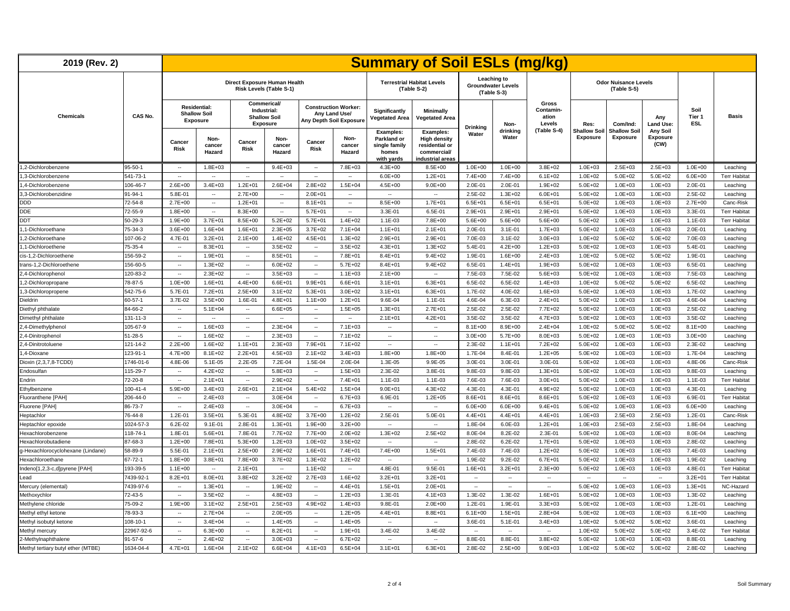| 2019 (Rev. 2)                      |                |                             |                                                        |                              |                                                                      |                          |                                                                         |                                                                         | <b>Summary of Soil ESLs (mg/kg)</b>                                                   |                          |                                                         |                                              |                                 |                                            |                                     |                              |                     |
|------------------------------------|----------------|-----------------------------|--------------------------------------------------------|------------------------------|----------------------------------------------------------------------|--------------------------|-------------------------------------------------------------------------|-------------------------------------------------------------------------|---------------------------------------------------------------------------------------|--------------------------|---------------------------------------------------------|----------------------------------------------|---------------------------------|--------------------------------------------|-------------------------------------|------------------------------|---------------------|
|                                    |                |                             |                                                        | Direct Exposure Human Health | Risk Levels (Table S-1)                                              |                          |                                                                         |                                                                         | <b>Terrestrial Habitat Levels</b><br>(Table S-2)                                      |                          | Leaching to<br><b>Groundwater Levels</b><br>(Table S-3) |                                              |                                 | <b>Odor Nuisance Levels</b><br>(Table S-5) |                                     |                              |                     |
| <b>Chemicals</b>                   | CAS No.        |                             | <b>Residential:</b><br><b>Shallow Soil</b><br>Exposure |                              | Commerical/<br>Industrial:<br><b>Shallow Soil</b><br><b>Exposure</b> |                          | <b>Construction Worker:</b><br>Any Land Use/<br>Any Depth Soil Exposure | Significantly<br>Vegetated Area                                         | Minimally<br><b>Vegetated Area</b>                                                    |                          | Non-                                                    | <b>Gross</b><br>Contamin-<br>ation<br>Levels | Res:                            | Com/Ind:                                   | Any<br><b>Land Use:</b>             | Soil<br>Tier 1<br><b>ESL</b> | <b>Basis</b>        |
|                                    |                | Cancer<br><b>Risk</b>       | Non-<br>cancer<br>Hazard                               | Cancer<br><b>Risk</b>        | Non-<br>cancer<br>Hazard                                             | Cancer<br><b>Risk</b>    | Non-<br>cancer<br>Hazard                                                | <b>Examples:</b><br>Parkland or<br>single family<br>homes<br>with yards | Examples:<br><b>High density</b><br>residential or<br>commercial/<br>industrial areas | <b>Drinking</b><br>Water | drinking<br>Water                                       | (Table S-4)                                  | <b>Shallow Soil</b><br>Exposure | <b>Shallow Soil</b><br>Exposure            | Any Soil<br><b>Exposure</b><br>(CW) |                              |                     |
| 1,2-Dichlorobenzene                | $95 - 50 - 1$  | $\sim$                      | $1.8E + 03$                                            | $\sim$                       | $9.4E + 03$                                                          | $\sim$                   | 7.8E+03                                                                 | $4.3E + 00$                                                             | $8.5E + 00$                                                                           | $1.0E + 00$              | $1.0E + 00$                                             | $3.8E + 02$                                  | $1.0E + 03$                     | $2.5E + 03$                                | $2.5E + 03$                         | $1.0E + 00$                  | Leaching            |
| 1,3-Dichlorobenzene                | 541-73-1       | $\sim$                      | $\sim$                                                 | $\sim$                       | $\sim$                                                               | $\sim$                   | $\sim$                                                                  | $6.0E + 00$                                                             | $1.2E + 01$                                                                           | 7.4E+00                  | 7.4E+00                                                 | $6.1E + 02$                                  | $1.0E + 02$                     | $5.0E + 02$                                | $5.0E + 02$                         | $6.0E + 00$                  | <b>Terr Habitat</b> |
| 1.4-Dichlorobenzene                | 106-46-7       | $2.6E + 00$                 | $3.4E + 03$                                            | $1.2E + 01$                  | $2.6E + 04$                                                          | $2.8E + 02$              | $1.5E + 04$                                                             | $4.5E + 00$                                                             | $9.0E + 00$                                                                           | 2.0E-01                  | 2.0E-01                                                 | $1.9E + 02$                                  | $5.0E + 02$                     | $1.0E + 03$                                | $1.0E + 03$                         | 2.0E-01                      | Leaching            |
| 3.3-Dichlorobenzidine              | $91 - 94 - 1$  | 5.8E-01                     | $\sim$                                                 | $2.7E + 00$                  | $\sim$                                                               | 2.0E+01                  | $\overline{\phantom{a}}$                                                | $\sim$                                                                  | ٠.                                                                                    | 2.5E-02                  | $1.3E + 02$                                             | $6.0E + 01$                                  | $5.0E + 02$                     | $1.0E + 03$                                | $1.0E + 03$                         | 2.5E-02                      | Leaching            |
| <b>DDD</b>                         | 72-54-8        | $2.7E + 00$                 | $\sim$                                                 | $1.2E + 01$                  | $\sim$                                                               | $8.1E + 01$              | $\sim$                                                                  | $8.5E + 00$                                                             | $1.7E + 01$                                                                           | $6.5E + 01$              | $6.5E + 01$                                             | $6.5E + 01$                                  | $5.0E + 02$                     | $1.0E + 03$                                | $1.0E + 03$                         | $2.7E + 00$                  | Canc-Risk           |
| <b>DDE</b>                         | 72-55-9        | $1.8E + 00$                 | $\sim$                                                 | 8.3E+00                      | $\sim$                                                               | $5.7E + 01$              | $\overline{\phantom{a}}$                                                | 3.3E-01                                                                 | 6.5E-01                                                                               | $2.9E + 01$              | 2.9E+01                                                 | $2.9E + 01$                                  | $5.0E + 02$                     | $1.0E + 03$                                | $1.0E + 03$                         | 3.3E-01                      | <b>Terr Habitat</b> |
| <b>DDT</b>                         | $50 - 29 - 3$  | $1.9E + 00$                 | $3.7E + 01$                                            | $8.5E + 00$                  | $5.2E + 02$                                                          | $5.7E + 01$              | $1.4E + 02$                                                             | $1.1E - 03$                                                             | 7.8E+00                                                                               | $5.6E + 00$              | $5.6E + 00$                                             | $5.6E + 00$                                  | $5.0E + 02$                     | $1.0E + 03$                                | $1.0E + 03$                         | 1.1E-03                      | <b>Terr Habitat</b> |
| 1,1-Dichloroethane                 | 75-34-3        | $3.6E + 00$                 | $1.6E + 04$                                            | 1.6E+01                      | $2.3E + 05$                                                          | $3.7E + 02$              | $7.1E + 04$                                                             | $1.1E + 01$                                                             | $2.1E + 01$                                                                           | 2.0E-01                  | $3.1E-01$                                               | 1.7E+03                                      | $5.0E + 02$                     | $1.0E + 03$                                | $1.0E + 03$                         | 2.0E-01                      | Leaching            |
| ,2-Dichloroethane                  | 107-06-2       | 4.7E-01                     | $3.2E + 01$                                            | $2.1E + 00$                  | $1.4E + 02$                                                          | $4.5E + 01$              | $1.3E + 02$                                                             | $2.9E + 01$                                                             | 2.9E+01                                                                               | 7.0E-03                  | 3.1E-02                                                 | $3.0E + 03$                                  | $1.0E + 02$                     | $5.0E + 02$                                | $5.0E + 02$                         | 7.0E-03                      | Leaching            |
| 1,1-Dichloroethene                 | 75-35-4        | $\overline{\phantom{a}}$    | $8.3E + 01$                                            | $\sim$                       | $3.5E + 02$                                                          | $\overline{\phantom{a}}$ | $3.5E + 02$                                                             | $4.3E + 01$                                                             | $1.3E + 02$                                                                           | 5.4E-01                  | $4.2E + 00$                                             | $1.2E + 03$                                  | $5.0E + 02$                     | $1.0E + 03$                                | $1.0E + 03$                         | 5.4E-01                      | Leaching            |
| cis-1,2-Dichloroethene             | 156-59-2       | $\sim$                      | $1.9E + 01$                                            | $\sim$                       | $8.5E + 01$                                                          | $\sim$                   | 7.8E+01                                                                 | $8.4E + 01$                                                             | $9.4E + 02$                                                                           | 1.9E-01                  | $1.6E + 00$                                             | $2.4E + 03$                                  | $1.0E + 02$                     | $5.0E + 02$                                | $5.0E + 02$                         | 1.9E-01                      | Leaching            |
| trans-1,2-Dichloroethene           | 156-60-5       | $\overline{\phantom{a}}$    | 1.3E+02                                                | $\sim$                       | $6.0E + 02$                                                          |                          | 5.7E+02                                                                 | $8.4E + 01$                                                             | $9.4E + 02$                                                                           | 6.5E-01                  | $1.4E + 01$                                             | $1.9E + 03$                                  | $5.0E + 02$                     | $1.0E + 03$                                | $1.0E + 03$                         | 6.5E-01                      | Leaching            |
| 2,4-Dichlorophenol                 | 120-83-2       | $\sim$                      | 2.3E+02                                                | $\sim$                       | $3.5E + 03$                                                          | $\ddot{\phantom{a}}$     | $1.1E + 03$                                                             | $2.1E + 00$                                                             | Ξ.                                                                                    | 7.5E-03                  | 7.5E-02                                                 | $5.6E + 03$                                  | $5.0E + 02$                     | $1.0E + 03$                                | $1.0E + 03$                         | 7.5E-03                      | Leaching            |
| 1,2-Dichloropropane                | 78-87-5        | $1.0E + 00$                 | $1.6E + 01$                                            | $4.4E + 00$                  | $6.6E + 01$                                                          | $9.9E + 01$              | $6.6E + 01$                                                             | $3.1E + 01$                                                             | $6.3E + 01$                                                                           | 6.5E-02                  | 6.5E-02                                                 | $1.4E + 03$                                  | $1.0E + 02$                     | $5.0E + 02$                                | $5.0E + 02$                         | 6.5E-02                      | Leaching            |
| ,3-Dichloropropene                 | 542-75-6       | 5.7E-01                     | 7.2E+01                                                | $2.5E + 00$                  | $3.1E + 02$                                                          | $5.3E + 01$              | $3.0E + 02$                                                             | $3.1E + 01$                                                             | $6.3E + 01$                                                                           | 1.7E-02                  | 4.0E-02                                                 | $1.6E + 03$                                  | $5.0E + 02$                     | $1.0E + 03$                                | $1.0E + 03$                         | 1.7E-02                      | Leaching            |
| Dieldrin                           | $60 - 57 - 1$  | 3.7E-02                     | $3.5E + 00$                                            | 1.6E-01                      | $4.8E + 01$                                                          | $1.1E + 00$              | $1.2E + 01$                                                             | 9.6E-04                                                                 | 1.1E-01                                                                               | 4.6E-04                  | 6.3E-03                                                 | $2.4E + 01$                                  | $5.0E + 02$                     | $1.0E + 03$                                | $1.0E + 03$                         | 4.6E-04                      | Leaching            |
| Diethyl phthalate                  | 84-66-2        | $\mathbf{r}$                | $5.1E + 04$                                            | $\sim$                       | $6.6E + 05$                                                          | $\sim$                   | $1.5E + 05$                                                             | $1.3E + 01$                                                             | $2.7E + 01$                                                                           | 2.5E-02                  | 2.5E-02                                                 | 7.7E+02                                      | $5.0E + 02$                     | $1.0E + 03$                                | $1.0E + 03$                         | 2.5E-02                      | Leaching            |
| Dimethyl phthalate                 | 131-11-3       | $\overline{\phantom{a}}$    | $\sim$                                                 | $\sim$                       | $\sim$                                                               | $\overline{\phantom{a}}$ | $\sim$                                                                  | $2.1E + 01$                                                             | $4.2E + 01$                                                                           | 3.5E-02                  | 3.5E-02                                                 | $4.7E + 03$                                  | $5.0E + 02$                     | $1.0E + 03$                                | $1.0E + 03$                         | 3.5E-02                      | Leaching            |
| 2,4-Dimethylpheno                  | 105-67-9       | $\sim$                      | 1.6E+03                                                | $\sim$                       | $2.3E + 04$                                                          | $\sim$                   | $7.1E + 03$                                                             |                                                                         | $\sim$                                                                                | $8.1E + 00$              | $8.9E + 00$                                             | $2.4E + 04$                                  | $1.0E + 02$                     | $5.0E + 02$                                | $5.0E + 02$                         | $8.1E + 00$                  | Leaching            |
| 2,4-Dinitrophenol                  | 51-28-5        | $\sim$                      | $1.6E + 02$                                            | $\sim$                       | $2.3E + 03$                                                          | $\sim$                   | $7.1E + 02$                                                             | $\sim$                                                                  | $\overline{\phantom{a}}$                                                              | $3.0E + 00$              | $5.7E + 00$                                             | $8.0E + 03$                                  | $5.0E + 02$                     | $1.0E + 03$                                | $1.0E + 03$                         | $3.0E + 00$                  | Leaching            |
| 2,4-Dinitrotoluene                 | 121-14-2       | $2.2E + 00$                 | $1.6E + 02$                                            | $1.1E + 01$                  | $2.3E + 03$                                                          | 7.9E+01                  | $7.1E + 02$                                                             | $\sim$                                                                  | ä.                                                                                    | 2.3E-02                  | $1.1E + 01$                                             | 7.2E+02                                      | $5.0E + 02$                     | $1.0E + 03$                                | $1.0E + 03$                         | 2.3E-02                      | Leaching            |
| 1,4-Dioxane                        | 123-91-1       | $4.7E + 00$                 | $8.1E + 02$                                            | $2.2E + 01$                  | $4.5E + 03$                                                          | $2.1E + 02$              | $3.4E + 03$                                                             | $1.8E + 00$                                                             | 1.8E+00                                                                               | 1.7E-04                  | 8.4E-01                                                 | $1.2E + 05$                                  | $5.0E + 02$                     | $1.0E + 03$                                | $1.0E + 03$                         | 1.7E-04                      | Leaching            |
| Dioxin (2,3,7,8-TCDD)              | 1746-01-6      | 4.8E-06                     | 5.1E-05                                                | 2.2E-05                      | 7.2E-04                                                              | 1.5E-04                  | 2.0E-04                                                                 | 1.3E-05                                                                 | 9.9E-05                                                                               | 3.0E-01                  | 3.0E-01                                                 | 3.0E-01                                      | $5.0E + 02$                     | $1.0E + 03$                                | $1.0E + 03$                         | 4.8E-06                      | Canc-Risk           |
| Endosulfan                         | 115-29-7       | $\sim$                      | $4.2E + 02$                                            | $\sim$                       | $5.8E + 03$                                                          | $\cdots$                 | $1.5E + 03$                                                             | 2.3E-02                                                                 | 3.8E-01                                                                               | 9.8E-03                  | 9.8E-03                                                 | $1.3E + 01$                                  | $5.0E + 02$                     | $1.0E + 03$                                | $1.0E + 03$                         | 9.8E-03                      | Leaching            |
| Endrin                             | 72-20-8        | $\mathcal{L}_{\mathcal{A}}$ | $2.1E + 01$                                            | $\sim$                       | 2.9E+02                                                              | $\sim$                   | $7.4E + 01$                                                             | $1.1E-03$                                                               | 1.1E-03                                                                               | 7.6E-03                  | 7.6E-03                                                 | $3.0E + 01$                                  | $5.0E + 02$                     | $1.0E + 03$                                | $1.0E + 03$                         | 1.1E-03                      | <b>Terr Habitat</b> |
| Ethylbenzene                       | $100 - 41 - 4$ | 5.9E+00                     | $3.4E + 03$                                            | 2.6E+01                      | $2.1E + 04$                                                          | $5.4E + 02$              | $1.5E + 04$                                                             | $9.0E + 01$                                                             | $4.3E + 02$                                                                           | 4.3E-01                  | 4.3E-01                                                 | $4.9E + 02$                                  | $5.0E + 02$                     | $1.0E + 03$                                | $1.0E + 03$                         | 4.3E-01                      | Leaching            |
| Fluoranthene [PAH]                 | 206-44-0       | Ξ.                          | $2.4E + 03$                                            | $\ddot{\phantom{a}}$         | $3.0E + 04$                                                          | ÷.                       | $6.7E + 03$                                                             | 6.9E-01                                                                 | $1.2E + 05$                                                                           | $8.6E + 01$              | $8.6E + 01$                                             | 8.6E+01                                      | $5.0E + 02$                     | $1.0E + 03$                                | $1.0E + 03$                         | 6.9E-01                      | <b>Terr Habitat</b> |
| Fluorene [PAH]                     | 86-73-7        | $\sim$                      | $2.4E + 03$                                            | $\sim$                       | $3.0E + 04$                                                          | $\sim$                   | $6.7E + 03$                                                             | $\sim$                                                                  | $\sim$                                                                                | $6.0E + 00$              | $6.0E + 00$                                             | $9.4E + 01$                                  | $5.0E + 02$                     | $1.0E + 03$                                | $1.0E + 03$                         | $6.0E + 00$                  | Leaching            |
| Heptachlor                         | 76-44-8        | $1.2E - 01$                 | $3.5E + 01$                                            | 5.3E-01                      | 4.8E+02                                                              | $3.7E + 00$              | $1.2E + 02$                                                             | 2.5E-01                                                                 | 5.0E-01                                                                               | $4.4E + 01$              | $4.4E + 01$                                             | $4.4E + 01$                                  | $1.0E + 03$                     | $2.5E + 03$                                | $2.5E + 03$                         | 1.2E-01                      | Canc-Risk           |
| Heptachlor epoxide                 | 1024-57-3      | $6.2E-02$                   | $9.1E - 01$                                            | 2.8E-01                      | $1.3E + 01$                                                          | $1.9E + 00$              | $3.2E + 00$                                                             | $\sim$                                                                  | $\ddot{\phantom{a}}$                                                                  | 1.8E-04                  | 6.0E-03                                                 | $1.2E + 01$                                  | $1.0E + 03$                     | $2.5E + 03$                                | $2.5E + 03$                         | 1.8E-04                      | Leaching            |
| Hexachlorobenzene                  | 118-74-1       | 1.8E-01                     | $5.6E + 01$                                            | 7.8E-01                      | 7.7E+02                                                              | 7.7E+00                  | $2.0E + 02$                                                             | $1.3E + 02$                                                             | $2.5E + 02$                                                                           | 8.0E-04                  | 8.2E-02                                                 | 2.3E-01                                      | $5.0E + 02$                     | $1.0E + 03$                                | $1.0E + 03$                         | 8.0E-04                      | Leaching            |
| Hexachlorobutadiene                | 87-68-3        | $1.2E + 00$                 | 7.8E+01                                                | $5.3E + 00$                  | $1.2E + 03$                                                          | $1.0E + 02$              | $3.5E + 02$                                                             | $\sim$                                                                  | $\sim$                                                                                | 2.8E-02                  | $6.2E - 02$                                             | $1.7E + 01$                                  | $5.0E + 02$                     | $1.0E + 03$                                | $1.0E + 03$                         | 2.8E-02                      | Leaching            |
| g-Hexachlorocyclohexane (Lindane)  | 58-89-9        | 5.5E-01                     | $2.1E + 01$                                            | $2.5E + 00$                  | $2.9E + 02$                                                          | $1.6E + 01$              | 7.4E+01                                                                 | 7.4E+00                                                                 | $1.5E + 01$                                                                           | 7.4E-03                  | 7.4E-03                                                 | $1.2E + 02$                                  | $5.0E + 02$                     | $1.0E + 03$                                | $1.0E + 03$                         | 7.4E-03                      | Leaching            |
| Hexachloroethane                   | $67 - 72 - 1$  | $1.8E + 00$                 | $3.8E + 01$                                            | 7.8E+00                      | $3.7E + 02$                                                          | $1.3E + 02$              | $1.2E + 02$                                                             | $\overline{\phantom{a}}$                                                | $\sim$                                                                                | 1.9E-02                  | $9.2E - 02$                                             | $6.7E + 01$                                  | $5.0E + 02$                     | $1.0E + 03$                                | $1.0E + 03$                         | 1.9E-02                      | Leaching            |
| Indeno[1,2,3-c,d]pyrene [PAH]      | 193-39-5       | $1.1E + 00$                 | $\sim$                                                 | $2.1E + 01$                  | $\sim$                                                               | $1.1E + 02$              | $\sim$                                                                  | 4.8E-01                                                                 | 9.5E-01                                                                               | $1.6E + 01$              | $3.2E + 01$                                             | $2.3E + 00$                                  | $5.0E + 02$                     | $1.0E + 03$                                | $1.0E + 03$                         | 4.8E-01                      | <b>Terr Habitat</b> |
| Lead                               | 7439-92-1      | $8.2E + 01$                 | $8.0E + 01$                                            | $3.8E + 02$                  | $3.2E + 02$                                                          | $2.7E + 03$              | $1.6E + 02$                                                             | $3.2E + 01$                                                             | $3.2E + 01$                                                                           | н,                       | Ξ.                                                      |                                              | μ.                              | $\sim$                                     | $\sim$                              | $3.2E + 01$                  | <b>Terr Habitat</b> |
| Mercury (elemental)                | 7439-97-6      | $\sim$                      | $1.3E + 01$                                            | $\overline{\phantom{a}}$     | $1.9E + 02$                                                          | $\sim$                   | $4.4E + 01$                                                             | $1.5E + 01$                                                             | $2.0E + 01$                                                                           | $\ldots$                 | н.                                                      | $\overline{\phantom{a}}$                     | $5.0E + 02$                     | $1.0E + 03$                                | $1.0E + 03$                         | $1.3E + 01$                  | NC-Hazard           |
| Methoxychlor                       | $72 - 43 - 5$  | $\overline{\phantom{a}}$    | $3.5E + 02$                                            | $\overline{\phantom{a}}$     | $4.8E + 03$                                                          | $\overline{\phantom{a}}$ | $1.2E + 03$                                                             | 1.3E-01                                                                 | $4.1E + 03$                                                                           | 1.3E-02                  | 1.3E-02                                                 | $1.6E + 01$                                  | $5.0E + 02$                     | $1.0E + 03$                                | $1.0E + 03$                         | 1.3E-02                      | Leaching            |
| Methylene chloride                 | 75-09-2        | $1.9E + 00$                 | $3.1E + 02$                                            | $2.5E + 01$                  | $2.5E + 03$                                                          | 4.9E+02                  | $1.4E + 03$                                                             | 9.8E-01                                                                 | $2.0E + 00$                                                                           | 1.2E-01                  | 1.9E-01                                                 | 3.3E+03                                      | $5.0E + 02$                     | $1.0E + 03$                                | $1.0E + 03$                         | 1.2E-01                      | Leaching            |
| Methyl ethyl ketone                | 78-93-3        | $\sim$                      | $2.7E + 04$                                            | $\sim$                       | $2.0E + 05$                                                          | $\cdots$                 | $1.2E + 05$                                                             | $4.4E + 01$                                                             | $8.8E + 01$                                                                           | $6.1E + 00$              | $1.5E + 01$                                             | $2.8E + 04$                                  | $5.0E + 02$                     | $1.0E + 03$                                | $1.0E + 03$                         | $6.1E + 00$                  | Leaching            |
| Methyl isobutyl ketone             | 108-10-1       | $\overline{\phantom{a}}$    | $3.4E + 04$                                            | $\sim$                       | $1.4E + 05$                                                          | $\overline{\phantom{a}}$ | $1.4E + 05$                                                             | $\sim$                                                                  | $\overline{\phantom{a}}$                                                              | 3.6E-01                  | $5.1E - 01$                                             | $3.4E + 03$                                  | $1.0E + 02$                     | $5.0E + 02$                                | $5.0E + 02$                         | 3.6E-01                      | Leaching            |
| Methyl mercury                     | 22967-92-6     | $\mathbf{r}$                | $6.3E + 00$                                            | $\sim$                       | $8.2E + 01$                                                          | $\sim$                   | $1.9E + 01$                                                             | 3.4E-02                                                                 | 3.4E-02                                                                               | $\sim$                   | $\sim$                                                  | $\sim$                                       | $1.0E + 02$                     | $5.0E + 02$                                | $5.0E + 02$                         | 3.4E-02                      | <b>Terr Habitat</b> |
| 2-Methylnaphthalene                | $91 - 57 - 6$  | $\sim$                      | $2.4E + 02$                                            | $\overline{\phantom{a}}$     | $3.0E + 03$                                                          | $\overline{\phantom{a}}$ | $6.7E + 02$                                                             | $\sim$                                                                  | $\overline{\phantom{a}}$                                                              | 8.8E-01                  | 8.8E-01                                                 | $3.8E + 02$                                  | $5.0E + 02$                     | $1.0E + 03$                                | $1.0E + 03$                         | 8.8E-01                      | Leaching            |
| Methyl tertiary butyl ether (MTBE) | 1634-04-4      | $4.7E + 01$                 | $1.6E + 04$                                            | $2.1E + 02$                  | $6.6E + 04$                                                          | $4.1E + 03$              | $6.5E + 04$                                                             | $3.1E + 01$                                                             | $6.3E + 01$                                                                           | 2.8E-02                  | $2.5E + 00$                                             | $9.0E + 03$                                  | $1.0E + 02$                     | $5.0E + 02$                                | $5.0E + 02$                         | 2.8E-02                      | Leaching            |
|                                    |                |                             |                                                        |                              |                                                                      |                          |                                                                         |                                                                         |                                                                                       |                          |                                                         |                                              |                                 |                                            |                                     |                              |                     |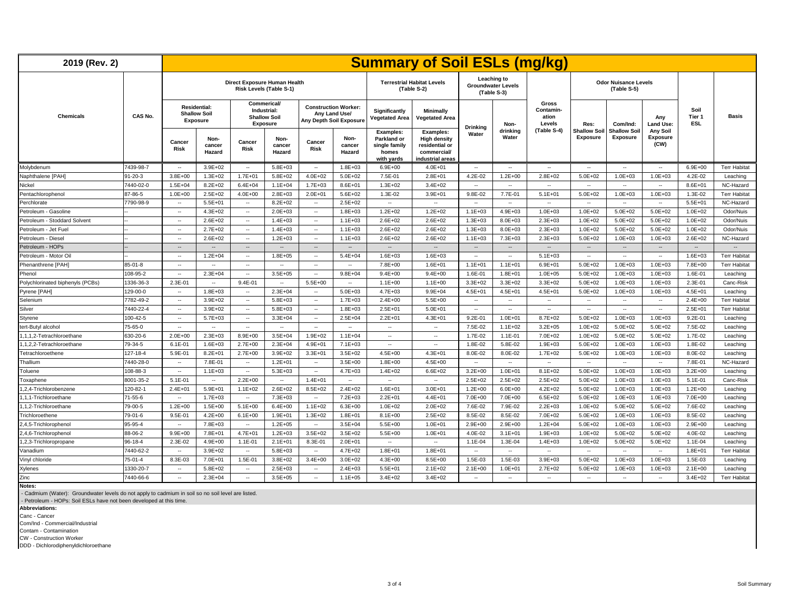| 2019 (Rev. 2)                    |           |                          |                                                               |                                                   |                          |                          |                                                                         |                                                                  | <b>Summary of Soil ESLs (mg/kg)</b>                                                   |                          |                                                         |                                       |                                 |                                            |                              |                              |                     |
|----------------------------------|-----------|--------------------------|---------------------------------------------------------------|---------------------------------------------------|--------------------------|--------------------------|-------------------------------------------------------------------------|------------------------------------------------------------------|---------------------------------------------------------------------------------------|--------------------------|---------------------------------------------------------|---------------------------------------|---------------------------------|--------------------------------------------|------------------------------|------------------------------|---------------------|
|                                  |           |                          |                                                               | Direct Exposure Human Health                      | Risk Levels (Table S-1)  |                          |                                                                         |                                                                  | <b>Terrestrial Habitat Levels</b><br>(Table S-2)                                      |                          | Leaching to<br><b>Groundwater Levels</b><br>(Table S-3) |                                       |                                 | <b>Odor Nuisance Levels</b><br>(Table S-5) |                              |                              |                     |
| <b>Chemicals</b>                 | CAS No.   |                          | <b>Residential:</b><br><b>Shallow Soil</b><br><b>Exposure</b> | Commerical/<br>Industrial:<br><b>Shallow Soil</b> | Exposure                 |                          | <b>Construction Worker:</b><br>Any Land Use/<br>Any Depth Soil Exposure | Significantly<br>Vegetated Area                                  | <b>Minimally</b><br><b>Vegetated Area</b>                                             |                          | Non-                                                    | Gross<br>Contamin-<br>ation<br>Levels | Res:                            | Com/Ind:                                   | Anv<br><b>Land Use:</b>      | Soil<br>Tier 1<br><b>ESL</b> | <b>Basis</b>        |
|                                  |           | Cancer<br><b>Risk</b>    | Non-<br>cancer<br>Hazard                                      | Cancer<br>Risk                                    | Non-<br>cancer<br>Hazard | Cancer<br>Risk           | Non-<br>cancer<br>Hazard                                                | Examples:<br>Parkland or<br>single family<br>homes<br>with yards | Examples:<br><b>High density</b><br>residential or<br>commercial/<br>industrial areas | <b>Drinking</b><br>Water | drinking<br>Water                                       | (Table S-4)                           | <b>Shallow Soil</b><br>Exposure | <b>Shallow Soil</b><br>Exposure            | Any Soil<br>Exposure<br>(CW) |                              |                     |
| Molybdenum                       | 7439-98-7 | $\sim$                   | $3.9E + 02$                                                   | $\sim$                                            | $5.8E + 03$              | $\sim$                   | $1.8E + 03$                                                             | $6.9E + 00$                                                      | $4.0E + 01$                                                                           | $\sim$                   | $\sim$                                                  | $\sim$                                | $\sim$                          | $\sim$                                     | $\sim$                       | $6.9E + 00$                  | <b>Terr Habitat</b> |
| Naphthalene [PAH]                | 91-20-3   | $3.8E + 00$              | $1.3E + 02$                                                   | $1.7E + 01$                                       | $5.8E + 02$              | $4.0E + 02$              | $5.0E + 02$                                                             | 7.5E-01                                                          | $2.8E + 01$                                                                           | $4.2E - 02$              | $1.2E + 00$                                             | $2.8E + 02$                           | $5.0E + 02$                     | $1.0E + 03$                                | $1.0E + 03$                  | 4.2E-02                      | Leaching            |
| Nickel                           | 7440-02-0 | $1.5E + 04$              | $8.2E + 02$                                                   | $6.4E + 04$                                       | $1.1E + 04$              | $1.7E + 03$              | 8.6E+01                                                                 | $1.3E + 02$                                                      | $3.4E + 02$                                                                           | $\overline{\phantom{a}}$ | $\sim$                                                  | $\sim$                                | $\sim$                          | $\sim$                                     | $\sim$                       | $8.6E + 01$                  | NC-Hazard           |
| Pentachlorophenol                | 87-86-5   | $1.0E + 00$              | $2.5E + 02$                                                   | $4.0E + 00$                                       | $2.8E + 03$              | $2.0E + 01$              | $5.6E + 02$                                                             | 1.3E-02                                                          | $3.9E + 01$                                                                           | 9.8E-02                  | 7.7E-01                                                 | $5.1E + 01$                           | $5.0E + 02$                     | $1.0E + 03$                                | $1.0E + 03$                  | 1.3E-02                      | <b>Terr Habitat</b> |
| Perchlorate                      | 7790-98-9 | $\sim$                   | $5.5E + 01$                                                   | $\overline{\phantom{a}}$                          | $8.2E + 02$              | $\overline{\phantom{a}}$ | $2.5E + 02$                                                             | $\sim$                                                           | $\overline{\phantom{a}}$                                                              | $\overline{\phantom{a}}$ | $\sim$                                                  | $\overline{\phantom{a}}$              | $\sim$                          | $\overline{\phantom{a}}$                   | $\sim$                       | $5.5E + 01$                  | NC-Hazard           |
| Petroleum - Gasoline             |           | $\sim$                   | $4.3E + 02$                                                   | $\sim$                                            | $2.0E + 03$              | $\sim$                   | $1.8E + 03$                                                             | $1.2E + 02$                                                      | $1.2E + 02$                                                                           | $1.1E + 03$              | $4.9E + 03$                                             | $1.0E + 03$                           | $1.0E + 02$                     | $5.0E + 02$                                | $5.0E + 02$                  | $1.0E + 02$                  | Odor/Nuis           |
| Petroleum - Stoddard Solvent     |           | $\sim$                   | $2.6E + 02$                                                   | $\sim$                                            | $1.4E + 03$              | $\sim$                   | $1.1E + 03$                                                             | $2.6E + 02$                                                      | $2.6E + 02$                                                                           | $1.3E + 03$              | 8.0E+03                                                 | $2.3E + 03$                           | $1.0E + 02$                     | $5.0E + 02$                                | $5.0E + 02$                  | $1.0E + 02$                  | Odor/Nuis           |
| Petroleum - Jet Fuel             |           | $\sim$                   | $2.7E + 02$                                                   | $\sim$                                            | $1.4E + 03$              | $\sim$                   | $1.1E + 03$                                                             | $2.6E + 02$                                                      | $2.6E + 02$                                                                           | $1.3E + 03$              | 8.0E+03                                                 | $2.3E + 03$                           | $1.0E + 02$                     | $5.0E + 02$                                | $5.0E + 02$                  | $1.0E + 02$                  | Odor/Nuis           |
| Petroleum - Diesel               |           | $\sim$                   | $2.6E + 02$                                                   | $\sim$                                            | $1.2E + 03$              | $\overline{\phantom{a}}$ | $1.1E + 03$                                                             | $2.6E + 02$                                                      | $2.6E + 02$                                                                           | $1.1E + 03$              | 7.3E+03                                                 | $2.3E + 03$                           | $5.0E + 02$                     | $1.0E + 03$                                | $1.0E + 03$                  | $2.6E + 02$                  | NC-Hazard           |
| Petroleum - HOPs                 |           | $\overline{\phantom{a}}$ |                                                               | $\overline{\phantom{a}}$                          | $\overline{\phantom{a}}$ | $\overline{\phantom{a}}$ | $\overline{\phantom{a}}$                                                | $\overline{\phantom{a}}$                                         | $\overline{\phantom{a}}$                                                              | $\overline{\phantom{a}}$ | $\overline{\phantom{a}}$                                | $\overline{\phantom{a}}$              | $\overline{\phantom{a}}$        | $\overline{\phantom{a}}$                   | $\overline{\phantom{a}}$     | $\overline{\phantom{a}}$     |                     |
| Petroleum - Motor Oil            |           | $\overline{\phantom{a}}$ | $1.2E + 04$                                                   | $\overline{\phantom{a}}$                          | $1.8E + 05$              | $\sim$                   | $5.4E + 04$                                                             | $1.6E + 03$                                                      | $1.6E + 03$                                                                           | $\sim$                   | $\sim$                                                  | $5.1E + 03$                           | $\sim$                          | $\overline{\phantom{a}}$                   | $\sim$                       | $1.6E + 03$                  | <b>Terr Habitat</b> |
| Phenanthrene [PAH]               | 85-01-8   | $\overline{\phantom{a}}$ | $\overline{\phantom{a}}$                                      | $\overline{\phantom{a}}$                          | $\sim$                   | $\sim$                   | $\sim$                                                                  | 7.8E+00                                                          | $1.6E + 01$                                                                           | $1.1E + 01$              | $1.1E + 01$                                             | $6.9E + 01$                           | $5.0E + 02$                     | $1.0E + 03$                                | $1.0E + 03$                  | 7.8E+00                      | <b>Terr Habitat</b> |
| Phenol                           | 108-95-2  | $\overline{\phantom{a}}$ | $2.3E + 04$                                                   | $\overline{\phantom{a}}$                          | $3.5E + 05$              | $\sim$                   | $9.8E + 04$                                                             | $9.4E + 00$                                                      | $9.4E + 00$                                                                           | 1.6E-01                  | $1.8E + 01$                                             | $1.0E + 05$                           | $5.0E + 02$                     | $1.0E + 03$                                | $1.0E + 03$                  | 1.6E-01                      | Leaching            |
| Polychlorinated biphenyls (PCBs) | 1336-36-3 | 2.3E-01                  | $\sim$                                                        | $9.4E - 01$                                       | $\sim$                   | $5.5E + 00$              | $\sim$                                                                  | $1.1E + 00$                                                      | $1.1E + 00$                                                                           | $3.3E + 02$              | $3.3E + 02$                                             | $3.3E + 02$                           | $5.0E + 02$                     | $1.0E + 03$                                | $1.0E + 03$                  | 2.3E-01                      | Canc-Risk           |
| Pyrene [PAH]                     | 129-00-0  | $\sim$                   | $1.8E + 03$                                                   | $\sim$                                            | $2.3E + 04$              | $\overline{\phantom{a}}$ | $5.0E + 03$                                                             | $4.7E + 03$                                                      | $9.9E + 04$                                                                           | $4.5E + 01$              | $4.5E + 01$                                             | $4.5E + 01$                           | $5.0E + 02$                     | $1.0E + 03$                                | $1.0E + 03$                  | $4.5E + 01$                  | Leaching            |
| Selenium                         | 7782-49-2 | $\sim$                   | $3.9E + 02$                                                   | $\sim$                                            | $5.8E + 03$              | $\sim$                   | $1.7E + 03$                                                             | $2.4E + 00$                                                      | $5.5E + 00$                                                                           | $\overline{\phantom{a}}$ | $\overline{\phantom{a}}$                                | $\sim$                                | $\sim$                          | $\sim$                                     | $\sim$                       | $2.4E + 00$                  | <b>Terr Habitat</b> |
| Silver                           | 7440-22-4 | $\sim$                   | $3.9E + 02$                                                   | $\sim$                                            | $5.8E + 03$              | $\sim$                   | $1.8E + 03$                                                             | $2.5E + 01$                                                      | $5.0E + 01$                                                                           | $\sim$                   | $\sim$                                                  | $\sim$                                | $\sim$                          | $\sim$                                     | $\sim$                       | $2.5E + 01$                  | <b>Terr Habitat</b> |
| Styrene                          | 100-42-5  | $\sim$                   | $5.7E + 03$                                                   | $\sim$                                            | $3.3E + 04$              | $\sim$                   | $2.5E + 04$                                                             | $2.2E + 01$                                                      | $4.3E + 01$                                                                           | $9.2E - 01$              | $1.0E + 01$                                             | $8.7E + 02$                           | $5.0E + 02$                     | $1.0E + 03$                                | $1.0E + 03$                  | 9.2E-01                      | Leaching            |
| tert-Butyl alcohol               | 75-65-0   | $\sim$                   | $\sim$                                                        | $\sim$                                            | $\sim$                   | $\sim$                   | $\sim$                                                                  | $\sim$                                                           | $\sim$                                                                                | 7.5E-02                  | $1.1E + 02$                                             | $3.2E + 05$                           | $1.0E + 02$                     | $5.0E + 02$                                | $5.0E + 02$                  | 7.5E-02                      | Leaching            |
| 1,1,1,2-Tetrachloroethane        | 630-20-6  | $2.0E + 00$              | $2.3E + 03$                                                   | 8.9E+00                                           | $3.5E + 04$              | $1.9E + 02$              | $1.1E + 04$                                                             | $\overline{\phantom{a}}$                                         | ٠.                                                                                    | 1.7E-02                  | 1.1E-01                                                 | 7.0E+02                               | $1.0E + 02$                     | $5.0E + 02$                                | $5.0E + 02$                  | 1.7E-02                      | Leaching            |
| .1,2,2-Tetrachloroethane         | 79-34-5   | 6.1E-01                  | $1.6E + 03$                                                   | $2.7E + 00$                                       | $2.3E + 04$              | $4.9E + 01$              | $7.1E + 03$                                                             | $\sim$                                                           | ÷.                                                                                    | 1.8E-02                  | 5.8E-02                                                 | $1.9E + 03$                           | $5.0E + 02$                     | $1.0E + 03$                                | $1.0E + 03$                  | 1.8E-02                      | Leaching            |
| Tetrachloroethene                | 127-18-4  | 5.9E-01                  | $8.2E + 01$                                                   | $2.7E + 00$                                       | $3.9E + 02$              | $3.3E + 01$              | $3.5E + 02$                                                             | $4.5E + 00$                                                      | $4.3E + 01$                                                                           | 8.0E-02                  | 8.0E-02                                                 | $1.7E + 02$                           | $5.0E + 02$                     | $1.0E + 03$                                | $1.0E + 03$                  | 8.0E-02                      | Leaching            |
| Thallium                         | 7440-28-0 | $\overline{\phantom{a}}$ | 7.8E-01                                                       | $\sim$                                            | $1.2E + 01$              | $\sim$                   | $3.5E + 00$                                                             | $1.8E + 00$                                                      | $4.5E + 00$                                                                           | $\sim$                   | $\sim$                                                  | $\sim$                                | $\sim$                          | $\sim$                                     | $\sim$                       | 7.8E-01                      | NC-Hazard           |
| Toluene                          | 108-88-3  | $\overline{\phantom{a}}$ | $1.1E + 03$                                                   | $\sim$                                            | $5.3E + 03$              | $\sim$                   | $4.7E + 03$                                                             | $1.4E + 02$                                                      | $6.6E + 02$                                                                           | $3.2E + 00$              | $1.0E + 01$                                             | $8.1E + 02$                           | $5.0E + 02$                     | $1.0E + 03$                                | $1.0E + 03$                  | $3.2E + 00$                  | Leaching            |
| Toxaphene                        | 8001-35-2 | 5.1E-01                  | $\sim$                                                        | $2.2E + 00$                                       | $\sim$                   | $1.4E + 01$              | $\sim$                                                                  | $\sim$                                                           | $\sim$                                                                                | $2.5E + 02$              | $2.5E + 02$                                             | 2.5E+02                               | $5.0E + 02$                     | $1.0E + 03$                                | $1.0E + 03$                  | 5.1E-01                      | Canc-Risk           |
| 1,2,4-Trichlorobenzene           | 120-82-1  | $2.4E + 01$              | $5.9E + 01$                                                   | $1.1E + 02$                                       | $2.6E + 02$              | $8.5E + 02$              | $2.4E + 02$                                                             | 1.6E+01                                                          | $3.0E + 01$                                                                           | $1.2E + 00$              | $6.0E + 00$                                             | $4.2E + 02$                           | $5.0E + 02$                     | $1.0E + 03$                                | $1.0E + 03$                  | $1.2E + 00$                  | Leaching            |
| 1.1.1-Trichloroethane            | 71-55-6   | $\overline{\phantom{a}}$ | $1.7E + 03$                                                   | $\sim$                                            | $7.3E + 03$              | $\overline{\phantom{a}}$ | $7.2E + 03$                                                             | $2.2E + 01$                                                      | $4.4E + 01$                                                                           | 7.0E+00                  | 7.0E+00                                                 | $6.5E + 02$                           | $5.0E + 02$                     | $1.0E + 03$                                | $1.0E + 03$                  | 7.0E+00                      | Leaching            |
| 1,1,2-Trichloroethane            | 79-00-5   | $1.2E + 00$              | $1.5E + 00$                                                   | $5.1E + 00$                                       | $6.4E + 00$              | $1.1E + 02$              | $6.3E + 00$                                                             | $1.0E + 02$                                                      | $2.0E + 02$                                                                           | 7.6E-02                  | 7.9E-02                                                 | $2.2E + 03$                           | $1.0E + 02$                     | $5.0E + 02$                                | $5.0E + 02$                  | 7.6E-02                      | Leaching            |
| Trichloroethene                  | 79-01-6   | 9.5E-01                  | $4.2E + 00$                                                   | $6.1E + 00$                                       | $1.9E + 01$              | $1.3E + 02$              | $1.8E + 01$                                                             | $8.1E + 00$                                                      | $2.5E + 02$                                                                           | 8.5E-02                  | 8.5E-02                                                 | 7.0E+02                               | $5.0E + 02$                     | $1.0E + 03$                                | $1.0E + 03$                  | 8.5E-02                      | Leaching            |
| 2,4,5-Trichlorophenol            | 95-95-4   | $\overline{\phantom{a}}$ | 7.8E+03                                                       | $\sim$                                            | $1.2E + 05$              | $\sim$                   | $3.5E + 04$                                                             | $5.5E+00$                                                        | $1.0E + 01$                                                                           | 2.9E+00                  | $2.9E + 00$                                             | $1.2E + 04$                           | $5.0E + 02$                     | $1.0E + 03$                                | $1.0E + 03$                  | $2.9E + 00$                  | Leaching            |
| 2,4,6-Trichlorophenol            | 88-06-2   | $9.9E + 00$              | 7.8E+01                                                       | $4.7E + 01$                                       | $1.2E + 03$              | $3.5E + 02$              | $3.5E + 02$                                                             | $5.5E + 00$                                                      | $1.0E + 01$                                                                           | 4.0E-02                  | $3.1E + 01$                                             | $1.9E + 03$                           | $1.0E + 02$                     | $5.0E + 02$                                | $5.0E + 02$                  | 4.0E-02                      | Leaching            |
| 1,2,3-Trichloropropane           | 96-18-4   | 2.3E-02                  | $4.9E + 00$                                                   | $1.1E - 01$                                       | $2.1E + 01$              | 8.3E-01                  | $2.0E + 01$                                                             | $\sim$                                                           | $\sim$                                                                                | $1.1E - 04$              | 1.3E-04                                                 | $1.4E + 03$                           | $1.0E + 02$                     | $5.0E + 02$                                | $5.0E + 02$                  | $1.1E - 04$                  | Leaching            |
| Vanadium                         | 7440-62-2 | $\sim$                   | $3.9E + 02$                                                   | $\sim$                                            | $5.8E + 03$              | $\sim$                   | $4.7E + 02$                                                             | $1.8E + 01$                                                      | $1.8E + 01$                                                                           | $\sim$                   | $\sim$                                                  | $\sim$                                | $\sim$                          | $\sim$                                     | $\sim$                       | $1.8E + 01$                  | <b>Terr Habitat</b> |
| Vinyl chloride                   | 75-01-4   | 8.3E-03                  | 7.0E+01                                                       | 1.5E-01                                           | $3.8E + 02$              | $3.4E + 00$              | $3.0E + 02$                                                             | $4.3E + 00$                                                      | $8.5E + 00$                                                                           | 1.5E-03                  | 1.5E-03                                                 | $3.9E + 03$                           | $5.0E + 02$                     | $1.0E + 03$                                | $1.0E + 03$                  | 1.5E-03                      | Leaching            |
| Xylenes                          | 1330-20-7 | $\sim$                   | $5.8E + 02$                                                   | $\sim$                                            | $2.5E + 03$              | $\sim$                   | $2.4E + 03$                                                             | $5.5E + 01$                                                      | $2.1E + 02$                                                                           | $2.1E + 00$              | $1.0E + 01$                                             | $2.7E + 02$                           | $5.0E + 02$                     | $1.0E + 03$                                | $1.0E + 03$                  | $2.1E + 00$                  | Leaching            |
| Zinc                             | 7440-66-6 | $\sim$                   | $2.3E + 04$                                                   | $\sim$                                            | $3.5E + 05$              | $\overline{\phantom{a}}$ | $1.1E + 05$                                                             | $3.4E + 02$                                                      | $3.4E + 02$                                                                           | $\sim$                   | $\sim$                                                  | $\sim$                                | $\sim$                          | $\sim$                                     | $\sim$                       | $3.4E + 02$                  | <b>Terr Habitat</b> |
|                                  |           |                          |                                                               |                                                   |                          |                          |                                                                         |                                                                  |                                                                                       |                          |                                                         |                                       |                                 |                                            |                              |                              |                     |

**Notes:**

- Cadmium (Water): Groundwater levels do not apply to cadmium in soil so no soil level are listed.

- Petroleum - HOPs: Soil ESLs have not been developed at this time.

**Abbreviations:**

Canc - Cancer

Com/Ind - Commercial/Industrial

Contam - Contamination

CW - Construction Worker

DDD - Dichlorodiphenyldichloroethane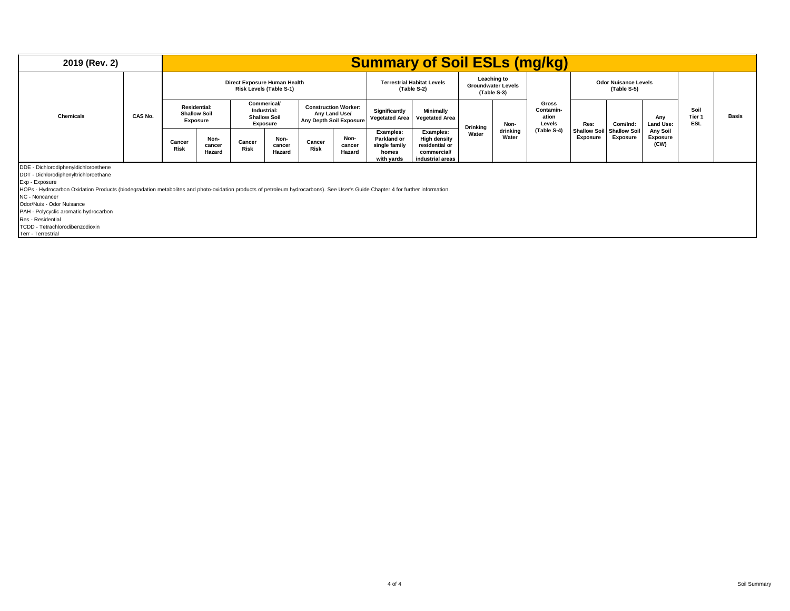| 2019 (Rev. 2)                                                                                                                                                                                                                                                                                                                                                                                |                                                                                     |  |                          |                              |                                                                      |                                                                         |                          |                                                                  | <b>Summary of Soil ESLs (mg/kg)</b>                                                   |                 |                                                         |                                       |                                 |                                            |                              |                              |              |
|----------------------------------------------------------------------------------------------------------------------------------------------------------------------------------------------------------------------------------------------------------------------------------------------------------------------------------------------------------------------------------------------|-------------------------------------------------------------------------------------|--|--------------------------|------------------------------|----------------------------------------------------------------------|-------------------------------------------------------------------------|--------------------------|------------------------------------------------------------------|---------------------------------------------------------------------------------------|-----------------|---------------------------------------------------------|---------------------------------------|---------------------------------|--------------------------------------------|------------------------------|------------------------------|--------------|
|                                                                                                                                                                                                                                                                                                                                                                                              |                                                                                     |  |                          | Direct Exposure Human Health | Risk Levels (Table S-1)                                              |                                                                         |                          |                                                                  | <b>Terrestrial Habitat Levels</b><br>(Table S-2)                                      |                 | Leaching to<br><b>Groundwater Levels</b><br>(Table S-3) |                                       |                                 | <b>Odor Nuisance Levels</b><br>(Table S-5) |                              |                              |              |
| <b>Chemicals</b>                                                                                                                                                                                                                                                                                                                                                                             | <b>Residential:</b><br><b>Shallow Soil</b><br>CAS No.<br>Exposure<br>Cancer<br>Risk |  |                          |                              | <b>Commerical/</b><br>Industrial:<br><b>Shallow Soil</b><br>Exposure | <b>Construction Worker:</b><br>Any Land Use/<br>Any Depth Soil Exposure |                          | Significantly<br><b>Vegetated Area</b>                           | Minimally<br><b>Vegetated Area</b>                                                    | <b>Drinking</b> | Non-                                                    | Gross<br>Contamin-<br>ation<br>Levels | Res:                            | Com/Ind:                                   | Any<br>Land Use:             | Soil<br>Tier 1<br><b>ESL</b> | <b>Basis</b> |
|                                                                                                                                                                                                                                                                                                                                                                                              |                                                                                     |  | Non-<br>cancer<br>Hazard | Cancer<br><b>Risk</b>        | Non-<br>cancer<br>Hazard                                             | Cancer<br><b>Risk</b>                                                   | Non-<br>cancer<br>Hazard | Examples:<br>Parkland or<br>single family<br>homes<br>with yards | Examples:<br><b>High density</b><br>residential or<br>commercial/<br>industrial areas | Water           | drinking<br>Water                                       | (Table S-4)                           | <b>Shallow Soil</b><br>Exposure | <b>Shallow Soil</b><br><b>Exposure</b>     | Any Soil<br>Exposure<br>(CW) |                              |              |
| DDE - Dichlorodiphenyldichloroethene<br>DDT - Dichlorodiphenyltrichloroethane<br>Exp - Exposure<br>HOPs - Hydrocarbon Oxidation Products (biodegradation metabolites and photo-oxidation products of petroleum hydrocarbons). See User's Guide Chapter 4 for further information.<br>NC - Noncancer<br>Odor/Nuis - Odor Nuisance<br>PAH - Polycyclic aromatic hydrocarbon<br>Dee Desidential |                                                                                     |  |                          |                              |                                                                      |                                                                         |                          |                                                                  |                                                                                       |                 |                                                         |                                       |                                 |                                            |                              |                              |              |

Res - Residential TCDD - Tetrachlorodibenzodioxin Terr - Terrestrial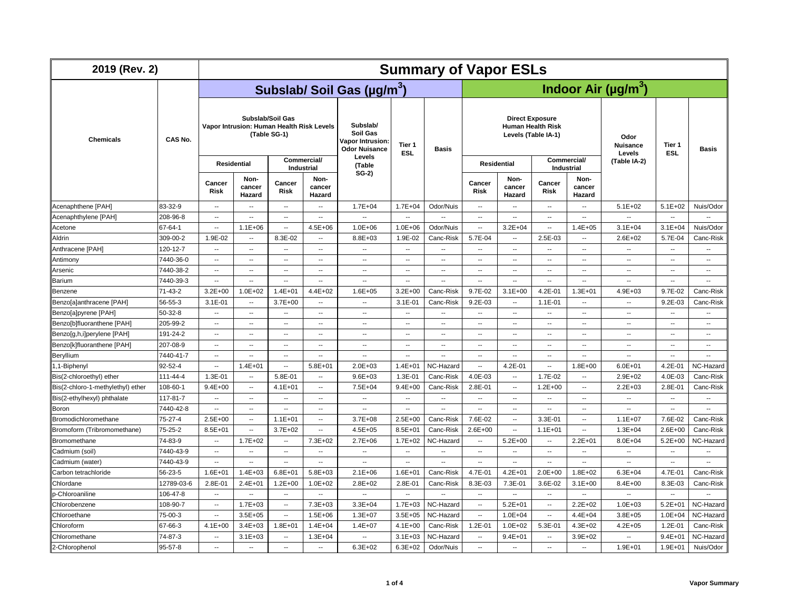| 2019 (Rev. 2)                     |               | <b>Summary of Vapor ESLs</b>                                                  |                          |                                  |                          |                                                                 |                          |                                       |                                                                           |                          |                          |                                  |                                   |                          |                          |
|-----------------------------------|---------------|-------------------------------------------------------------------------------|--------------------------|----------------------------------|--------------------------|-----------------------------------------------------------------|--------------------------|---------------------------------------|---------------------------------------------------------------------------|--------------------------|--------------------------|----------------------------------|-----------------------------------|--------------------------|--------------------------|
|                                   | CAS No.       |                                                                               |                          |                                  |                          | Subslab/ Soil Gas (µg/m <sup>3</sup> )                          |                          | Indoor Air ( $\mu$ g/m <sup>3</sup> ) |                                                                           |                          |                          |                                  |                                   |                          |                          |
| <b>Chemicals</b>                  |               | Subslab/Soil Gas<br>Vapor Intrusion: Human Health Risk Levels<br>(Table SG-1) |                          |                                  |                          | Subslab/<br>Soil Gas<br>Vapor Intrusion<br><b>Odor Nuisance</b> | Tier 1<br>ESL            | <b>Basis</b>                          | <b>Direct Exposure</b><br><b>Human Health Risk</b><br>Levels (Table IA-1) |                          |                          |                                  | Odor<br><b>Nuisance</b><br>Levels | Tier 1<br><b>ESL</b>     | <b>Basis</b>             |
|                                   |               | <b>Residential</b>                                                            |                          | Commercial/<br><b>Industrial</b> |                          | Levels<br>(Table                                                |                          |                                       | <b>Residential</b>                                                        |                          |                          | Commercial/<br><b>Industrial</b> | (Table IA-2)                      |                          |                          |
|                                   |               | Cancer<br>Risk                                                                | Non-<br>cancer<br>Hazard | Cancer<br><b>Risk</b>            | Non-<br>cancer<br>Hazard | $SG-2)$                                                         |                          |                                       | Cancer<br><b>Risk</b>                                                     | Non-<br>cancer<br>Hazard | Cancer<br><b>Risk</b>    | Non-<br>cancer<br>Hazard         |                                   |                          |                          |
| Acenaphthene [PAH]                | 83-32-9       | $\overline{\phantom{a}}$                                                      | $\overline{\phantom{a}}$ | $\overline{\phantom{a}}$         | $\overline{\phantom{a}}$ | $1.7E + 04$                                                     | $1.7E + 04$              | Odor/Nuis                             | $\overline{\phantom{a}}$                                                  | $\overline{\phantom{a}}$ | --                       | $\overline{\phantom{a}}$         | $5.1E + 02$                       | $5.1E + 02$              | Nuis/Odor                |
| Acenaphthylene [PAH]              | 208-96-8      | $\overline{\phantom{a}}$                                                      | $\overline{\phantom{a}}$ | $\sim$                           | $\overline{\phantom{a}}$ | $\overline{\phantom{a}}$                                        | $\overline{\phantom{a}}$ | $\sim$                                | $\sim$                                                                    | $\sim$                   | $\overline{\phantom{a}}$ | $\sim$                           | $\overline{\phantom{a}}$          | $\overline{\phantom{a}}$ | $\sim$                   |
| Acetone                           | 67-64-1       | $\sim$                                                                        | $1.1E + 06$              | $\sim$                           | $4.5E + 06$              | $1.0E + 06$                                                     | $1.0E + 06$              | Odor/Nuis                             | $\sim$                                                                    | $3.2E + 04$              | $\overline{\phantom{a}}$ | $1.4E + 05$                      | $3.1E + 04$                       | $3.1E + 04$              | Nuis/Odor                |
| Aldrin                            | 309-00-2      | 1.9E-02                                                                       | $\sim$                   | 8.3E-02                          | $\overline{\phantom{a}}$ | 8.8E+03                                                         | 1.9E-02                  | Canc-Risk                             | 5.7E-04                                                                   | $\sim$                   | 2.5E-03                  | $\overline{\phantom{a}}$         | $2.6E + 02$                       | 5.7E-04                  | Canc-Risk                |
| Anthracene [PAH]                  | 120-12-7      | $\overline{\phantom{a}}$                                                      | $\overline{\phantom{a}}$ | ۰.                               | $\overline{\phantom{a}}$ | $\overline{\phantom{a}}$                                        | $\overline{\phantom{a}}$ | $\overline{\phantom{a}}$              | $\sim$                                                                    | $\overline{\phantom{a}}$ | μ.                       | $\overline{\phantom{a}}$         | ۰.                                | Ξ.                       | ۰.                       |
| Antimony                          | 7440-36-0     | $\overline{\phantom{a}}$                                                      | $\overline{\phantom{a}}$ | $\overline{\phantom{a}}$         | $\overline{\phantom{a}}$ | $\overline{\phantom{a}}$                                        | $\overline{\phantom{a}}$ | $\overline{\phantom{a}}$              | $\sim$                                                                    | $\overline{\phantom{a}}$ | $\overline{\phantom{a}}$ | $\overline{\phantom{a}}$         | $\overline{\phantom{a}}$          | --                       | --                       |
| Arsenic                           | 7440-38-2     | $\sim$                                                                        | $\overline{\phantom{a}}$ | $\overline{\phantom{a}}$         | $\sim$                   | $\sim$                                                          | $\sim$                   | $\overline{\phantom{a}}$              | $\sim$                                                                    | $\sim$                   | $\overline{\phantom{a}}$ | $\overline{\phantom{a}}$         | $\sim$                            | --                       | --                       |
| Barium                            | 7440-39-3     | $\sim$                                                                        | $\sim$                   | $\overline{\phantom{a}}$         | $\sim$                   | $\sim$                                                          | $\ddot{\phantom{a}}$     | $\overline{\phantom{a}}$              | $\sim$                                                                    | $\sim$                   |                          | $\overline{\phantom{a}}$         | $\overline{\phantom{a}}$          | $\ddot{\phantom{a}}$     | $\ddot{\phantom{a}}$     |
| Benzene                           | 71-43-2       | $3.2E + 00$                                                                   | $1.0E + 02$              | $1.4E + 01$                      | 4.4E+02                  | $1.6E + 05$                                                     | $3.2E + 00$              | Canc-Risk                             | 9.7E-02                                                                   | $3.1E + 00$              | 4.2E-01                  | $1.3E + 01$                      | $4.9E + 03$                       | 9.7E-02                  | Canc-Risk                |
| Benzo[a]anthracene [PAH]          | 56-55-3       | $3.1E - 01$                                                                   | $\overline{\phantom{a}}$ | $3.7E + 00$                      | $\overline{\phantom{a}}$ | $\ddot{\phantom{a}}$                                            | $3.1E - 01$              | Canc-Risk                             | $9.2E-03$                                                                 | $\overline{\phantom{a}}$ | 1.1E-01                  | $\overline{\phantom{a}}$         | $\overline{\phantom{a}}$          | $9.2E - 03$              | Canc-Risk                |
| Benzo[a]pyrene [PAH]              | 50-32-8       | $\overline{\phantom{a}}$                                                      | $\overline{\phantom{a}}$ | $\overline{\phantom{a}}$         | $\overline{\phantom{a}}$ | $\sim$                                                          | $\overline{\phantom{a}}$ | $\overline{\phantom{a}}$              | $\sim$                                                                    | $\sim$                   | $\overline{\phantom{a}}$ | $\overline{\phantom{a}}$         | $\sim$                            | $\overline{\phantom{a}}$ | $\overline{\phantom{a}}$ |
| Benzo[b]fluoranthene [PAH]        | 205-99-2      | $\overline{\phantom{a}}$                                                      | $\overline{\phantom{a}}$ | $\overline{\phantom{a}}$         | $\overline{\phantom{a}}$ | $\overline{\phantom{a}}$                                        | $\overline{\phantom{a}}$ | $\overline{\phantom{a}}$              | $\sim$                                                                    | $\overline{\phantom{a}}$ | --                       | $\overline{\phantom{a}}$         | $\overline{\phantom{a}}$          | --                       | $\overline{\phantom{a}}$ |
| Benzo[g,h,i]perylene [PAH]        | 191-24-2      | $\sim$                                                                        | $\overline{\phantom{a}}$ | $\overline{\phantom{a}}$         | $\sim$                   | $\overline{\phantom{a}}$                                        | $\sim$                   | $\overline{\phantom{a}}$              | $\sim$                                                                    | $\sim$                   | $\ddot{\phantom{a}}$     | $\overline{a}$                   | $\overline{\phantom{a}}$          | $\overline{a}$           | $\overline{\phantom{a}}$ |
| Benzo[k]fluoranthene [PAH]        | 207-08-9      | $\overline{\phantom{a}}$                                                      | $\sim$                   | $\overline{\phantom{a}}$         | $\sim$                   | $\sim$                                                          | $\sim$                   | $\sim$                                | $\sim$                                                                    | $\sim$                   | $\overline{\phantom{a}}$ | $\sim$                           | $\sim$                            | Ξ.                       | $\overline{a}$           |
| Beryllium                         | 7440-41-7     | $\overline{\phantom{a}}$                                                      | $\overline{\phantom{a}}$ | Ξ.                               | $\overline{\phantom{a}}$ | $\overline{\phantom{a}}$                                        | $\overline{\phantom{a}}$ | ٠.                                    | $\overline{\phantom{a}}$                                                  | $\overline{\phantom{a}}$ | μ.                       | $\overline{\phantom{a}}$         | ۰.                                | Ξ.                       |                          |
| 1,1-Biphenyl                      | 92-52-4       | $\overline{\phantom{a}}$                                                      | $1.4E + 01$              | $\overline{\phantom{a}}$         | $5.8E + 01$              | $2.0E + 03$                                                     | $1.4E + 01$              | NC-Hazard                             | $\overline{\phantom{a}}$                                                  | $4.2E - 01$              | $\overline{\phantom{a}}$ | $1.8E + 00$                      | $6.0E + 01$                       | 4.2E-01                  | NC-Hazard                |
| Bis(2-chloroethyl) ether          | 111-44-4      | 1.3E-01                                                                       | $\sim$                   | 5.8E-01                          | $\overline{\phantom{a}}$ | $9.6E + 03$                                                     | 1.3E-01                  | Canc-Risk                             | 4.0E-03                                                                   | $\overline{\phantom{a}}$ | 1.7E-02                  | $\overline{\phantom{a}}$         | $2.9E + 02$                       | 4.0E-03                  | Canc-Risk                |
| Bis(2-chloro-1-methylethyl) ether | 108-60-1      | $9.4E + 00$                                                                   | $\overline{\phantom{a}}$ | $4.1E + 01$                      | $\overline{\phantom{a}}$ | 7.5E+04                                                         | $9.4E + 00$              | Canc-Risk                             | 2.8E-01                                                                   | $\overline{\phantom{a}}$ | $1.2E + 00$              | $\overline{\phantom{a}}$         | $2.2E + 03$                       | 2.8E-01                  | Canc-Risk                |
| Bis(2-ethylhexyl) phthalate       | 117-81-7      | $\overline{\phantom{a}}$                                                      | $\overline{\phantom{a}}$ | $\sim$                           | $\sim$                   | $\overline{a}$                                                  | $\overline{\phantom{a}}$ | $\overline{\phantom{a}}$              | $\sim$                                                                    | $\sim$                   | $\overline{a}$           | $\overline{\phantom{a}}$         | $\sim$                            | $\overline{\phantom{a}}$ | $\overline{a}$           |
| Boron                             | 7440-42-8     | $\overline{\phantom{a}}$                                                      | $\overline{\phantom{a}}$ | ۰.                               | $\overline{\phantom{a}}$ | $\sim$                                                          | $\overline{\phantom{a}}$ | $\overline{\phantom{a}}$              | $\sim$                                                                    | $\sim$                   | ۰.                       | $\overline{\phantom{a}}$         | $\overline{\phantom{a}}$          | ۰.                       |                          |
| Bromodichloromethane              | 75-27-4       | $2.5E + 00$                                                                   | $\overline{\phantom{a}}$ | $1.1E + 01$                      | $\overline{\phantom{a}}$ | $3.7E + 08$                                                     | $2.5E + 00$              | Canc-Risk                             | 7.6E-02                                                                   | $\overline{\phantom{a}}$ | 3.3E-01                  | $\overline{\phantom{a}}$         | $1.1E + 07$                       | 7.6E-02                  | Canc-Risk                |
| Bromoform (Tribromomethane)       | $75 - 25 - 2$ | $8.5E + 01$                                                                   | $\overline{\phantom{a}}$ | $3.7E + 02$                      | $\overline{\phantom{a}}$ | $4.5E + 05$                                                     | $8.5E + 01$              | Canc-Risk                             | $2.6E + 00$                                                               | $\overline{\phantom{a}}$ | $1.1E + 01$              | $\overline{\phantom{a}}$         | $1.3E + 04$                       | $2.6E + 00$              | Canc-Risk                |
| Bromomethane                      | 74-83-9       | $\overline{\phantom{a}}$                                                      | $1.7E + 02$              | $\overline{\phantom{a}}$         | $7.3E + 02$              | $2.7E + 06$                                                     | $1.7E + 02$              | NC-Hazard                             | $\overline{\phantom{a}}$                                                  | $5.2E + 00$              | $\overline{\phantom{a}}$ | $2.2E + 01$                      | $8.0E + 04$                       | $5.2E + 00$              | NC-Hazard                |
| Cadmium (soil)                    | 7440-43-9     | ۰.                                                                            | $\overline{\phantom{a}}$ | $\overline{\phantom{a}}$         | $\overline{\phantom{a}}$ | $\overline{\phantom{a}}$                                        | $\overline{\phantom{a}}$ | Ξ.                                    | $\sim$                                                                    | $\overline{\phantom{a}}$ |                          | $\overline{\phantom{a}}$         | --                                | ۰.                       |                          |
| Cadmium (water)                   | 7440-43-9     | $\overline{\phantom{a}}$                                                      | $\overline{\phantom{a}}$ | --                               | $\sim$                   | $\overline{\phantom{a}}$                                        | --                       | $\overline{\phantom{a}}$              | $\overline{\phantom{a}}$                                                  | $\overline{\phantom{a}}$ |                          | $\overline{\phantom{a}}$         | $\overline{\phantom{a}}$          | ۰.                       | $\overline{a}$           |
| Carbon tetrachloride              | 56-23-5       | $1.6E + 01$                                                                   | $1.4E + 03$              | $6.8E + 01$                      | $5.8E + 03$              | $2.1E + 06$                                                     | $1.6E + 01$              | Canc-Risk                             | 4.7E-01                                                                   | $4.2E + 01$              | $2.0E + 00$              | $1.8E + 02$                      | $6.3E + 04$                       | 4.7E-01                  | Canc-Risk                |
| Chlordane                         | 12789-03-6    | 2.8E-01                                                                       | $2.4E + 01$              | $1.2E + 00$                      | $1.0E + 02$              | $2.8E + 02$                                                     | 2.8E-01                  | Canc-Risk                             | 8.3E-03                                                                   | 7.3E-01                  | 3.6E-02                  | $3.1E + 00$                      | $8.4E + 00$                       | 8.3E-03                  | Canc-Risk                |
| p-Chloroaniline                   | 106-47-8      | $\sim$                                                                        | $\sim$                   | $\sim$                           | $\sim$                   | $\overline{\phantom{a}}$                                        | $\sim$                   | $\sim$                                | $\sim$ $\sim$                                                             | $\sim$                   | $\overline{\phantom{a}}$ | $\overline{\phantom{a}}$         | $\overline{\phantom{a}}$          | $\overline{\phantom{a}}$ | Ξ.                       |
| Chlorobenzene                     | 108-90-7      | $\overline{\phantom{a}}$                                                      | $1.7E + 03$              | ٠.                               | $7.3E + 03$              | $3.3E + 04$                                                     | $1.7E + 03$              | NC-Hazard                             | $\sim$                                                                    | $5.2E + 01$              | --                       | $2.2E + 02$                      | $1.0E + 03$                       | $5.2E + 01$              | NC-Hazard                |
| Chloroethane                      | 75-00-3       | $\sim$                                                                        | $3.5E + 05$              | $\overline{\phantom{a}}$         | $1.5E + 06$              | $1.3E + 07$                                                     | $3.5E + 05$              | NC-Hazard                             | $\sim$                                                                    | $1.0E + 04$              | $\overline{\phantom{a}}$ | $4.4E + 04$                      | $3.8E + 05$                       | $1.0E + 04$              | NC-Hazard                |
| Chloroform                        | 67-66-3       | $4.1E + 00$                                                                   | $3.4E + 03$              | $1.8E + 01$                      | $1.4E + 04$              | $1.4E + 07$                                                     | $4.1E + 00$              | Canc-Risk                             | 1.2E-01                                                                   | $1.0E + 02$              | 5.3E-01                  | $4.3E + 02$                      | $4.2E + 05$                       | 1.2E-01                  | Canc-Risk                |
| Chloromethane                     | 74-87-3       | $\sim$                                                                        | $3.1E + 03$              | $\sim$                           | $1.3E + 04$              | $\sim$                                                          | $3.1E + 03$              | NC-Hazard                             | $\sim$                                                                    | $9.4E + 01$              | $\ddot{\phantom{a}}$     | $3.9E + 02$                      |                                   | $9.4E + 01$              | NC-Hazard                |
| 2-Chlorophenol                    | 95-57-8       | $\sim$                                                                        | $\overline{a}$           | $\overline{a}$                   | $\sim$                   | $6.3E + 02$                                                     | $6.3E + 02$              | Odor/Nuis                             | $\sim$                                                                    | $\sim$                   | $\overline{\phantom{a}}$ | $\sim$                           | $1.9E + 01$                       | $1.9E + 01$              | Nuis/Odor                |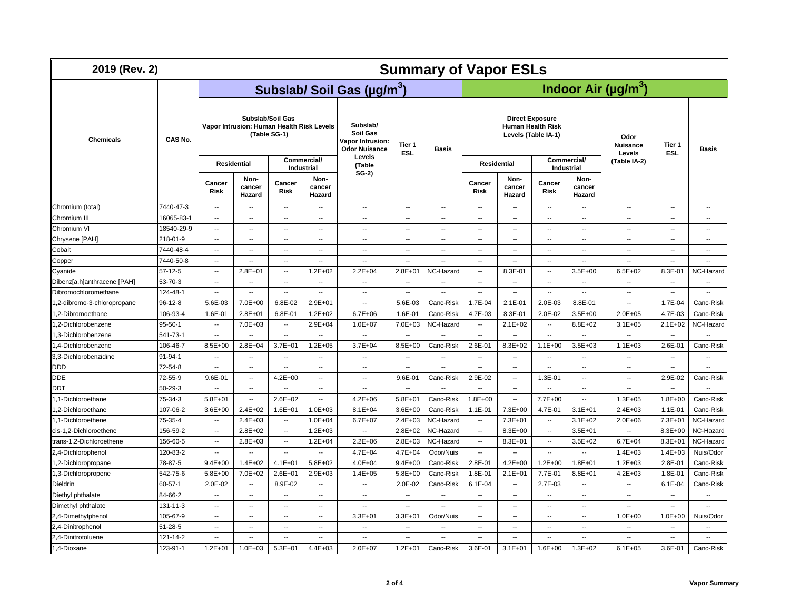| 2019 (Rev. 2)               |               | <b>Summary of Vapor ESLs</b> |                                           |                                  |                                  |                                                                         |                          |                                       |                                                                           |                          |                                  |                          |                                   |                          |                          |
|-----------------------------|---------------|------------------------------|-------------------------------------------|----------------------------------|----------------------------------|-------------------------------------------------------------------------|--------------------------|---------------------------------------|---------------------------------------------------------------------------|--------------------------|----------------------------------|--------------------------|-----------------------------------|--------------------------|--------------------------|
|                             |               |                              |                                           |                                  |                                  | Subslab/ Soil Gas (µg/m <sup>3</sup> )                                  |                          | Indoor Air ( $\mu$ g/m <sup>3</sup> ) |                                                                           |                          |                                  |                          |                                   |                          |                          |
| <b>Chemicals</b>            | CAS No.       |                              | Vapor Intrusion: Human Health Risk Levels | Subslab/Soil Gas<br>(Table SG-1) |                                  | Subslab/<br>Soil Gas<br><b>Vapor Intrusion:</b><br><b>Odor Nuisance</b> | Tier 1<br><b>ESL</b>     | Basis                                 | <b>Direct Exposure</b><br><b>Human Health Risk</b><br>Levels (Table IA-1) |                          |                                  |                          | Odor<br><b>Nuisance</b><br>Levels | Tier 1<br><b>ESL</b>     | Basis                    |
|                             |               |                              | <b>Residential</b>                        |                                  | Commercial/<br><b>Industrial</b> | Levels<br>(Table                                                        |                          |                                       | <b>Residential</b>                                                        |                          | Commercial/<br><b>Industrial</b> |                          | (Table IA-2)                      |                          |                          |
|                             |               | Cancer<br><b>Risk</b>        | Non-<br>cancer<br>Hazard                  | Cancer<br>Risk                   | Non-<br>cancer<br>Hazard         | $SG-2)$                                                                 |                          |                                       | Cancer<br><b>Risk</b>                                                     | Non-<br>cancer<br>Hazard | Cancer<br><b>Risk</b>            | Non-<br>cancer<br>Hazard |                                   |                          |                          |
| Chromium (total)            | 7440-47-3     | $\sim$                       | $\sim$                                    | $\overline{\phantom{a}}$         | $\overline{\phantom{a}}$         | $\overline{\phantom{a}}$                                                | $\sim$                   | $\overline{\phantom{a}}$              | $\overline{\phantom{a}}$                                                  | $\overline{\phantom{a}}$ | $\sim$                           | $\overline{\phantom{a}}$ | $\sim$                            | $\overline{\phantom{a}}$ | $\sim$                   |
| Chromium III                | 16065-83-1    | $\sim$                       | $\overline{\phantom{a}}$                  | $\sim$                           | $\overline{\phantom{a}}$         | $\overline{\phantom{a}}$                                                | $\overline{\phantom{a}}$ | $\overline{\phantom{a}}$              | $\overline{\phantom{a}}$                                                  | $\sim$                   | $\overline{\phantom{a}}$         | $\sim$                   | $\overline{\phantom{a}}$          | $\overline{\phantom{a}}$ | $\overline{\phantom{a}}$ |
| Chromium VI                 | 18540-29-9    | $\overline{\phantom{a}}$     | $\overline{\phantom{a}}$                  | $\overline{\phantom{a}}$         | $\overline{\phantom{a}}$         | $\overline{\phantom{a}}$                                                | $\overline{\phantom{a}}$ | $\overline{\phantom{a}}$              | $\sim$                                                                    | $\sim$                   | ۰.                               | ٠.                       | $\overline{\phantom{a}}$          | $\overline{\phantom{a}}$ | $\overline{\phantom{a}}$ |
| Chrysene [PAH]              | 218-01-9      | $\overline{\phantom{a}}$     | $\overline{\phantom{a}}$                  | ۰.                               | $\overline{\phantom{a}}$         | $\sim$                                                                  | $\overline{\phantom{a}}$ | $\overline{\phantom{a}}$              | $\mathbf{L}$                                                              | $\overline{\phantom{a}}$ | ۰.                               | $\overline{\phantom{a}}$ | $\overline{\phantom{a}}$          | $\overline{\phantom{a}}$ | $\overline{\phantom{a}}$ |
| Cobalt                      | 7440-48-4     | $\overline{\phantom{a}}$     | $\sim$                                    | --                               | $\overline{\phantom{a}}$         | $\overline{\phantom{a}}$                                                | $\sim$                   | $\overline{\phantom{a}}$              | $\overline{\phantom{a}}$                                                  | $\sim$                   | --                               | $\overline{\phantom{a}}$ | $\sim$                            | $\overline{\phantom{a}}$ | $\overline{\phantom{a}}$ |
| Copper                      | 7440-50-8     | $\sim$                       | $\sim$                                    | $\overline{\phantom{a}}$         | $\overline{\phantom{a}}$         | $\sim$                                                                  | $\sim$                   | $\ddot{\phantom{a}}$                  | $\overline{\phantom{a}}$                                                  | $\sim$                   | $\overline{\phantom{a}}$         | $\overline{\phantom{a}}$ | $\sim$                            | $\overline{\phantom{a}}$ | $\sim$                   |
| Cyanide                     | $57-12-5$     | $\overline{\phantom{a}}$     | $2.8E + 01$                               | $\overline{\phantom{a}}$         | $1.2E + 02$                      | $2.2E + 04$                                                             | $2.8E + 01$              | NC-Hazard                             | $\overline{\phantom{a}}$                                                  | 8.3E-01                  | $\overline{\phantom{a}}$         | $3.5E + 00$              | $6.5E + 02$                       | 8.3E-01                  | NC-Hazard                |
| Dibenz[a,h]anthracene [PAH] | 53-70-3       | $\overline{\phantom{a}}$     | $\overline{\phantom{a}}$                  | ۰.                               | $\overline{\phantom{a}}$         | $\overline{\phantom{a}}$                                                | $\overline{\phantom{a}}$ | $\overline{\phantom{a}}$              | $\overline{\phantom{a}}$                                                  | $\overline{\phantom{a}}$ | ۰.                               | $\overline{\phantom{a}}$ | $\ddotsc$                         | ۰.                       | $\overline{\phantom{a}}$ |
| Dibromochloromethane        | 124-48-1      | $\overline{\phantom{a}}$     | $\overline{\phantom{a}}$                  | μ.                               | $\overline{\phantom{a}}$         | $\overline{\phantom{a}}$                                                | $\overline{\phantom{a}}$ | $\overline{\phantom{a}}$              | Ξ.                                                                        | $\overline{\phantom{a}}$ | --                               | $\overline{\phantom{a}}$ | $\overline{\phantom{a}}$          | --                       | -−                       |
| 1,2-dibromo-3-chloropropane | $96 - 12 - 8$ | 5.6E-03                      | 7.0E+00                                   | 6.8E-02                          | $2.9E + 01$                      | $\overline{\phantom{a}}$                                                | 5.6E-03                  | Canc-Risk                             | 1.7E-04                                                                   | $2.1E-01$                | 2.0E-03                          | 8.8E-01                  | $\sim$                            | 1.7E-04                  | Canc-Risk                |
| 1,2-Dibromoethane           | 106-93-4      | 1.6E-01                      | $2.8E + 01$                               | 6.8E-01                          | $1.2E + 02$                      | $6.7E + 06$                                                             | 1.6E-01                  | Canc-Risk                             | 4.7E-03                                                                   | 8.3E-01                  | 2.0E-02                          | $3.5E + 00$              | $2.0E + 05$                       | 4.7E-03                  | Canc-Risk                |
| 1,2-Dichlorobenzene         | $95 - 50 - 1$ | $\sim$                       | 7.0E+03                                   | $\sim$                           | $2.9E + 04$                      | $1.0E + 07$                                                             | 7.0E+03                  | NC-Hazard                             | $\sim$                                                                    | $2.1E + 02$              | $\sim$                           | 8.8E+02                  | $3.1E + 05$                       | $2.1E+02$                | NC-Hazard                |
| 1,3-Dichlorobenzene         | 541-73-1      | $\sim$                       | $\sim$                                    | $\sim$                           | $\sim$                           | $\overline{\phantom{a}}$                                                | $\overline{\phantom{a}}$ | $\sim$                                | $\sim$                                                                    | $\sim$                   | $\overline{\phantom{a}}$         | $\overline{\phantom{a}}$ | $\overline{\phantom{a}}$          | $\overline{\phantom{a}}$ | $\overline{\phantom{a}}$ |
| 1.4-Dichlorobenzene         | 106-46-7      | $8.5E + 00$                  | $2.8E + 04$                               | $3.7E + 01$                      | $1.2E + 05$                      | $3.7E + 04$                                                             | $8.5E + 00$              | Canc-Risk                             | 2.6E-01                                                                   | 8.3E+02                  | $1.1E + 00$                      | $3.5E + 03$              | $1.1E + 03$                       | 2.6E-01                  | Canc-Risk                |
| 3,3-Dichlorobenzidine       | 91-94-1       | $\sim$                       | $\sim$                                    | --                               | $\overline{\phantom{a}}$         | $\overline{\phantom{a}}$                                                | $\overline{\phantom{a}}$ | $\overline{\phantom{a}}$              | $\sim$                                                                    | $\sim$                   | ۰.                               | $\overline{\phantom{a}}$ | $\sim$                            | $\overline{\phantom{a}}$ | $\overline{\phantom{a}}$ |
| DDD                         | 72-54-8       | $\overline{\phantom{a}}$     | $\sim$                                    | $\sim$                           | $\overline{\phantom{a}}$         | $\sim$                                                                  | $\overline{\phantom{a}}$ | $\overline{\phantom{a}}$              | $\overline{\phantom{a}}$                                                  | $\overline{\phantom{a}}$ | $\overline{\phantom{a}}$         | $\overline{\phantom{a}}$ | $\overline{\phantom{a}}$          | $\overline{\phantom{a}}$ | $\overline{\phantom{a}}$ |
| <b>DDE</b>                  | 72-55-9       | 9.6E-01                      | $\overline{\phantom{a}}$                  | $4.2E + 00$                      | $\overline{\phantom{a}}$         | $\sim$                                                                  | 9.6E-01                  | Canc-Risk                             | 2.9E-02                                                                   | $\overline{\phantom{a}}$ | 1.3E-01                          | $\overline{\phantom{a}}$ | $\overline{\phantom{a}}$          | 2.9E-02                  | Canc-Risk                |
| DDT                         | $50 - 29 - 3$ | $\overline{\phantom{a}}$     | $\overline{a}$                            | Ξ.                               | $\overline{\phantom{a}}$         | $\overline{\phantom{a}}$                                                | $\overline{\phantom{a}}$ | $\overline{\phantom{a}}$              | $\sim$                                                                    | $\sim$                   | $\overline{\phantom{a}}$         | $\sim$                   | $\overline{\phantom{a}}$          | --                       | $\overline{\phantom{a}}$ |
| 1,1-Dichloroethane          | 75-34-3       | $5.8E + 01$                  | $\overline{\phantom{a}}$                  | $2.6E + 02$                      | $\overline{\phantom{a}}$         | $4.2E + 06$                                                             | $5.8E + 01$              | Canc-Risk                             | $1.8E + 00$                                                               | $\sim$                   | 7.7E+00                          | $\overline{\phantom{a}}$ | $1.3E + 05$                       | $1.8E + 00$              | Canc-Risk                |
| 1.2-Dichloroethane          | 107-06-2      | $3.6E + 00$                  | $2.4E + 02$                               | $1.6E + 01$                      | $1.0E + 03$                      | $8.1E + 04$                                                             | $3.6E + 00$              | Canc-Risk                             | $1.1E-01$                                                                 | $7.3E + 00$              | 4.7E-01                          | $3.1E + 01$              | $2.4E + 03$                       | $1.1E - 01$              | Canc-Risk                |
| 1.1-Dichloroethene          | 75-35-4       | $\overline{\phantom{a}}$     | $2.4E + 03$                               | $\overline{\phantom{a}}$         | $1.0E + 04$                      | $6.7E + 07$                                                             | $2.4E + 03$              | NC-Hazard                             | $\overline{\phantom{a}}$                                                  | $7.3E + 01$              | $\overline{\phantom{a}}$         | $3.1E + 02$              | $2.0E + 06$                       | $7.3E + 01$              | NC-Hazard                |
| cis-1,2-Dichloroethene      | 156-59-2      | $\overline{\phantom{a}}$     | $2.8E + 02$                               | $\overline{\phantom{a}}$         | $1.2E + 03$                      | $\overline{\phantom{a}}$                                                | $2.8E + 02$              | NC-Hazard                             | $\overline{\phantom{a}}$                                                  | $8.3E + 00$              | $\sim$                           | $3.5E + 01$              | $\sim$                            | $8.3E + 00$              | NC-Hazard                |
| trans-1,2-Dichloroethene    | 156-60-5      | $\sim$                       | $2.8E + 03$                               | ۰.                               | $1.2E + 04$                      | $2.2E + 06$                                                             | $2.8E + 03$              | NC-Hazard                             | $\overline{\phantom{a}}$                                                  | $8.3E + 01$              | ۰.                               | $3.5E + 02$              | $6.7E + 04$                       | $8.3E + 01$              | NC-Hazard                |
| 2,4-Dichlorophenol          | 120-83-2      | $\overline{\phantom{a}}$     | $\overline{a}$                            | $\overline{\phantom{a}}$         | $\sim$                           | $4.7E + 04$                                                             | $4.7E + 04$              | Odor/Nuis                             | $\sim$                                                                    | $\overline{\phantom{a}}$ | $\overline{\phantom{a}}$         | $\overline{\phantom{a}}$ | $1.4E + 03$                       | $1.4E + 03$              | Nuis/Odor                |
| 1,2-Dichloropropane         | 78-87-5       | $9.4E + 00$                  | $1.4E + 02$                               | $4.1E + 01$                      | $5.8E + 02$                      | $4.0E + 04$                                                             | $9.4E + 00$              | Canc-Risk                             | 2.8E-01                                                                   | $4.2E + 00$              | $1.2E + 00$                      | $1.8E + 01$              | $1.2E + 03$                       | 2.8E-01                  | Canc-Risk                |
| 1,3-Dichloropropene         | 542-75-6      | $5.8E + 00$                  | $7.0E + 02$                               | $2.6E + 01$                      | $2.9E + 03$                      | $1.4E + 05$                                                             | $5.8E + 00$              | Canc-Risk                             | 1.8E-01                                                                   | $2.1E + 01$              | 7.7E-01                          | $8.8E + 01$              | $4.2E + 03$                       | 1.8E-01                  | Canc-Risk                |
| Dieldrin                    | $60 - 57 - 1$ | 2.0E-02                      | $\sim$                                    | 8.9E-02                          | $\overline{\phantom{a}}$         | $\sim$                                                                  | 2.0E-02                  | Canc-Risk                             | $6.1E - 04$                                                               | $\sim$                   | 2.7E-03                          | $\overline{\phantom{a}}$ | $\sim$                            | $6.1E - 04$              | Canc-Risk                |
| Diethyl phthalate           | 84-66-2       | $\overline{\phantom{a}}$     | $\overline{\phantom{a}}$                  | $\overline{a}$                   | $\overline{\phantom{a}}$         | $\overline{\phantom{a}}$                                                | $\overline{\phantom{a}}$ | $\overline{\phantom{a}}$              | $\sim$                                                                    | $\overline{\phantom{a}}$ | ۰.                               | $\overline{\phantom{a}}$ | $\overline{\phantom{a}}$          | ۰.                       | ۰.                       |
| Dimethyl phthalate          | 131-11-3      | $\overline{\phantom{a}}$     | $\overline{\phantom{a}}$                  | $\overline{\phantom{a}}$         | $\overline{\phantom{a}}$         | $\overline{\phantom{a}}$                                                | $\overline{\phantom{a}}$ | --                                    | $\mathbf{L}$                                                              | $\overline{\phantom{a}}$ | $\overline{\phantom{a}}$         | $\overline{\phantom{a}}$ | $\sim$                            | $\overline{\phantom{a}}$ | $\overline{\phantom{a}}$ |
| 2,4-Dimethylphenol          | 105-67-9      | $\overline{\phantom{a}}$     | $\overline{a}$                            | $\overline{\phantom{a}}$         | $\sim$                           | 3.3E+01                                                                 | $3.3E + 01$              | Odor/Nuis                             | $\sim$                                                                    | $\overline{\phantom{a}}$ | $\sim$                           | $\sim$                   | $1.0E + 00$                       | $1.0E + 00$              | Nuis/Odor                |
| 2,4-Dinitrophenol           | $51 - 28 - 5$ | $\sim$                       | $\sim$                                    | $\sim$                           | $\sim$                           | $\overline{\phantom{a}}$                                                | $\sim$                   | $\ddot{\phantom{a}}$                  | $\overline{\phantom{a}}$                                                  | $\overline{\phantom{a}}$ | $\overline{\phantom{a}}$         | $\overline{\phantom{a}}$ |                                   | $\overline{\phantom{a}}$ | $\ddot{\phantom{a}}$     |
| 2.4-Dinitrotoluene          | 121-14-2      | $\overline{\phantom{a}}$     | $\overline{\phantom{a}}$                  | $\overline{\phantom{a}}$         | $\sim$                           | $\sim$                                                                  | $\overline{\phantom{a}}$ | $\overline{a}$                        | $\overline{\phantom{a}}$                                                  | $\overline{\phantom{a}}$ | ۰.                               | $\overline{\phantom{a}}$ | $\overline{\phantom{a}}$          | $\overline{\phantom{a}}$ | $\overline{\phantom{a}}$ |
| 1.4-Dioxane                 | 123-91-1      | $1.2E + 01$                  | $1.0E + 03$                               | $5.3E + 01$                      | $4.4E + 03$                      | $2.0E + 07$                                                             | $1.2E + 01$              | Canc-Risk                             | 3.6E-01                                                                   | $3.1E + 01$              | $1.6E + 00$                      | $1.3E + 02$              | $6.1E + 05$                       | 3.6E-01                  | Canc-Risk                |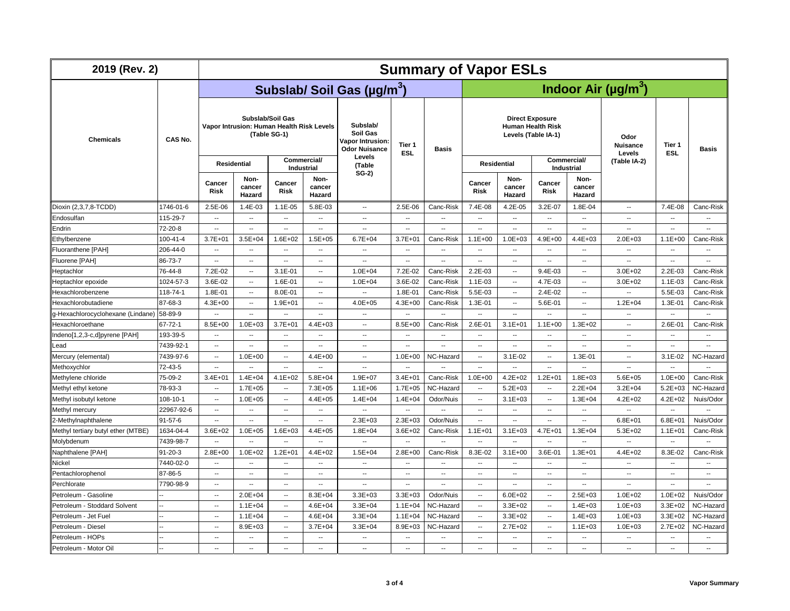| 2019 (Rev. 2)                                        |                | <b>Summary of Vapor ESLs</b> |                                                                                 |                                  |                                  |                                                                  |                            |                          |                                                                           |                            |                                |                            |                                                      |                            |                            |  |
|------------------------------------------------------|----------------|------------------------------|---------------------------------------------------------------------------------|----------------------------------|----------------------------------|------------------------------------------------------------------|----------------------------|--------------------------|---------------------------------------------------------------------------|----------------------------|--------------------------------|----------------------------|------------------------------------------------------|----------------------------|----------------------------|--|
|                                                      | CAS No.        |                              | Indoor Air ( $\mu$ g/m <sup>3</sup> )<br>Subslab/ Soil Gas (µg/m <sup>3</sup> ) |                                  |                                  |                                                                  |                            |                          |                                                                           |                            |                                |                            |                                                      |                            |                            |  |
| <b>Chemicals</b>                                     |                |                              | Vapor Intrusion: Human Health Risk Levels                                       | Subslab/Soil Gas<br>(Table SG-1) |                                  | Subslab/<br>Soil Gas<br>Vapor Intrusion:<br><b>Odor Nuisance</b> | Tier 1<br><b>ESL</b>       | <b>Basis</b>             | <b>Direct Exposure</b><br><b>Human Health Risk</b><br>Levels (Table IA-1) |                            |                                |                            | Odor<br><b>Nuisance</b><br>Levels                    | Tier 1<br><b>ESL</b>       | <b>Basis</b>               |  |
|                                                      |                |                              | Residential                                                                     |                                  | Commercial/<br><b>Industrial</b> | Levels<br>(Table                                                 |                            |                          | <b>Residential</b>                                                        |                            | Commercial/<br>Industrial      |                            | (Table IA-2)                                         |                            |                            |  |
|                                                      |                | Cancer<br><b>Risk</b>        | Non-<br>cancer<br>Hazard                                                        | Cancer<br><b>Risk</b>            | Non-<br>cancer<br>Hazard         | $SG-2)$                                                          |                            |                          | Cancer<br><b>Risk</b>                                                     | Non-<br>cancer<br>Hazard   | Cancer<br><b>Risk</b>          | Non-<br>cancer<br>Hazard   |                                                      |                            |                            |  |
| Dioxin (2,3,7,8-TCDD)                                | 1746-01-6      | 2.5E-06                      | 1.4E-03                                                                         | $1.1E-05$                        | 5.8E-03                          | $\sim$                                                           | 2.5E-06                    | Canc-Risk                | 7.4E-08                                                                   | 4.2E-05                    | 3.2E-07                        | 1.8E-04                    | $\overline{\phantom{a}}$                             | 7.4E-08                    | Canc-Risk                  |  |
| Endosulfan                                           | 115-29-7       | $\sim$                       | $\overline{\phantom{a}}$                                                        | ۰.                               | $\overline{\phantom{a}}$         | $\overline{\phantom{a}}$                                         | $\overline{\phantom{a}}$   | $\overline{\phantom{a}}$ | $\sim$                                                                    | $\overline{\phantom{a}}$   | $\overline{\phantom{a}}$       | $\overline{\phantom{a}}$   | $\sim$                                               | --                         | ۰.                         |  |
| Endrin                                               | 72-20-8        | $\overline{\phantom{a}}$     | $\sim$                                                                          | $\ddot{\phantom{a}}$             | $\sim$                           | $\sim$                                                           | $\sim$                     | $\sim$                   | $\sim$                                                                    | $\sim$                     | $\ddot{\phantom{a}}$           | $\sim$                     | $\overline{\phantom{a}}$                             | $\overline{a}$             | --                         |  |
| Ethylbenzene                                         | $100 - 41 - 4$ | $3.7E + 01$                  | $3.5E + 04$                                                                     | $1.6E + 02$                      | $1.5E + 05$                      | $6.7E + 04$                                                      | $3.7E + 01$                | Canc-Risk                | $1.1E + 00$                                                               | $1.0E + 03$                | $4.9E + 00$                    | 4.4E+03                    | $2.0E + 03$                                          | $1.1E + 00$                | Canc-Risk                  |  |
| Fluoranthene [PAH]                                   | 206-44-0       | $\overline{\phantom{a}}$     | $\sim$                                                                          | --                               | $\sim$                           | $\sim$                                                           | $\sim$                     | $\overline{\phantom{a}}$ | $\overline{\phantom{a}}$                                                  | $\sim$                     | --                             | $\overline{a}$             | $\overline{\phantom{a}}$                             | $\overline{a}$             | ۰.                         |  |
| Fluorene [PAH]                                       | 86-73-7        | $\overline{\phantom{a}}$     | $\overline{\phantom{a}}$                                                        | Ξ.                               | $\overline{\phantom{a}}$         | ۰.                                                               | $\overline{\phantom{a}}$   | $\overline{\phantom{a}}$ | $\overline{\phantom{a}}$                                                  | $\overline{\phantom{a}}$   | $\overline{\phantom{a}}$       | $\overline{\phantom{a}}$   | Ξ.                                                   | μ.                         | L.                         |  |
| Heptachlor                                           | 76-44-8        | 7.2E-02                      | $\overline{\phantom{a}}$                                                        | $3.1E - 01$                      | $\overline{\phantom{a}}$         | $1.0E + 04$                                                      | 7.2E-02                    | Canc-Risk                | 2.2E-03                                                                   | $\sim$                     | 9.4E-03                        | ۰.                         | $3.0E + 02$                                          | 2.2E-03                    | Canc-Risk                  |  |
| Heptachlor epoxide                                   | 1024-57-3      | 3.6E-02                      | $\sim$                                                                          | 1.6E-01                          | $\overline{\phantom{a}}$         | $1.0E + 04$                                                      | 3.6E-02                    | Canc-Risk                | 1.1E-03                                                                   | $\sim$                     | 4.7E-03                        | $\overline{\phantom{a}}$   | $3.0E + 02$                                          | 1.1E-03                    | Canc-Risk                  |  |
| Hexachlorobenzene                                    | 118-74-1       | 1.8E-01                      | $\sim$                                                                          | 8.0E-01                          | $\overline{\phantom{a}}$         | $\overline{\phantom{a}}$                                         | 1.8E-01                    | Canc-Risk                | 5.5E-03                                                                   |                            | 2.4E-02                        | н.                         | --                                                   | 5.5E-03                    | Canc-Risk                  |  |
| Hexachlorobutadiene                                  | 87-68-3        | $4.3E + 00$                  | $\sim$                                                                          | $1.9E + 01$                      | $\overline{\phantom{a}}$         | $4.0E + 05$                                                      | $4.3E + 00$                | Canc-Risk                | 1.3E-01                                                                   | $\sim$                     | 5.6E-01                        | $\overline{\phantom{a}}$   | $1.2E + 04$                                          | 1.3E-01                    | Canc-Risk                  |  |
| g-Hexachlorocyclohexane (Lindane)                    | 58-89-9        | $\overline{\phantom{a}}$     | ۰.                                                                              | Ξ.                               | $\sim$                           | $\ddotsc$                                                        | Ξ.                         | $\overline{\phantom{a}}$ | $\sim$                                                                    | $\overline{\phantom{a}}$   | Ξ.                             | $\overline{\phantom{a}}$   | $\overline{\phantom{a}}$                             | μ.                         | $\overline{\phantom{a}}$   |  |
| Hexachloroethane                                     | $67 - 72 - 1$  | 8.5E+00                      | $1.0E + 03$                                                                     | $3.7E + 01$                      | $4.4E + 03$                      | $\sim$                                                           | 8.5E+00                    | Canc-Risk                | 2.6E-01                                                                   | $3.1E + 01$                | $1.1E + 00$                    | $1.3E + 02$                | $\sim$                                               | 2.6E-01                    | Canc-Risk                  |  |
| Indeno[1,2,3-c,d]pyrene [PAH]                        | 193-39-5       | $\overline{\phantom{a}}$     | ۰.                                                                              | ۰.                               | $\overline{\phantom{a}}$         | $\overline{\phantom{a}}$                                         | $\overline{\phantom{a}}$   | --                       | $\overline{\phantom{a}}$                                                  | $\overline{\phantom{a}}$   | --                             | ٠.                         | $\overline{\phantom{a}}$                             | --                         | --                         |  |
| Lead                                                 | 7439-92-1      | $\overline{\phantom{a}}$     | $\overline{\phantom{a}}$                                                        | $\overline{\phantom{a}}$         | $\overline{\phantom{a}}$         | $\sim$                                                           | $\overline{\phantom{a}}$   | $\overline{\phantom{a}}$ | $\sim$                                                                    | $\overline{\phantom{a}}$   | ۰.                             | $\overline{a}$             | $\sim$                                               | --                         | --                         |  |
| Mercury (elemental)                                  | 7439-97-6      | $\sim$                       | $1.0E + 00$                                                                     | $\overline{\phantom{a}}$         | $4.4E + 00$                      | $\sim$                                                           | $1.0E + 00$                | NC-Hazard                | $\overline{\phantom{a}}$                                                  | 3.1E-02                    | $\overline{\phantom{a}}$       | 1.3E-01                    | $\sim$                                               | $3.1E-02$                  | NC-Hazard                  |  |
| Methoxychlor                                         | 72-43-5        | $\sim$                       | −−                                                                              | --                               | $\overline{\phantom{a}}$         | $\ddotsc$                                                        | $\sim$                     |                          | $\overline{\phantom{a}}$                                                  | $\overline{\phantom{a}}$   | --                             | $\overline{a}$             | $\ddot{\phantom{a}}$                                 | μ.                         |                            |  |
| Methylene chloride                                   | 75-09-2        | $3.4E + 01$                  | $1.4E + 04$                                                                     | $4.1E + 02$                      | $5.8E + 04$                      | $1.9E + 07$                                                      | $3.4E + 01$                | Canc-Risk                | $1.0E + 00$                                                               | $4.2E + 02$                | $1.2E + 01$                    | $1.8E + 03$                | $5.6E + 05$                                          | $1.0E + 00$                | Canc-Risk                  |  |
| Methyl ethyl ketone                                  | 78-93-3        | $\sim$                       | $1.7E + 05$                                                                     | --                               | $7.3E + 05$                      | $1.1E + 06$                                                      | $1.7E + 05$                | NC-Hazard                | $\overline{\phantom{a}}$                                                  | $5.2E + 03$                | $\overline{\phantom{a}}$       | $2.2E + 04$                | $3.2E + 04$                                          | $5.2E + 03$                | NC-Hazard                  |  |
| Methyl isobutyl ketone                               | 108-10-1       | $\sim$                       | $1.0E + 05$                                                                     | $\overline{\phantom{a}}$         | $4.4E + 05$                      | $1.4E + 04$                                                      | $1.4E + 04$                | Odor/Nuis                | $\overline{\phantom{a}}$                                                  | $3.1E + 03$                | $\overline{\phantom{a}}$       | $1.3E + 04$                | $4.2E + 02$                                          | 4.2E+02                    | Nuis/Odor                  |  |
| Methyl mercury                                       | 22967-92-6     | $\sim$                       | $\overline{\phantom{a}}$                                                        | $\overline{a}$                   | $\overline{a}$                   | $\overline{\phantom{a}}$                                         | $\sim$                     | $\sim$                   | $\sim$                                                                    | $\sim$                     | $\overline{\phantom{a}}$       | $\overline{\phantom{a}}$   | $\overline{\phantom{a}}$                             | $\sim$                     | $\sim$                     |  |
| 2-Methylnaphthalene                                  | $91 - 57 - 6$  | $\sim$                       | $\sim$                                                                          | --                               | $\overline{\phantom{a}}$         | $2.3E + 03$                                                      | $2.3E + 03$                | Odor/Nuis                | $\sim$                                                                    | $\sim$                     | $\overline{a}$                 | $\overline{\phantom{a}}$   | $6.8E + 01$                                          | $6.8E + 01$                | Nuis/Odor                  |  |
| Methyl tertiary butyl ether (MTBE)                   | 1634-04-4      | $3.6E + 02$                  | $1.0E + 05$                                                                     | $1.6E + 03$                      | $4.4E + 05$                      | $1.8E + 04$                                                      | $3.6E + 02$                | Canc-Risk                | $1.1E + 01$                                                               | $3.1E + 03$                | $4.7E + 01$                    | $1.3E + 04$                | $5.3E + 02$                                          | $1.1E + 01$                | Canc-Risk                  |  |
| Molybdenum                                           | 7439-98-7      | $\ddotsc$                    | −−                                                                              | Ξ.                               | $\overline{\phantom{a}}$         | $\overline{\phantom{a}}$                                         | Ξ.                         | Ξ.                       | $\overline{\phantom{a}}$                                                  | --                         | μ.                             | $\overline{\phantom{a}}$   |                                                      | μ.                         |                            |  |
| Naphthalene [PAH]                                    | $91 - 20 - 3$  | $2.8E + 00$                  | $1.0E + 02$                                                                     | $1.2E + 01$                      | $4.4E + 02$                      | $1.5E + 04$                                                      | $2.8E + 00$                | Canc-Risk                | 8.3E-02                                                                   | $3.1E + 00$                | 3.6E-01                        | $1.3E + 01$                | $4.4E + 02$                                          | 8.3E-02                    | Canc-Risk                  |  |
| Nickel                                               | 7440-02-0      | $\sim$                       | $\sim$                                                                          | ۰.                               | $\sim$                           | $\sim$                                                           | $\overline{\phantom{a}}$   | $\overline{\phantom{a}}$ | $\sim$ $\sim$                                                             | $\overline{\phantom{a}}$   | $\overline{\phantom{a}}$       | $\overline{\phantom{a}}$   | $\sim$                                               | ۰.                         | $\sim$                     |  |
| Pentachlorophenol                                    | 87-86-5        | $\sim$                       | $\sim$<br>$\sim$                                                                | --                               | $\overline{\phantom{a}}$         | $\sim$                                                           | $\sim$                     | $\sim$<br>$\sim$         | $\sim$                                                                    | $\sim$<br>$\sim$           |                                | $\overline{\phantom{a}}$   | $\overline{\phantom{a}}$<br>$\overline{\phantom{a}}$ | L.                         | $\ddot{\phantom{a}}$<br>Ξ. |  |
| Perchlorate                                          | 7790-98-9      | $\sim$                       |                                                                                 | $\overline{a}$                   | $\sim$                           | $\overline{\phantom{a}}$                                         | $\overline{\phantom{a}}$   |                          | $\sim$ $\sim$                                                             |                            | $\overline{\phantom{a}}$<br>μ. | $\overline{\phantom{a}}$   |                                                      | $\overline{\phantom{a}}$   |                            |  |
| Petroleum - Gasoline<br>Petroleum - Stoddard Solvent |                | $\ddotsc$<br>$\sim$          | $2.0E + 04$<br>$1.1E + 04$                                                      | Ξ.<br>$\overline{\phantom{a}}$   | $8.3E + 04$<br>$4.6E + 04$       | $3.3E + 03$<br>$3.3E + 04$                                       | $3.3E + 03$<br>$1.1E + 04$ | Odor/Nuis<br>NC-Hazard   | $\overline{\phantom{a}}$<br>$\sim$                                        | $6.0E + 02$<br>$3.3E + 02$ | $\overline{\phantom{a}}$       | $2.5E + 03$<br>$1.4E + 03$ | $1.0E + 02$<br>$1.0E + 03$                           | $1.0E + 02$<br>$3.3E + 02$ | Nuis/Odor<br>NC-Hazard     |  |
| Petroleum - Jet Fuel                                 | i.             | $\sim$                       | $1.1E + 04$                                                                     | --                               | $4.6E + 04$                      | $3.3E + 04$                                                      | $1.1E + 04$                | NC-Hazard                | $\overline{\phantom{a}}$                                                  | $3.3E + 02$                | --                             | $1.4E + 03$                | $1.0E + 03$                                          | $3.3E + 02$                | NC-Hazard                  |  |
| Petroleum - Diesel                                   |                | $\sim$                       | 8.9E+03                                                                         | ۰.                               | $3.7E + 04$                      | $3.3E + 04$                                                      | 8.9E+03                    | NC-Hazard                | $\overline{\phantom{a}}$                                                  | $2.7E+02$                  | $\overline{\phantom{a}}$       | $1.1E + 03$                | $1.0E + 03$                                          | $2.7E+02$                  | NC-Hazard                  |  |
| Petroleum - HOPs                                     |                | $\sim$                       | $\sim$                                                                          | $\overline{a}$                   | $\sim$                           | $\sim$                                                           | $\sim$                     | $\sim$                   | $\sim$                                                                    | $\sim$                     | $\overline{a}$                 | $\sim$                     | $\sim$                                               | $\overline{\phantom{a}}$   | $\overline{a}$             |  |
| Petroleum - Motor Oil                                |                | $\overline{\phantom{a}}$     | $\sim$                                                                          | $\ddotsc$                        |                                  | $\overline{a}$                                                   | Ξ.                         | Ξ.                       | $\sim$                                                                    | $\overline{\phantom{a}}$   | $\overline{a}$                 | $\overline{\phantom{a}}$   |                                                      | $\overline{\phantom{a}}$   | $\overline{\phantom{a}}$   |  |
|                                                      |                |                              |                                                                                 |                                  |                                  |                                                                  |                            |                          |                                                                           |                            |                                |                            |                                                      |                            |                            |  |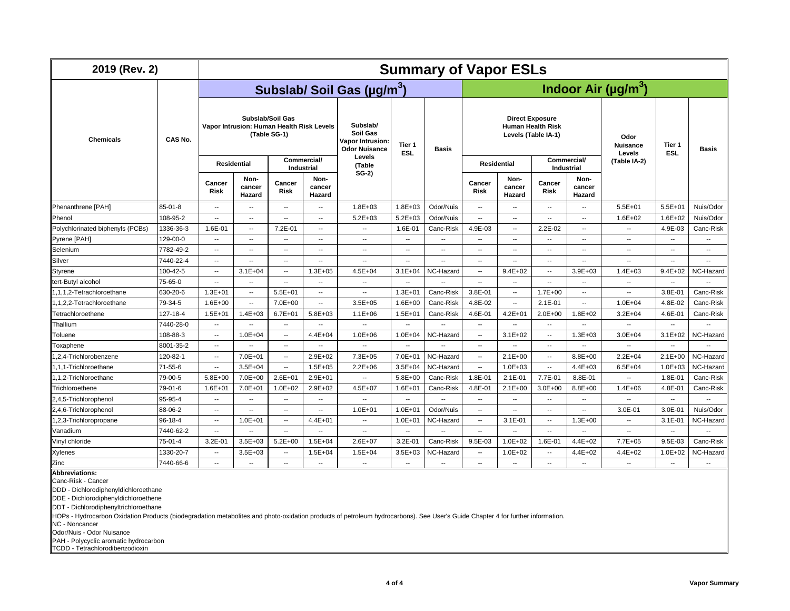| 2019 (Rev. 2)                    |           | <b>Summary of Vapor ESLs</b>                                                  |                          |                           |                                                                         |                                        |                          |                                       |                                                                           |                          |                          |                            |                          |                          |                          |
|----------------------------------|-----------|-------------------------------------------------------------------------------|--------------------------|---------------------------|-------------------------------------------------------------------------|----------------------------------------|--------------------------|---------------------------------------|---------------------------------------------------------------------------|--------------------------|--------------------------|----------------------------|--------------------------|--------------------------|--------------------------|
|                                  | CAS No.   |                                                                               |                          |                           |                                                                         | Subslab/ Soil Gas (µg/m <sup>3</sup> ) |                          | Indoor Air ( $\mu$ g/m <sup>3</sup> ) |                                                                           |                          |                          |                            |                          |                          |                          |
| <b>Chemicals</b>                 |           | Subslab/Soil Gas<br>Vapor Intrusion: Human Health Risk Levels<br>(Table SG-1) |                          |                           | Subslab/<br>Soil Gas<br><b>Vapor Intrusion:</b><br><b>Odor Nuisance</b> | Tier 1<br><b>ESL</b>                   | <b>Basis</b>             |                                       | <b>Direct Exposure</b><br><b>Human Health Risk</b><br>Levels (Table IA-1) |                          |                          | Odor<br>Nuisance<br>Levels | Tier 1<br><b>ESL</b>     | Basis                    |                          |
|                                  |           |                                                                               | <b>Residential</b>       | Commercial/<br>Industrial |                                                                         | Levels<br>(Table                       |                          |                                       | <b>Residential</b>                                                        |                          | Industrial               | Commercial/                | (Table IA-2)             |                          |                          |
|                                  |           | Cancer<br><b>Risk</b>                                                         | Non-<br>cancer<br>Hazard | Cancer<br><b>Risk</b>     | Non-<br>cancer<br>Hazard                                                | $SG-2)$                                |                          |                                       | Cancer<br>Risk                                                            | Non-<br>cancer<br>Hazard | Cancer<br><b>Risk</b>    | Non-<br>cancer<br>Hazard   |                          |                          |                          |
| Phenanthrene [PAH]               | 85-01-8   | $\sim$                                                                        | $\sim$                   | $\sim$                    | $\overline{\phantom{a}}$                                                | $1.8E + 03$                            | $1.8E + 03$              | Odor/Nuis                             | $\sim$                                                                    | $\sim$                   | $\sim$                   | $\overline{\phantom{a}}$   | $5.5E + 01$              | $5.5E + 01$              | Nuis/Odor                |
| Phenol                           | 108-95-2  | $\overline{\phantom{a}}$                                                      | $\overline{\phantom{a}}$ | $\overline{a}$            | --                                                                      | $5.2E + 03$                            | $5.2E + 03$              | Odor/Nuis                             | $\sim$                                                                    | $\sim$                   | $\overline{a}$           | $\overline{\phantom{a}}$   | $1.6E + 02$              | $1.6E + 02$              | Nuis/Odor                |
| Polychlorinated biphenyls (PCBs) | 1336-36-3 | 1.6E-01                                                                       | $\overline{\phantom{a}}$ | 7.2E-01                   | --                                                                      | $\overline{\phantom{a}}$               | 1.6E-01                  | Canc-Risk                             | 4.9E-03                                                                   | $\overline{\phantom{a}}$ | $2.2E-02$                | $\overline{\phantom{a}}$   | $\overline{\phantom{a}}$ | 4.9E-03                  | Canc-Risk                |
| Pyrene [PAH]                     | 129-00-0  | $\overline{\phantom{a}}$                                                      | $\sim$                   | $\sim$                    | --                                                                      | $\overline{\phantom{a}}$               | $\sim$                   | --                                    | $\overline{a}$                                                            | $\sim$                   | ۰.                       | $\overline{a}$             | $\sim$                   | --                       | ۰.                       |
| Selenium                         | 7782-49-2 | $\overline{\phantom{a}}$                                                      | $\overline{\phantom{a}}$ | $\overline{a}$            | $\overline{\phantom{a}}$                                                | $\overline{\phantom{a}}$               | $\overline{\phantom{a}}$ | Ξ.                                    | $\overline{\phantom{a}}$                                                  | $\overline{\phantom{a}}$ | $\overline{\phantom{a}}$ | $\sim$                     | $\sim$                   | $\overline{a}$           | $\overline{\phantom{a}}$ |
| Silver                           | 7440-22-4 | $\overline{\phantom{a}}$                                                      | $\overline{\phantom{a}}$ | $\overline{a}$            | --                                                                      | $\overline{\phantom{a}}$               | $\overline{\phantom{a}}$ | --                                    | $\overline{a}$                                                            | $\overline{\phantom{a}}$ | $\overline{\phantom{a}}$ | --                         | $\overline{a}$           | μ.                       |                          |
| Styrene                          | 100-42-5  | $\overline{\phantom{a}}$                                                      | $3.1E + 04$              | $\overline{\phantom{a}}$  | $1.3E + 05$                                                             | $4.5E + 04$                            | $3.1E + 04$              | NC-Hazard                             | $\overline{a}$                                                            | $9.4E + 02$              | $\overline{\phantom{a}}$ | $3.9E + 03$                | $1.4E + 03$              | $9.4E + 02$              | NC-Hazard                |
| tert-Butyl alcohol               | 75-65-0   | $\overline{\phantom{a}}$                                                      | $\sim$                   | $\overline{\phantom{a}}$  | --                                                                      | $\sim$                                 | $\overline{\phantom{a}}$ |                                       |                                                                           | $\sim$                   | $\sim$                   | $\sim$                     |                          | $\overline{a}$           |                          |
| 1,1,1,2-Tetrachloroethane        | 630-20-6  | $1.3E + 01$                                                                   | $\overline{\phantom{a}}$ | $5.5E + 01$               | $\overline{\phantom{a}}$                                                | $\overline{\phantom{a}}$               | $1.3E + 01$              | Canc-Risk                             | 3.8E-01                                                                   | $\overline{\phantom{a}}$ | $1.7E + 00$              | ۰.                         |                          | 3.8E-01                  | Canc-Risk                |
| 1.1.2.2-Tetrachloroethane        | 79-34-5   | $1.6E + 00$                                                                   | $\sim$                   | 7.0E+00                   | $\overline{\phantom{a}}$                                                | $3.5E + 05$                            | $1.6E + 00$              | Canc-Risk                             | 4.8E-02                                                                   | $\overline{\phantom{a}}$ | $2.1E-01$                | $\overline{\phantom{a}}$   | $1.0E + 04$              | 4.8E-02                  | Canc-Risk                |
| Tetrachloroethene                | 127-18-4  | $1.5E + 01$                                                                   | $1.4E + 03$              | $6.7E + 01$               | $5.8E + 03$                                                             | $1.1E + 06$                            | $1.5E + 01$              | Canc-Risk                             | 4.6E-01                                                                   | $4.2E + 01$              | $2.0E + 00$              | $1.8E + 02$                | $3.2E + 04$              | 4.6E-01                  | Canc-Risk                |
| Thallium                         | 7440-28-0 | $\overline{\phantom{a}}$                                                      | $\overline{\phantom{a}}$ | $\overline{\phantom{a}}$  | $\overline{\phantom{a}}$                                                | $\overline{\phantom{a}}$               | $\overline{\phantom{a}}$ | --                                    | $\overline{\phantom{a}}$                                                  | $\overline{\phantom{a}}$ | $\overline{\phantom{a}}$ | $\overline{\phantom{a}}$   | $\sim$                   | $\overline{\phantom{a}}$ | $\overline{\phantom{a}}$ |
| Toluene                          | 108-88-3  | $\overline{\phantom{a}}$                                                      | $1.0E + 04$              | --                        | $4.4E + 04$                                                             | $1.0E + 06$                            | $1.0E + 04$              | NC-Hazard                             | $\overline{\phantom{a}}$                                                  | $3.1E + 02$              |                          | $1.3E + 03$                | $3.0E + 04$              | $3.1E + 02$              | NC-Hazard                |
| Toxaphene                        | 8001-35-2 | $\overline{\phantom{a}}$                                                      | $\overline{\phantom{a}}$ | $\overline{\phantom{a}}$  | ۰.                                                                      | $\overline{\phantom{a}}$               | --                       | --                                    | $\overline{\phantom{a}}$                                                  | $\overline{\phantom{a}}$ | --                       | ۰.                         |                          | --                       |                          |
| 1,2,4-Trichlorobenzene           | 120-82-1  | $\overline{\phantom{a}}$                                                      | 7.0E+01                  | $\sim$                    | $2.9E + 02$                                                             | $7.3E + 05$                            | $7.0E + 01$              | NC-Hazard                             | $\overline{\phantom{a}}$                                                  | $2.1E + 00$              | $\overline{\phantom{a}}$ | 8.8E+00                    | $2.2E + 04$              | $2.1E + 00$              | NC-Hazard                |
| 1.1.1-Trichloroethane            | 71-55-6   | $\overline{\phantom{a}}$                                                      | $3.5E + 04$              | $\overline{\phantom{a}}$  | $1.5E + 05$                                                             | $2.2E + 06$                            | $3.5E + 04$              | NC-Hazard                             | $\overline{\phantom{a}}$                                                  | $1.0E + 03$              | $\overline{\phantom{a}}$ | $4.4E + 03$                | $6.5E + 04$              | $1.0E + 03$              | NC-Hazard                |
| 1,1,2-Trichloroethane            | 79-00-5   | $5.8E + 00$                                                                   | $7.0E + 00$              | $2.6E + 01$               | $2.9E + 01$                                                             | $\overline{\phantom{a}}$               | $5.8E + 00$              | Canc-Risk                             | 1.8E-01                                                                   | $2.1E-01$                | 7.7E-01                  | 8.8E-01                    |                          | 1.8E-01                  | Canc-Risk                |
| Trichloroethene                  | 79-01-6   | $1.6E + 01$                                                                   | $7.0E + 01$              | $1.0E + 02$               | $2.9E + 02$                                                             | 4.5E+07                                | $1.6E + 01$              | Canc-Risk                             | 4.8E-01                                                                   | $2.1E + 00$              | $3.0E + 00$              | 8.8E+00                    | $1.4E + 06$              | 4.8E-01                  | Canc-Risk                |
| 2,4,5-Trichlorophenol            | 95-95-4   | $\overline{\phantom{a}}$                                                      | $\overline{\phantom{a}}$ | $\sim$                    | $\overline{\phantom{a}}$                                                | $\ddotsc$                              | $\sim$                   |                                       | $\overline{a}$                                                            | $\overline{\phantom{a}}$ | $\overline{a}$           | $\overline{\phantom{a}}$   |                          | --                       | $\overline{\phantom{a}}$ |
| 2,4,6-Trichlorophenol            | 88-06-2   | $\overline{\phantom{a}}$                                                      | $\overline{\phantom{a}}$ | $\overline{\phantom{a}}$  | --                                                                      | $1.0E + 01$                            | $1.0E + 01$              | Odor/Nuis                             | $\overline{\phantom{a}}$                                                  | $\overline{\phantom{a}}$ | --                       | $\overline{\phantom{a}}$   | 3.0E-01                  | 3.0E-01                  | Nuis/Odor                |
| 1,2,3-Trichloropropane           | 96-18-4   | $\overline{\phantom{a}}$                                                      | $1.0E + 01$              | $\overline{\phantom{a}}$  | $4.4E + 01$                                                             | $\overline{\phantom{a}}$               | $1.0E + 01$              | NC-Hazard                             | $\overline{\phantom{a}}$                                                  | $3.1E-01$                | $\overline{\phantom{a}}$ | $1.3E + 00$                | $\overline{\phantom{a}}$ | $3.1E - 01$              | NC-Hazard                |
| Vanadium                         | 7440-62-2 | $\sim$                                                                        | $\sim$                   | $\overline{\phantom{a}}$  | $\overline{\phantom{a}}$                                                | $\overline{\phantom{a}}$               | $\overline{\phantom{a}}$ |                                       | $\sim$                                                                    | $\overline{\phantom{a}}$ | ш,                       | $\overline{\phantom{a}}$   | $\sim$                   | $\overline{\phantom{a}}$ | Ξ.                       |
| Vinyl chloride                   | 75-01-4   | $3.2E - 0'$                                                                   | $3.5E + 03$              | $5.2E + 00$               | $1.5E + 04$                                                             | $2.6E + 07$                            | 3.2E-01                  | Canc-Risk                             | 9.5E-03                                                                   | $1.0E + 02$              | 1.6E-01                  | $4.4E + 02$                | $7.7E + 05$              | 9.5E-03                  | Canc-Risk                |
| Xylenes                          | 1330-20-7 | $\overline{\phantom{a}}$                                                      | $3.5E + 03$              | $\overline{\phantom{a}}$  | $1.5E + 04$                                                             | $1.5E + 04$                            | $3.5E + 03$              | NC-Hazard                             | $\overline{\phantom{a}}$                                                  | $1.0E + 02$              |                          | $4.4E + 02$                | $4.4E + 02$              | $1.0E + 02$              | NC-Hazard                |
| Zinc                             | 7440-66-6 | $\overline{\phantom{a}}$                                                      | $\overline{\phantom{a}}$ | $\overline{\phantom{a}}$  | $\sim$                                                                  | $\overline{\phantom{a}}$               | $\sim$                   | --                                    | $\overline{\phantom{a}}$                                                  | $\overline{\phantom{a}}$ | н.                       | $\overline{\phantom{a}}$   | $\sim$                   | $\overline{\phantom{a}}$ | --                       |

**Abbreviations:**

Canc-Risk - Cancer

DDD - Dichlorodiphenyldichloroethane

DDE - Dichlorodiphenyldichloroethene

DDT - Dichlorodiphenyltrichloroethane

HOPs - Hydrocarbon Oxidation Products (biodegradation metabolites and photo-oxidation products of petroleum hydrocarbons). See User's Guide Chapter 4 for further information.

NC - Noncancer

Odor/Nuis - Odor Nuisance

PAH - Polycyclic aromatic hydrocarbon TCDD - Tetrachlorodibenzodioxin